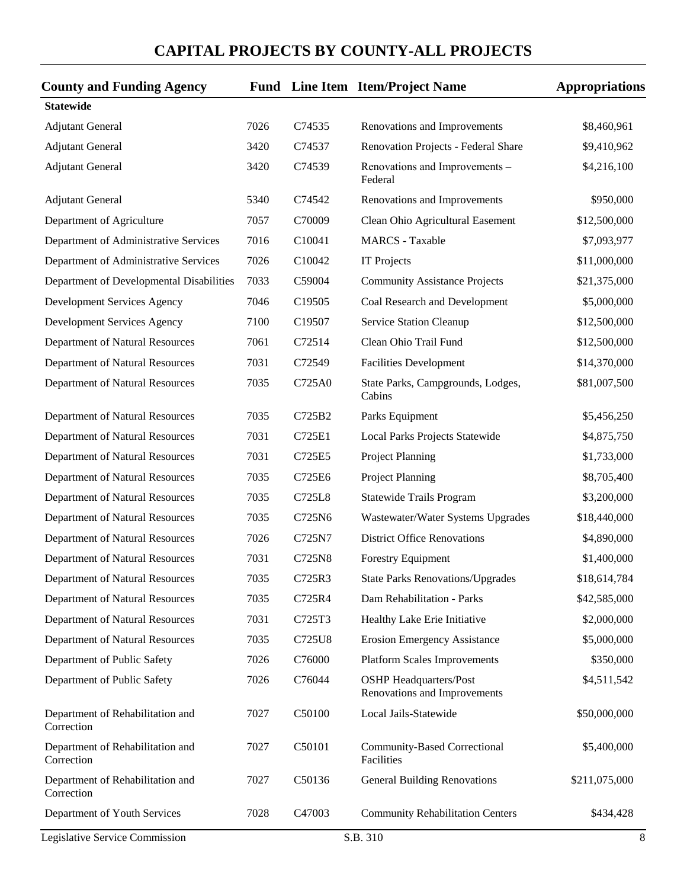| <b>County and Funding Agency</b>               |      |                    | <b>Fund</b> Line Item Item/Project Name                       | <b>Appropriations</b> |
|------------------------------------------------|------|--------------------|---------------------------------------------------------------|-----------------------|
| <b>Statewide</b>                               |      |                    |                                                               |                       |
| <b>Adjutant General</b>                        | 7026 | C74535             | Renovations and Improvements                                  | \$8,460,961           |
| <b>Adjutant General</b>                        | 3420 | C74537             | Renovation Projects - Federal Share                           | \$9,410,962           |
| <b>Adjutant General</b>                        | 3420 | C74539             | Renovations and Improvements -<br>Federal                     | \$4,216,100           |
| <b>Adjutant General</b>                        | 5340 | C74542             | Renovations and Improvements                                  | \$950,000             |
| Department of Agriculture                      | 7057 | C70009             | Clean Ohio Agricultural Easement                              | \$12,500,000          |
| Department of Administrative Services          | 7016 | C10041             | <b>MARCS</b> - Taxable                                        | \$7,093,977           |
| Department of Administrative Services          | 7026 | C10042             | <b>IT Projects</b>                                            | \$11,000,000          |
| Department of Developmental Disabilities       | 7033 | C59004             | <b>Community Assistance Projects</b>                          | \$21,375,000          |
| Development Services Agency                    | 7046 | C19505             | Coal Research and Development                                 | \$5,000,000           |
| Development Services Agency                    | 7100 | C <sub>19507</sub> | Service Station Cleanup                                       | \$12,500,000          |
| Department of Natural Resources                | 7061 | C72514             | Clean Ohio Trail Fund                                         | \$12,500,000          |
| Department of Natural Resources                | 7031 | C72549             | <b>Facilities Development</b>                                 | \$14,370,000          |
| Department of Natural Resources                | 7035 | C725A0             | State Parks, Campgrounds, Lodges,<br>Cabins                   | \$81,007,500          |
| Department of Natural Resources                | 7035 | C725B2             | Parks Equipment                                               | \$5,456,250           |
| Department of Natural Resources                | 7031 | C725E1             | Local Parks Projects Statewide                                | \$4,875,750           |
| Department of Natural Resources                | 7031 | C725E5             | Project Planning                                              | \$1,733,000           |
| Department of Natural Resources                | 7035 | C725E6             | Project Planning                                              | \$8,705,400           |
| Department of Natural Resources                | 7035 | C725L8             | Statewide Trails Program                                      | \$3,200,000           |
| Department of Natural Resources                | 7035 | C725N6             | Wastewater/Water Systems Upgrades                             | \$18,440,000          |
| Department of Natural Resources                | 7026 | C725N7             | <b>District Office Renovations</b>                            | \$4,890,000           |
| Department of Natural Resources                | 7031 | C725N8             | <b>Forestry Equipment</b>                                     | \$1,400,000           |
| Department of Natural Resources                | 7035 | C725R3             | <b>State Parks Renovations/Upgrades</b>                       | \$18,614,784          |
| Department of Natural Resources                | 7035 | C725R4             | Dam Rehabilitation - Parks                                    | \$42,585,000          |
| Department of Natural Resources                | 7031 | C725T3             | Healthy Lake Erie Initiative                                  | \$2,000,000           |
| Department of Natural Resources                | 7035 | C725U8             | <b>Erosion Emergency Assistance</b>                           | \$5,000,000           |
| Department of Public Safety                    | 7026 | C76000             | <b>Platform Scales Improvements</b>                           | \$350,000             |
| Department of Public Safety                    | 7026 | C76044             | <b>OSHP</b> Headquarters/Post<br>Renovations and Improvements | \$4,511,542           |
| Department of Rehabilitation and<br>Correction | 7027 | C50100             | Local Jails-Statewide                                         | \$50,000,000          |
| Department of Rehabilitation and<br>Correction | 7027 | C50101             | Community-Based Correctional<br>Facilities                    | \$5,400,000           |
| Department of Rehabilitation and<br>Correction | 7027 | C50136             | <b>General Building Renovations</b>                           | \$211,075,000         |
| Department of Youth Services                   | 7028 | C47003             | <b>Community Rehabilitation Centers</b>                       | \$434,428             |
| Legislative Service Commission                 |      |                    | S.B. 310                                                      | 8                     |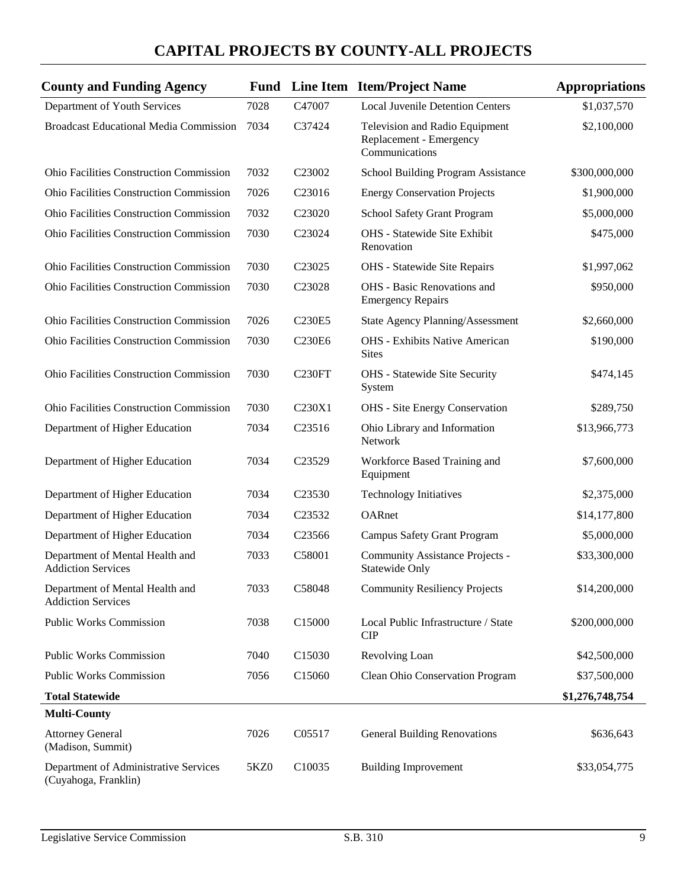| <b>County and Funding Agency</b>                              |      |                                 | <b>Fund</b> Line Item Item/Project Name                                     | <b>Appropriations</b> |
|---------------------------------------------------------------|------|---------------------------------|-----------------------------------------------------------------------------|-----------------------|
| Department of Youth Services                                  | 7028 | C47007                          | <b>Local Juvenile Detention Centers</b>                                     | \$1,037,570           |
| <b>Broadcast Educational Media Commission</b>                 | 7034 | C37424                          | Television and Radio Equipment<br>Replacement - Emergency<br>Communications | \$2,100,000           |
| Ohio Facilities Construction Commission                       | 7032 | C <sub>23002</sub>              | School Building Program Assistance                                          | \$300,000,000         |
| <b>Ohio Facilities Construction Commission</b>                | 7026 | C <sub>23016</sub>              | <b>Energy Conservation Projects</b>                                         | \$1,900,000           |
| <b>Ohio Facilities Construction Commission</b>                | 7032 | C23020                          | School Safety Grant Program                                                 | \$5,000,000           |
| <b>Ohio Facilities Construction Commission</b>                | 7030 | C23024                          | OHS - Statewide Site Exhibit<br>Renovation                                  | \$475,000             |
| Ohio Facilities Construction Commission                       | 7030 | C <sub>23025</sub>              | OHS - Statewide Site Repairs                                                | \$1,997,062           |
| <b>Ohio Facilities Construction Commission</b>                | 7030 | C23028                          | OHS - Basic Renovations and<br><b>Emergency Repairs</b>                     | \$950,000             |
| Ohio Facilities Construction Commission                       | 7026 | C <sub>230</sub> E <sub>5</sub> | <b>State Agency Planning/Assessment</b>                                     | \$2,660,000           |
| Ohio Facilities Construction Commission                       | 7030 | C230E6                          | <b>OHS</b> - Exhibits Native American<br><b>Sites</b>                       | \$190,000             |
| Ohio Facilities Construction Commission                       | 7030 | C <sub>230FT</sub>              | OHS - Statewide Site Security<br>System                                     | \$474,145             |
| <b>Ohio Facilities Construction Commission</b>                | 7030 | C230X1                          | <b>OHS</b> - Site Energy Conservation                                       | \$289,750             |
| Department of Higher Education                                | 7034 | C23516                          | Ohio Library and Information<br>Network                                     | \$13,966,773          |
| Department of Higher Education                                | 7034 | C23529                          | Workforce Based Training and<br>Equipment                                   | \$7,600,000           |
| Department of Higher Education                                | 7034 | C <sub>23530</sub>              | <b>Technology Initiatives</b>                                               | \$2,375,000           |
| Department of Higher Education                                | 7034 | C23532                          | OARnet                                                                      | \$14,177,800          |
| Department of Higher Education                                | 7034 | C23566                          | <b>Campus Safety Grant Program</b>                                          | \$5,000,000           |
| Department of Mental Health and<br><b>Addiction Services</b>  | 7033 | C58001                          | Community Assistance Projects -<br><b>Statewide Only</b>                    | \$33,300,000          |
| Department of Mental Health and<br><b>Addiction Services</b>  | 7033 | C58048                          | <b>Community Resiliency Projects</b>                                        | \$14,200,000          |
| <b>Public Works Commission</b>                                | 7038 | C15000                          | Local Public Infrastructure / State<br><b>CIP</b>                           | \$200,000,000         |
| <b>Public Works Commission</b>                                | 7040 | C15030                          | Revolving Loan                                                              | \$42,500,000          |
| <b>Public Works Commission</b>                                | 7056 | C15060                          | Clean Ohio Conservation Program                                             | \$37,500,000          |
| <b>Total Statewide</b>                                        |      |                                 |                                                                             | \$1,276,748,754       |
| <b>Multi-County</b>                                           |      |                                 |                                                                             |                       |
| <b>Attorney General</b><br>(Madison, Summit)                  | 7026 | C05517                          | <b>General Building Renovations</b>                                         | \$636,643             |
| Department of Administrative Services<br>(Cuyahoga, Franklin) | 5KZ0 | C10035                          | <b>Building Improvement</b>                                                 | \$33,054,775          |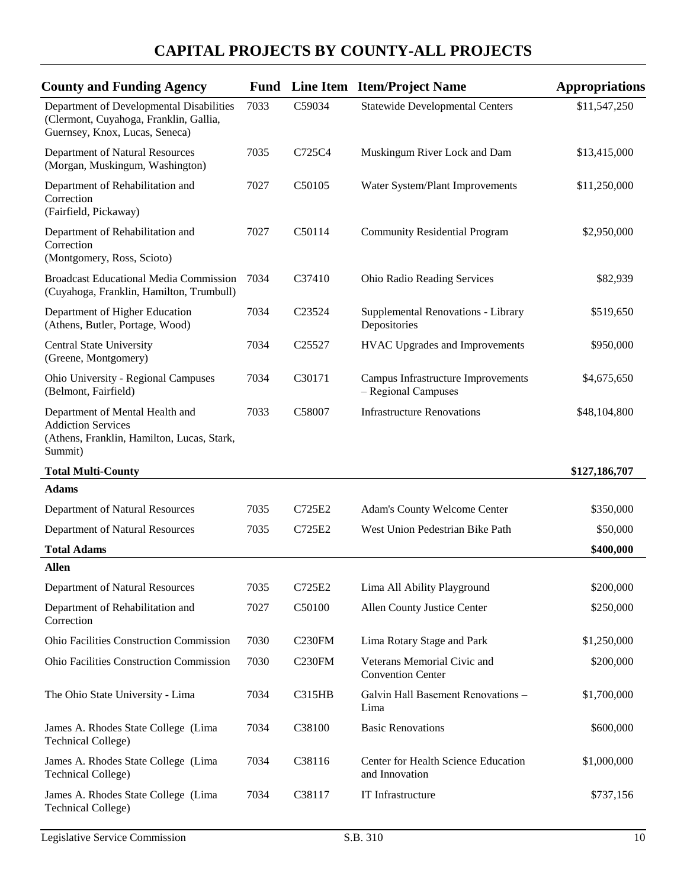| <b>County and Funding Agency</b>                                                                                      | Fund |                    | Line Item Item/Project Name                               | <b>Appropriations</b> |
|-----------------------------------------------------------------------------------------------------------------------|------|--------------------|-----------------------------------------------------------|-----------------------|
| Department of Developmental Disabilities<br>(Clermont, Cuyahoga, Franklin, Gallia,<br>Guernsey, Knox, Lucas, Seneca)  | 7033 | C59034             | <b>Statewide Developmental Centers</b>                    | \$11,547,250          |
| Department of Natural Resources<br>(Morgan, Muskingum, Washington)                                                    | 7035 | C725C4             | Muskingum River Lock and Dam                              | \$13,415,000          |
| Department of Rehabilitation and<br>Correction<br>(Fairfield, Pickaway)                                               | 7027 | C50105             | Water System/Plant Improvements                           | \$11,250,000          |
| Department of Rehabilitation and<br>Correction<br>(Montgomery, Ross, Scioto)                                          | 7027 | C50114             | <b>Community Residential Program</b>                      | \$2,950,000           |
| <b>Broadcast Educational Media Commission</b><br>(Cuyahoga, Franklin, Hamilton, Trumbull)                             | 7034 | C37410             | Ohio Radio Reading Services                               | \$82,939              |
| Department of Higher Education<br>(Athens, Butler, Portage, Wood)                                                     | 7034 | C <sub>23524</sub> | Supplemental Renovations - Library<br>Depositories        | \$519,650             |
| <b>Central State University</b><br>(Greene, Montgomery)                                                               | 7034 | C <sub>25527</sub> | <b>HVAC Upgrades and Improvements</b>                     | \$950,000             |
| Ohio University - Regional Campuses<br>(Belmont, Fairfield)                                                           | 7034 | C30171             | Campus Infrastructure Improvements<br>- Regional Campuses | \$4,675,650           |
| Department of Mental Health and<br><b>Addiction Services</b><br>(Athens, Franklin, Hamilton, Lucas, Stark,<br>Summit) | 7033 | C58007             | <b>Infrastructure Renovations</b>                         | \$48,104,800          |
| <b>Total Multi-County</b>                                                                                             |      |                    |                                                           | \$127,186,707         |
| <b>Adams</b>                                                                                                          |      |                    |                                                           |                       |
| Department of Natural Resources                                                                                       | 7035 | C725E2             | <b>Adam's County Welcome Center</b>                       | \$350,000             |
| Department of Natural Resources                                                                                       | 7035 | C725E2             | West Union Pedestrian Bike Path                           | \$50,000              |
| <b>Total Adams</b>                                                                                                    |      |                    |                                                           | \$400,000             |
| <b>Allen</b>                                                                                                          |      |                    |                                                           |                       |
| Department of Natural Resources                                                                                       | 7035 | C725E2             | Lima All Ability Playground                               | \$200,000             |
| Department of Rehabilitation and<br>Correction                                                                        | 7027 | C50100             | Allen County Justice Center                               | \$250,000             |
| <b>Ohio Facilities Construction Commission</b>                                                                        | 7030 | C <sub>230FM</sub> | Lima Rotary Stage and Park                                | \$1,250,000           |
| Ohio Facilities Construction Commission                                                                               | 7030 | C <sub>230FM</sub> | Veterans Memorial Civic and<br><b>Convention Center</b>   | \$200,000             |
| The Ohio State University - Lima                                                                                      | 7034 | <b>C315HB</b>      | Galvin Hall Basement Renovations -<br>Lima                | \$1,700,000           |
| James A. Rhodes State College (Lima<br><b>Technical College)</b>                                                      | 7034 | C38100             | <b>Basic Renovations</b>                                  | \$600,000             |
| James A. Rhodes State College (Lima<br><b>Technical College)</b>                                                      | 7034 | C38116             | Center for Health Science Education<br>and Innovation     | \$1,000,000           |
| James A. Rhodes State College (Lima<br><b>Technical College)</b>                                                      | 7034 | C38117             | IT Infrastructure                                         | \$737,156             |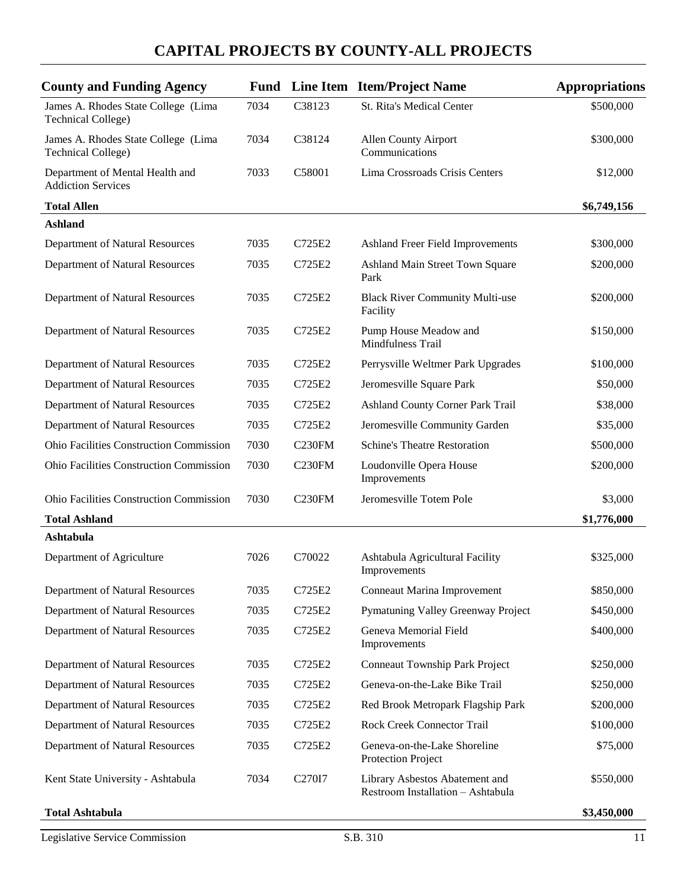| <b>County and Funding Agency</b>                                 |      |                     | <b>Fund</b> Line Item Item/Project Name                             | <b>Appropriations</b> |
|------------------------------------------------------------------|------|---------------------|---------------------------------------------------------------------|-----------------------|
| James A. Rhodes State College (Lima<br><b>Technical College)</b> | 7034 | C38123              | <b>St. Rita's Medical Center</b>                                    | \$500,000             |
| James A. Rhodes State College (Lima<br><b>Technical College)</b> | 7034 | C38124              | <b>Allen County Airport</b><br>Communications                       | \$300,000             |
| Department of Mental Health and<br><b>Addiction Services</b>     | 7033 | C58001              | Lima Crossroads Crisis Centers                                      | \$12,000              |
| <b>Total Allen</b>                                               |      |                     |                                                                     | \$6,749,156           |
| <b>Ashland</b>                                                   |      |                     |                                                                     |                       |
| Department of Natural Resources                                  | 7035 | C725E2              | Ashland Freer Field Improvements                                    | \$300,000             |
| Department of Natural Resources                                  | 7035 | C725E2              | Ashland Main Street Town Square<br>Park                             | \$200,000             |
| Department of Natural Resources                                  | 7035 | C725E2              | <b>Black River Community Multi-use</b><br>Facility                  | \$200,000             |
| Department of Natural Resources                                  | 7035 | C725E2              | Pump House Meadow and<br>Mindfulness Trail                          | \$150,000             |
| Department of Natural Resources                                  | 7035 | C725E2              | Perrysville Weltmer Park Upgrades                                   | \$100,000             |
| Department of Natural Resources                                  | 7035 | C725E2              | Jeromesville Square Park                                            | \$50,000              |
| Department of Natural Resources                                  | 7035 | C725E2              | Ashland County Corner Park Trail                                    | \$38,000              |
| Department of Natural Resources                                  | 7035 | C725E2              | Jeromesville Community Garden                                       | \$35,000              |
| <b>Ohio Facilities Construction Commission</b>                   | 7030 | C <sub>230FM</sub>  | <b>Schine's Theatre Restoration</b>                                 | \$500,000             |
| Ohio Facilities Construction Commission                          | 7030 | C <sub>230FM</sub>  | Loudonville Opera House<br>Improvements                             | \$200,000             |
| <b>Ohio Facilities Construction Commission</b>                   | 7030 | C <sub>230</sub> FM | Jeromesville Totem Pole                                             | \$3,000               |
| <b>Total Ashland</b>                                             |      |                     |                                                                     | \$1,776,000           |
| Ashtabula                                                        |      |                     |                                                                     |                       |
| Department of Agriculture                                        | 7026 | C70022              | Ashtabula Agricultural Facility<br>Improvements                     | \$325,000             |
| Department of Natural Resources                                  | 7035 | C725E2              | Conneaut Marina Improvement                                         | \$850,000             |
| Department of Natural Resources                                  | 7035 | C725E2              | Pymatuning Valley Greenway Project                                  | \$450,000             |
| Department of Natural Resources                                  | 7035 | C725E2              | Geneva Memorial Field<br>Improvements                               | \$400,000             |
| Department of Natural Resources                                  | 7035 | C725E2              | <b>Conneaut Township Park Project</b>                               | \$250,000             |
| Department of Natural Resources                                  | 7035 | C725E2              | Geneva-on-the-Lake Bike Trail                                       | \$250,000             |
| Department of Natural Resources                                  | 7035 | C725E2              | Red Brook Metropark Flagship Park                                   | \$200,000             |
| Department of Natural Resources                                  | 7035 | C725E2              | Rock Creek Connector Trail                                          | \$100,000             |
| Department of Natural Resources                                  | 7035 | C725E2              | Geneva-on-the-Lake Shoreline<br>Protection Project                  | \$75,000              |
| Kent State University - Ashtabula                                | 7034 | C270I7              | Library Asbestos Abatement and<br>Restroom Installation - Ashtabula | \$550,000             |
| <b>Total Ashtabula</b>                                           |      |                     |                                                                     | \$3,450,000           |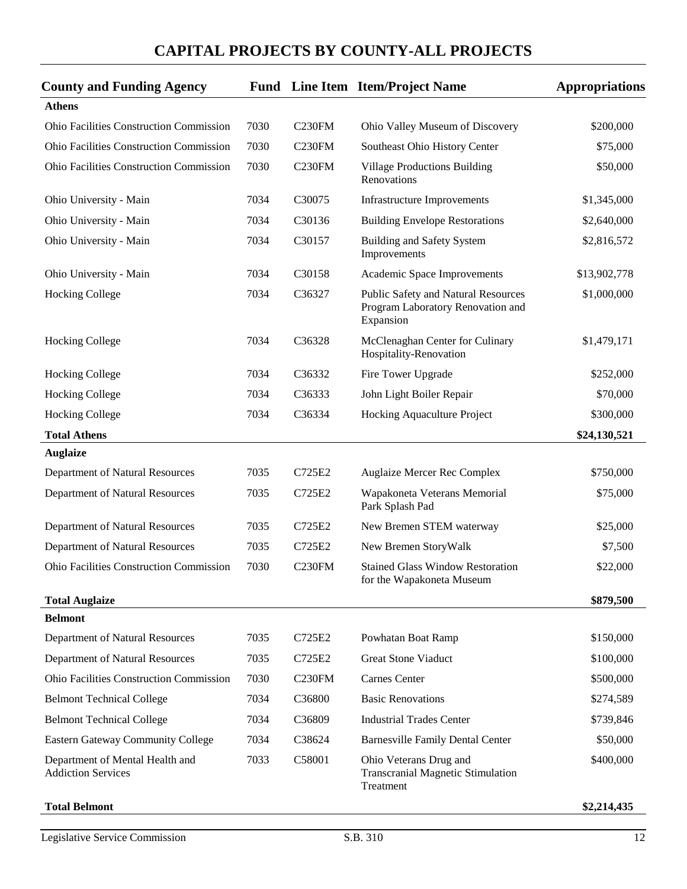| <b>County and Funding Agency</b>                             |      |                    | <b>Fund</b> Line Item Item/Project Name                                               | <b>Appropriations</b> |
|--------------------------------------------------------------|------|--------------------|---------------------------------------------------------------------------------------|-----------------------|
| <b>Athens</b>                                                |      |                    |                                                                                       |                       |
| <b>Ohio Facilities Construction Commission</b>               | 7030 | C230FM             | Ohio Valley Museum of Discovery                                                       | \$200,000             |
| Ohio Facilities Construction Commission                      | 7030 | <b>C230FM</b>      | Southeast Ohio History Center                                                         | \$75,000              |
| <b>Ohio Facilities Construction Commission</b>               | 7030 | C <sub>230FM</sub> | <b>Village Productions Building</b><br>Renovations                                    | \$50,000              |
| Ohio University - Main                                       | 7034 | C30075             | <b>Infrastructure Improvements</b>                                                    | \$1,345,000           |
| Ohio University - Main                                       | 7034 | C30136             | <b>Building Envelope Restorations</b>                                                 | \$2,640,000           |
| Ohio University - Main                                       | 7034 | C30157             | <b>Building and Safety System</b><br>Improvements                                     | \$2,816,572           |
| Ohio University - Main                                       | 7034 | C30158             | Academic Space Improvements                                                           | \$13,902,778          |
| <b>Hocking College</b>                                       | 7034 | C36327             | Public Safety and Natural Resources<br>Program Laboratory Renovation and<br>Expansion | \$1,000,000           |
| <b>Hocking College</b>                                       | 7034 | C36328             | McClenaghan Center for Culinary<br>Hospitality-Renovation                             | \$1,479,171           |
| <b>Hocking College</b>                                       | 7034 | C36332             | Fire Tower Upgrade                                                                    | \$252,000             |
| <b>Hocking College</b>                                       | 7034 | C36333             | John Light Boiler Repair                                                              | \$70,000              |
| <b>Hocking College</b>                                       | 7034 | C36334             | Hocking Aquaculture Project                                                           | \$300,000             |
| <b>Total Athens</b>                                          |      |                    |                                                                                       | \$24,130,521          |
| <b>Auglaize</b>                                              |      |                    |                                                                                       |                       |
| Department of Natural Resources                              | 7035 | C725E2             | Auglaize Mercer Rec Complex                                                           | \$750,000             |
| Department of Natural Resources                              | 7035 | C725E2             | Wapakoneta Veterans Memorial<br>Park Splash Pad                                       | \$75,000              |
| Department of Natural Resources                              | 7035 | C725E2             | New Bremen STEM waterway                                                              | \$25,000              |
| Department of Natural Resources                              | 7035 | C725E2             | New Bremen StoryWalk                                                                  | \$7,500               |
| <b>Ohio Facilities Construction Commission</b>               | 7030 | C <sub>230FM</sub> | <b>Stained Glass Window Restoration</b><br>for the Wapakoneta Museum                  | \$22,000              |
| <b>Total Auglaize</b>                                        |      |                    |                                                                                       | \$879,500             |
| <b>Belmont</b>                                               |      |                    |                                                                                       |                       |
| Department of Natural Resources                              | 7035 | C725E2             | Powhatan Boat Ramp                                                                    | \$150,000             |
| Department of Natural Resources                              | 7035 | C725E2             | <b>Great Stone Viaduct</b>                                                            | \$100,000             |
| Ohio Facilities Construction Commission                      | 7030 | <b>C230FM</b>      | Carnes Center                                                                         | \$500,000             |
| <b>Belmont Technical College</b>                             | 7034 | C36800             | <b>Basic Renovations</b>                                                              | \$274,589             |
| <b>Belmont Technical College</b>                             | 7034 | C36809             | <b>Industrial Trades Center</b>                                                       | \$739,846             |
| <b>Eastern Gateway Community College</b>                     | 7034 | C38624             | <b>Barnesville Family Dental Center</b>                                               | \$50,000              |
| Department of Mental Health and<br><b>Addiction Services</b> | 7033 | C58001             | Ohio Veterans Drug and<br><b>Transcranial Magnetic Stimulation</b><br>Treatment       | \$400,000             |
| <b>Total Belmont</b>                                         |      |                    |                                                                                       | \$2,214,435           |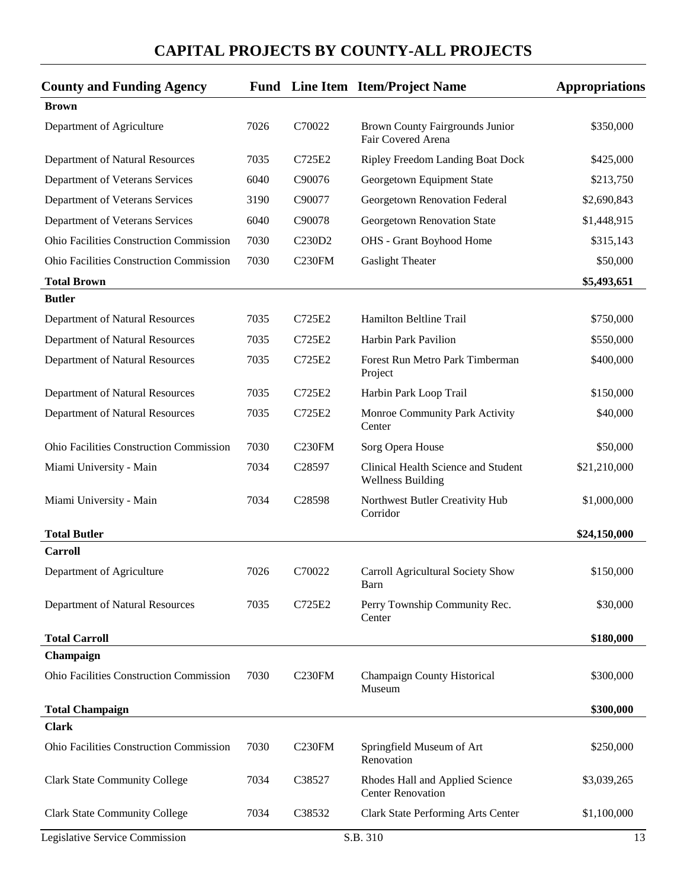| <b>County and Funding Agency</b>               |      |                    | <b>Fund</b> Line Item Item/Project Name                         | <b>Appropriations</b> |
|------------------------------------------------|------|--------------------|-----------------------------------------------------------------|-----------------------|
| <b>Brown</b>                                   |      |                    |                                                                 |                       |
| Department of Agriculture                      | 7026 | C70022             | Brown County Fairgrounds Junior<br>Fair Covered Arena           | \$350,000             |
| Department of Natural Resources                | 7035 | C725E2             | <b>Ripley Freedom Landing Boat Dock</b>                         | \$425,000             |
| Department of Veterans Services                | 6040 | C90076             | Georgetown Equipment State                                      | \$213,750             |
| Department of Veterans Services                | 3190 | C90077             | Georgetown Renovation Federal                                   | \$2,690,843           |
| Department of Veterans Services                | 6040 | C90078             | Georgetown Renovation State                                     | \$1,448,915           |
| <b>Ohio Facilities Construction Commission</b> | 7030 | C230D2             | OHS - Grant Boyhood Home                                        | \$315,143             |
| <b>Ohio Facilities Construction Commission</b> | 7030 | C <sub>230FM</sub> | <b>Gaslight Theater</b>                                         | \$50,000              |
| <b>Total Brown</b>                             |      |                    |                                                                 | \$5,493,651           |
| <b>Butler</b>                                  |      |                    |                                                                 |                       |
| Department of Natural Resources                | 7035 | C725E2             | Hamilton Beltline Trail                                         | \$750,000             |
| Department of Natural Resources                | 7035 | C725E2             | Harbin Park Pavilion                                            | \$550,000             |
| Department of Natural Resources                | 7035 | C725E2             | Forest Run Metro Park Timberman<br>Project                      | \$400,000             |
| Department of Natural Resources                | 7035 | C725E2             | Harbin Park Loop Trail                                          | \$150,000             |
| Department of Natural Resources                | 7035 | C725E2             | Monroe Community Park Activity<br>Center                        | \$40,000              |
| <b>Ohio Facilities Construction Commission</b> | 7030 | C230FM             | Sorg Opera House                                                | \$50,000              |
| Miami University - Main                        | 7034 | C <sub>28597</sub> | Clinical Health Science and Student<br><b>Wellness Building</b> | \$21,210,000          |
| Miami University - Main                        | 7034 | C28598             | Northwest Butler Creativity Hub<br>Corridor                     | \$1,000,000           |
| <b>Total Butler</b>                            |      |                    |                                                                 | \$24,150,000          |
| <b>Carroll</b>                                 |      |                    |                                                                 |                       |
| Department of Agriculture                      | 7026 | C70022             | Carroll Agricultural Society Show<br>Barn                       | \$150,000             |
| Department of Natural Resources                | 7035 | C725E2             | Perry Township Community Rec.<br>Center                         | \$30,000              |
| <b>Total Carroll</b>                           |      |                    |                                                                 | \$180,000             |
| Champaign                                      |      |                    |                                                                 |                       |
| Ohio Facilities Construction Commission        | 7030 | C <sub>230FM</sub> | <b>Champaign County Historical</b><br>Museum                    | \$300,000             |
| <b>Total Champaign</b>                         |      |                    |                                                                 | \$300,000             |
| <b>Clark</b>                                   |      |                    |                                                                 |                       |
| <b>Ohio Facilities Construction Commission</b> | 7030 | C <sub>230FM</sub> | Springfield Museum of Art<br>Renovation                         | \$250,000             |
| <b>Clark State Community College</b>           | 7034 | C38527             | Rhodes Hall and Applied Science<br><b>Center Renovation</b>     | \$3,039,265           |
| <b>Clark State Community College</b>           | 7034 | C38532             | Clark State Performing Arts Center                              | \$1,100,000           |
| Legislative Service Commission                 |      |                    | S.B. 310                                                        | 13                    |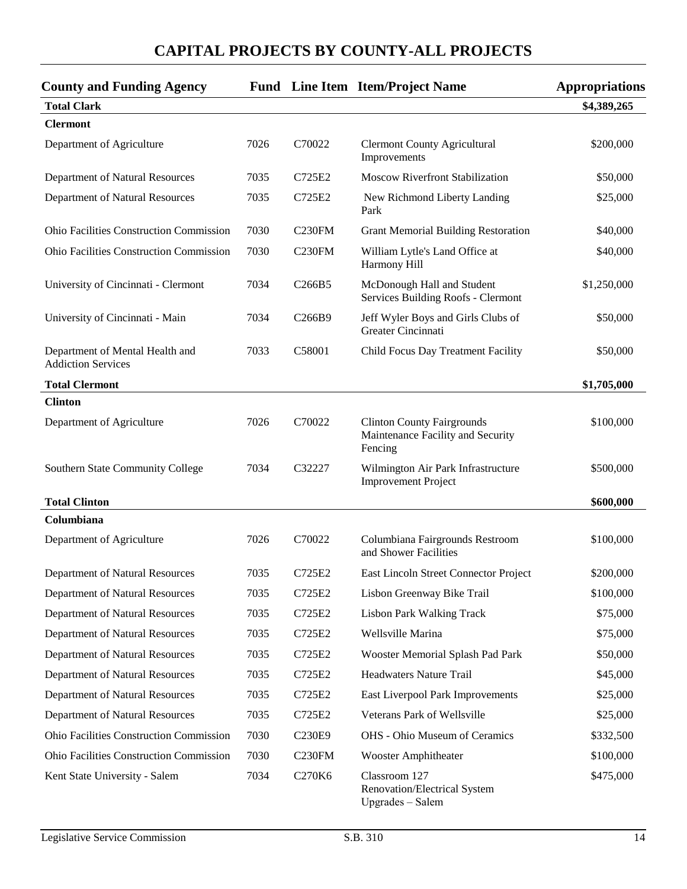| <b>County and Funding Agency</b>                             |      |                                 | Fund Line Item Item/Project Name                                                  | <b>Appropriations</b> |
|--------------------------------------------------------------|------|---------------------------------|-----------------------------------------------------------------------------------|-----------------------|
| <b>Total Clark</b>                                           |      |                                 |                                                                                   | \$4,389,265           |
| <b>Clermont</b>                                              |      |                                 |                                                                                   |                       |
| Department of Agriculture                                    | 7026 | C70022                          | <b>Clermont County Agricultural</b><br>Improvements                               | \$200,000             |
| Department of Natural Resources                              | 7035 | C725E2                          | <b>Moscow Riverfront Stabilization</b>                                            | \$50,000              |
| Department of Natural Resources                              | 7035 | C725E2                          | New Richmond Liberty Landing<br>Park                                              | \$25,000              |
| <b>Ohio Facilities Construction Commission</b>               | 7030 | C <sub>230</sub> FM             | <b>Grant Memorial Building Restoration</b>                                        | \$40,000              |
| Ohio Facilities Construction Commission                      | 7030 | C <sub>230FM</sub>              | William Lytle's Land Office at<br>Harmony Hill                                    | \$40,000              |
| University of Cincinnati - Clermont                          | 7034 | C <sub>266</sub> B <sub>5</sub> | McDonough Hall and Student<br>Services Building Roofs - Clermont                  | \$1,250,000           |
| University of Cincinnati - Main                              | 7034 | C <sub>266</sub> B9             | Jeff Wyler Boys and Girls Clubs of<br>Greater Cincinnati                          | \$50,000              |
| Department of Mental Health and<br><b>Addiction Services</b> | 7033 | C58001                          | Child Focus Day Treatment Facility                                                | \$50,000              |
| <b>Total Clermont</b>                                        |      |                                 |                                                                                   | \$1,705,000           |
| <b>Clinton</b>                                               |      |                                 |                                                                                   |                       |
| Department of Agriculture                                    | 7026 | C70022                          | <b>Clinton County Fairgrounds</b><br>Maintenance Facility and Security<br>Fencing | \$100,000             |
| Southern State Community College                             | 7034 | C32227                          | Wilmington Air Park Infrastructure<br><b>Improvement Project</b>                  | \$500,000             |
| <b>Total Clinton</b>                                         |      |                                 |                                                                                   | \$600,000             |
| Columbiana                                                   |      |                                 |                                                                                   |                       |
| Department of Agriculture                                    | 7026 | C70022                          | Columbiana Fairgrounds Restroom<br>and Shower Facilities                          | \$100,000             |
| Department of Natural Resources                              | 7035 | C725E2                          | East Lincoln Street Connector Project                                             | \$200,000             |
| Department of Natural Resources                              | 7035 | C725E2                          | Lisbon Greenway Bike Trail                                                        | \$100,000             |
| Department of Natural Resources                              | 7035 | C725E2                          | <b>Lisbon Park Walking Track</b>                                                  | \$75,000              |
| Department of Natural Resources                              | 7035 | C725E2                          | Wellsville Marina                                                                 | \$75,000              |
| Department of Natural Resources                              | 7035 | C725E2                          | Wooster Memorial Splash Pad Park                                                  | \$50,000              |
| Department of Natural Resources                              | 7035 | C725E2                          | <b>Headwaters Nature Trail</b>                                                    | \$45,000              |
| Department of Natural Resources                              | 7035 | C725E2                          | East Liverpool Park Improvements                                                  | \$25,000              |
| Department of Natural Resources                              | 7035 | C725E2                          | Veterans Park of Wellsville                                                       | \$25,000              |
| Ohio Facilities Construction Commission                      | 7030 | C230E9                          | OHS - Ohio Museum of Ceramics                                                     | \$332,500             |
| Ohio Facilities Construction Commission                      | 7030 | C <sub>230FM</sub>              | <b>Wooster Amphitheater</b>                                                       | \$100,000             |
| Kent State University - Salem                                | 7034 | C270K6                          | Classroom 127<br>Renovation/Electrical System<br>Upgrades - Salem                 | \$475,000             |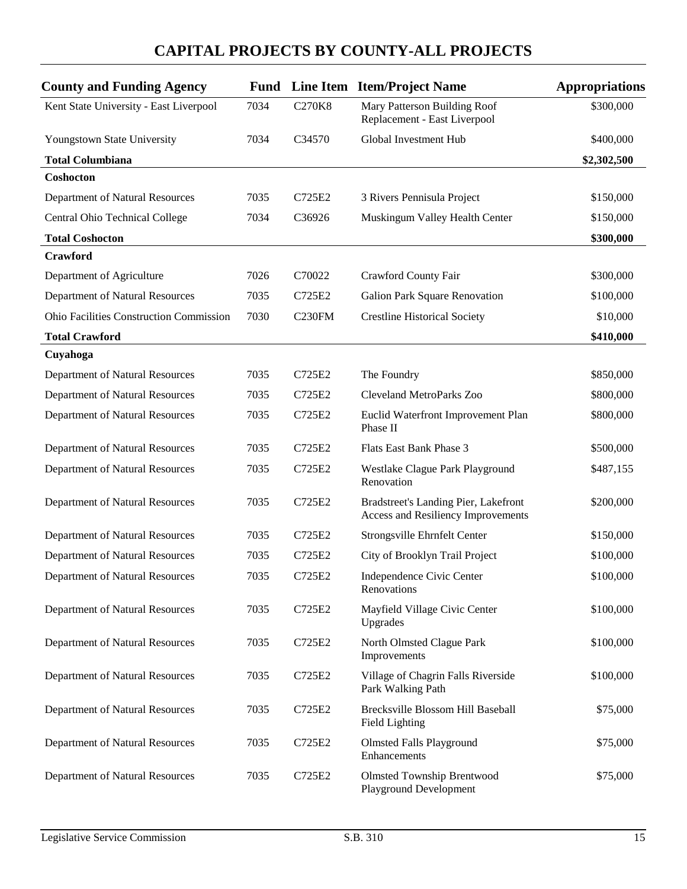| <b>County and Funding Agency</b>               |      |                    | <b>Fund</b> Line Item Item/Project Name                                    | <b>Appropriations</b> |
|------------------------------------------------|------|--------------------|----------------------------------------------------------------------------|-----------------------|
| Kent State University - East Liverpool         | 7034 | <b>C270K8</b>      | Mary Patterson Building Roof<br>Replacement - East Liverpool               | \$300,000             |
| Youngstown State University                    | 7034 | C34570             | Global Investment Hub                                                      | \$400,000             |
| <b>Total Columbiana</b>                        |      |                    |                                                                            | \$2,302,500           |
| Coshocton                                      |      |                    |                                                                            |                       |
| Department of Natural Resources                | 7035 | C725E2             | 3 Rivers Pennisula Project                                                 | \$150,000             |
| Central Ohio Technical College                 | 7034 | C36926             | Muskingum Valley Health Center                                             | \$150,000             |
| <b>Total Coshocton</b>                         |      |                    |                                                                            | \$300,000             |
| <b>Crawford</b>                                |      |                    |                                                                            |                       |
| Department of Agriculture                      | 7026 | C70022             | Crawford County Fair                                                       | \$300,000             |
| Department of Natural Resources                | 7035 | C725E2             | Galion Park Square Renovation                                              | \$100,000             |
| <b>Ohio Facilities Construction Commission</b> | 7030 | C <sub>230FM</sub> | <b>Crestline Historical Society</b>                                        | \$10,000              |
| <b>Total Crawford</b>                          |      |                    |                                                                            | \$410,000             |
| Cuyahoga                                       |      |                    |                                                                            |                       |
| Department of Natural Resources                | 7035 | C725E2             | The Foundry                                                                | \$850,000             |
| Department of Natural Resources                | 7035 | C725E2             | Cleveland MetroParks Zoo                                                   | \$800,000             |
| Department of Natural Resources                | 7035 | C725E2             | Euclid Waterfront Improvement Plan<br>Phase II                             | \$800,000             |
| Department of Natural Resources                | 7035 | C725E2             | Flats East Bank Phase 3                                                    | \$500,000             |
| Department of Natural Resources                | 7035 | C725E2             | Westlake Clague Park Playground<br>Renovation                              | \$487,155             |
| Department of Natural Resources                | 7035 | C725E2             | Bradstreet's Landing Pier, Lakefront<br>Access and Resiliency Improvements | \$200,000             |
| Department of Natural Resources                | 7035 | C725E2             | Strongsville Ehrnfelt Center                                               | \$150,000             |
| Department of Natural Resources                | 7035 | C725E2             | City of Brooklyn Trail Project                                             | \$100,000             |
| Department of Natural Resources                | 7035 | C725E2             | Independence Civic Center<br>Renovations                                   | \$100,000             |
| Department of Natural Resources                | 7035 | C725E2             | Mayfield Village Civic Center<br>Upgrades                                  | \$100,000             |
| Department of Natural Resources                | 7035 | C725E2             | North Olmsted Clague Park<br>Improvements                                  | \$100,000             |
| Department of Natural Resources                | 7035 | C725E2             | Village of Chagrin Falls Riverside<br>Park Walking Path                    | \$100,000             |
| Department of Natural Resources                | 7035 | C725E2             | Brecksville Blossom Hill Baseball<br>Field Lighting                        | \$75,000              |
| Department of Natural Resources                | 7035 | C725E2             | <b>Olmsted Falls Playground</b><br>Enhancements                            | \$75,000              |
| Department of Natural Resources                | 7035 | C725E2             | <b>Olmsted Township Brentwood</b><br><b>Playground Development</b>         | \$75,000              |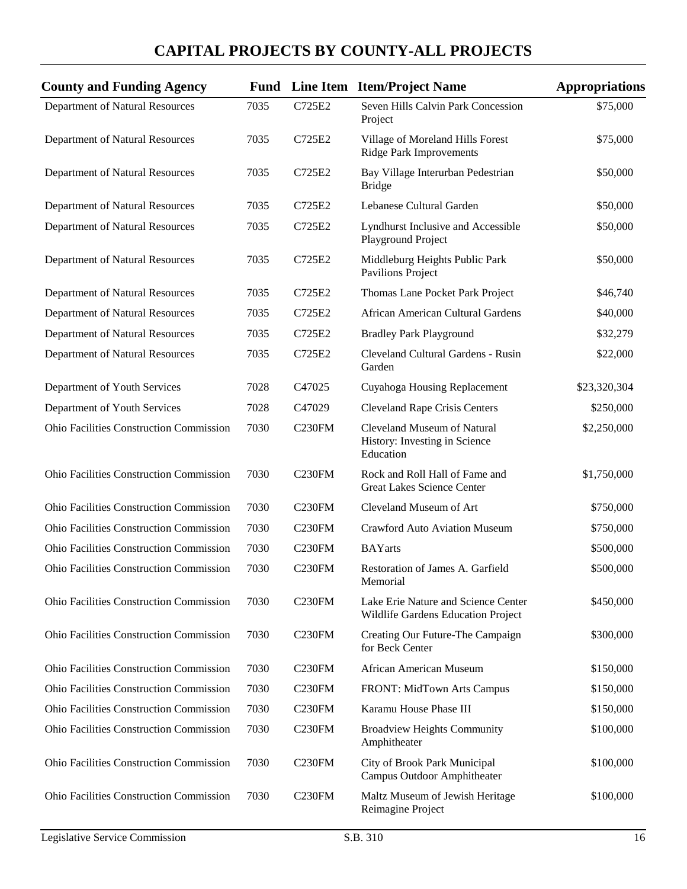| <b>County and Funding Agency</b>               |      |                     | Fund Line Item Item/Project Name                                          | <b>Appropriations</b> |
|------------------------------------------------|------|---------------------|---------------------------------------------------------------------------|-----------------------|
| Department of Natural Resources                | 7035 | C725E2              | Seven Hills Calvin Park Concession<br>Project                             | \$75,000              |
| Department of Natural Resources                | 7035 | C725E2              | Village of Moreland Hills Forest<br><b>Ridge Park Improvements</b>        | \$75,000              |
| Department of Natural Resources                | 7035 | C725E2              | Bay Village Interurban Pedestrian<br><b>Bridge</b>                        | \$50,000              |
| Department of Natural Resources                | 7035 | C725E2              | Lebanese Cultural Garden                                                  | \$50,000              |
| Department of Natural Resources                | 7035 | C725E2              | Lyndhurst Inclusive and Accessible<br>Playground Project                  | \$50,000              |
| Department of Natural Resources                | 7035 | C725E2              | Middleburg Heights Public Park<br><b>Pavilions Project</b>                | \$50,000              |
| Department of Natural Resources                | 7035 | C725E2              | Thomas Lane Pocket Park Project                                           | \$46,740              |
| Department of Natural Resources                | 7035 | C725E2              | African American Cultural Gardens                                         | \$40,000              |
| Department of Natural Resources                | 7035 | C725E2              | <b>Bradley Park Playground</b>                                            | \$32,279              |
| Department of Natural Resources                | 7035 | C725E2              | Cleveland Cultural Gardens - Rusin<br>Garden                              | \$22,000              |
| Department of Youth Services                   | 7028 | C47025              | Cuyahoga Housing Replacement                                              | \$23,320,304          |
| Department of Youth Services                   | 7028 | C47029              | <b>Cleveland Rape Crisis Centers</b>                                      | \$250,000             |
| Ohio Facilities Construction Commission        | 7030 | C <sub>230FM</sub>  | Cleveland Museum of Natural<br>History: Investing in Science<br>Education | \$2,250,000           |
| Ohio Facilities Construction Commission        | 7030 | C <sub>230FM</sub>  | Rock and Roll Hall of Fame and<br>Great Lakes Science Center              | \$1,750,000           |
| Ohio Facilities Construction Commission        | 7030 | C230FM              | Cleveland Museum of Art                                                   | \$750,000             |
| Ohio Facilities Construction Commission        | 7030 | C <sub>230FM</sub>  | <b>Crawford Auto Aviation Museum</b>                                      | \$750,000             |
| Ohio Facilities Construction Commission        | 7030 | C <sub>230FM</sub>  | <b>BAYarts</b>                                                            | \$500,000             |
| <b>Ohio Facilities Construction Commission</b> | 7030 | C230FM              | Restoration of James A. Garfield<br>Memorial                              | \$500,000             |
| <b>Ohio Facilities Construction Commission</b> | 7030 | C230FM              | Lake Erie Nature and Science Center<br>Wildlife Gardens Education Project | \$450,000             |
| <b>Ohio Facilities Construction Commission</b> | 7030 | C <sub>230FM</sub>  | Creating Our Future-The Campaign<br>for Beck Center                       | \$300,000             |
| <b>Ohio Facilities Construction Commission</b> | 7030 | C <sub>230</sub> FM | African American Museum                                                   | \$150,000             |
| Ohio Facilities Construction Commission        | 7030 | C <sub>230FM</sub>  | FRONT: MidTown Arts Campus                                                | \$150,000             |
| <b>Ohio Facilities Construction Commission</b> | 7030 | C <sub>230</sub> FM | Karamu House Phase III                                                    | \$150,000             |
| Ohio Facilities Construction Commission        | 7030 | C <sub>230FM</sub>  | <b>Broadview Heights Community</b><br>Amphitheater                        | \$100,000             |
| <b>Ohio Facilities Construction Commission</b> | 7030 | C <sub>230FM</sub>  | City of Brook Park Municipal<br>Campus Outdoor Amphitheater               | \$100,000             |
| Ohio Facilities Construction Commission        | 7030 | C <sub>230FM</sub>  | Maltz Museum of Jewish Heritage<br>Reimagine Project                      | \$100,000             |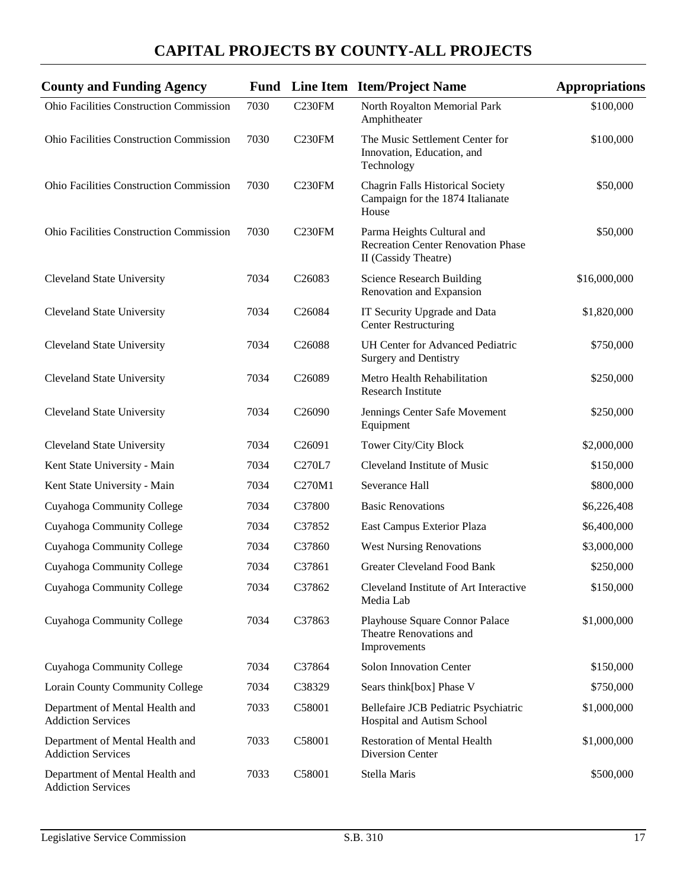| <b>County and Funding Agency</b>                             | Fund |                    | Line Item Item/Project Name                                                                     | <b>Appropriations</b> |
|--------------------------------------------------------------|------|--------------------|-------------------------------------------------------------------------------------------------|-----------------------|
| Ohio Facilities Construction Commission                      | 7030 | <b>C230FM</b>      | North Royalton Memorial Park<br>Amphitheater                                                    | \$100,000             |
| Ohio Facilities Construction Commission                      | 7030 | C <sub>230FM</sub> | The Music Settlement Center for<br>Innovation, Education, and<br>Technology                     | \$100,000             |
| <b>Ohio Facilities Construction Commission</b>               | 7030 | C230FM             | <b>Chagrin Falls Historical Society</b><br>Campaign for the 1874 Italianate<br>House            | \$50,000              |
| Ohio Facilities Construction Commission                      | 7030 | C <sub>230FM</sub> | Parma Heights Cultural and<br><b>Recreation Center Renovation Phase</b><br>II (Cassidy Theatre) | \$50,000              |
| <b>Cleveland State University</b>                            | 7034 | C26083             | <b>Science Research Building</b><br>Renovation and Expansion                                    | \$16,000,000          |
| <b>Cleveland State University</b>                            | 7034 | C26084             | IT Security Upgrade and Data<br><b>Center Restructuring</b>                                     | \$1,820,000           |
| <b>Cleveland State University</b>                            | 7034 | C <sub>26088</sub> | <b>UH Center for Advanced Pediatric</b><br><b>Surgery and Dentistry</b>                         | \$750,000             |
| <b>Cleveland State University</b>                            | 7034 | C <sub>26089</sub> | Metro Health Rehabilitation<br><b>Research Institute</b>                                        | \$250,000             |
| <b>Cleveland State University</b>                            | 7034 | C <sub>26090</sub> | Jennings Center Safe Movement<br>Equipment                                                      | \$250,000             |
| <b>Cleveland State University</b>                            | 7034 | C <sub>26091</sub> | Tower City/City Block                                                                           | \$2,000,000           |
| Kent State University - Main                                 | 7034 | C270L7             | Cleveland Institute of Music                                                                    | \$150,000             |
| Kent State University - Main                                 | 7034 | C270M1             | Severance Hall                                                                                  | \$800,000             |
| Cuyahoga Community College                                   | 7034 | C37800             | <b>Basic Renovations</b>                                                                        | \$6,226,408           |
| Cuyahoga Community College                                   | 7034 | C37852             | East Campus Exterior Plaza                                                                      | \$6,400,000           |
| Cuyahoga Community College                                   | 7034 | C37860             | <b>West Nursing Renovations</b>                                                                 | \$3,000,000           |
| Cuyahoga Community College                                   | 7034 | C37861             | <b>Greater Cleveland Food Bank</b>                                                              | \$250,000             |
| Cuyahoga Community College                                   | 7034 | C37862             | Cleveland Institute of Art Interactive<br>Media Lab                                             | \$150,000             |
| Cuyahoga Community College                                   | 7034 | C37863             | Playhouse Square Connor Palace<br>Theatre Renovations and<br>Improvements                       | \$1,000,000           |
| Cuyahoga Community College                                   | 7034 | C37864             | Solon Innovation Center                                                                         | \$150,000             |
| Lorain County Community College                              | 7034 | C38329             | Sears think[box] Phase V                                                                        | \$750,000             |
| Department of Mental Health and<br><b>Addiction Services</b> | 7033 | C58001             | Bellefaire JCB Pediatric Psychiatric<br>Hospital and Autism School                              | \$1,000,000           |
| Department of Mental Health and<br><b>Addiction Services</b> | 7033 | C58001             | <b>Restoration of Mental Health</b><br>Diversion Center                                         | \$1,000,000           |
| Department of Mental Health and<br><b>Addiction Services</b> | 7033 | C58001             | Stella Maris                                                                                    | \$500,000             |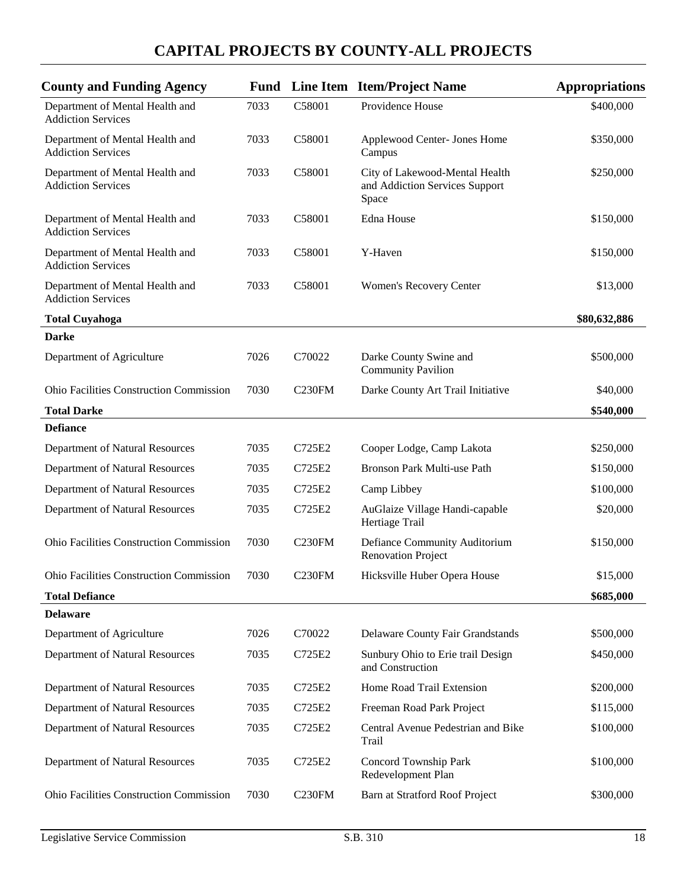| <b>County and Funding Agency</b>                             |      |                    | <b>Fund</b> Line Item Item/Project Name                                   | <b>Appropriations</b> |
|--------------------------------------------------------------|------|--------------------|---------------------------------------------------------------------------|-----------------------|
| Department of Mental Health and<br><b>Addiction Services</b> | 7033 | C58001             | Providence House                                                          | \$400,000             |
| Department of Mental Health and<br><b>Addiction Services</b> | 7033 | C58001             | Applewood Center- Jones Home<br>Campus                                    | \$350,000             |
| Department of Mental Health and<br><b>Addiction Services</b> | 7033 | C58001             | City of Lakewood-Mental Health<br>and Addiction Services Support<br>Space | \$250,000             |
| Department of Mental Health and<br><b>Addiction Services</b> | 7033 | C58001             | Edna House                                                                | \$150,000             |
| Department of Mental Health and<br><b>Addiction Services</b> | 7033 | C58001             | Y-Haven                                                                   | \$150,000             |
| Department of Mental Health and<br><b>Addiction Services</b> | 7033 | C58001             | Women's Recovery Center                                                   | \$13,000              |
| <b>Total Cuyahoga</b>                                        |      |                    |                                                                           | \$80,632,886          |
| <b>Darke</b>                                                 |      |                    |                                                                           |                       |
| Department of Agriculture                                    | 7026 | C70022             | Darke County Swine and<br><b>Community Pavilion</b>                       | \$500,000             |
| <b>Ohio Facilities Construction Commission</b>               | 7030 | <b>C230FM</b>      | Darke County Art Trail Initiative                                         | \$40,000              |
| <b>Total Darke</b>                                           |      |                    |                                                                           | \$540,000             |
| <b>Defiance</b>                                              |      |                    |                                                                           |                       |
| Department of Natural Resources                              | 7035 | C725E2             | Cooper Lodge, Camp Lakota                                                 | \$250,000             |
| Department of Natural Resources                              | 7035 | C725E2             | Bronson Park Multi-use Path                                               | \$150,000             |
| Department of Natural Resources                              | 7035 | C725E2             | Camp Libbey                                                               | \$100,000             |
| Department of Natural Resources                              | 7035 | C725E2             | AuGlaize Village Handi-capable<br>Hertiage Trail                          | \$20,000              |
| Ohio Facilities Construction Commission                      | 7030 | C <sub>230FM</sub> | Defiance Community Auditorium<br><b>Renovation Project</b>                | \$150,000             |
| Ohio Facilities Construction Commission                      | 7030 | C <sub>230FM</sub> | Hicksville Huber Opera House                                              | \$15,000              |
| <b>Total Defiance</b>                                        |      |                    |                                                                           | \$685,000             |
| <b>Delaware</b>                                              |      |                    |                                                                           |                       |
| Department of Agriculture                                    | 7026 | C70022             | Delaware County Fair Grandstands                                          | \$500,000             |
| Department of Natural Resources                              | 7035 | C725E2             | Sunbury Ohio to Erie trail Design<br>and Construction                     | \$450,000             |
| Department of Natural Resources                              | 7035 | C725E2             | Home Road Trail Extension                                                 | \$200,000             |
| Department of Natural Resources                              | 7035 | C725E2             | Freeman Road Park Project                                                 | \$115,000             |
| Department of Natural Resources                              | 7035 | C725E2             | Central Avenue Pedestrian and Bike<br>Trail                               | \$100,000             |
| Department of Natural Resources                              | 7035 | C725E2             | Concord Township Park<br>Redevelopment Plan                               | \$100,000             |
| <b>Ohio Facilities Construction Commission</b>               | 7030 | C <sub>230FM</sub> | Barn at Stratford Roof Project                                            | \$300,000             |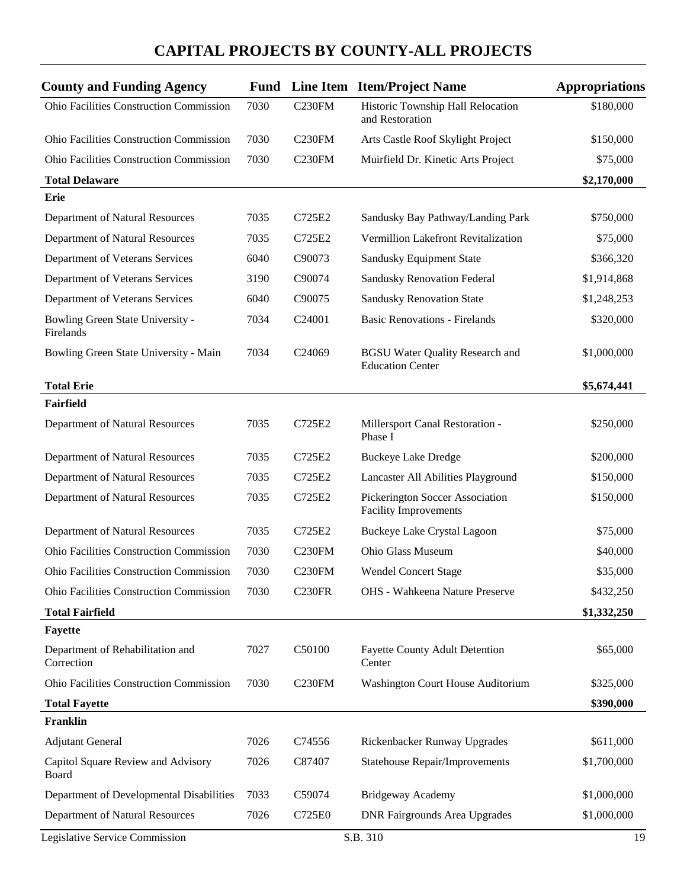| <b>County and Funding Agency</b>               | Fund |                    | Line Item Item/Project Name                                       | <b>Appropriations</b> |
|------------------------------------------------|------|--------------------|-------------------------------------------------------------------|-----------------------|
| Ohio Facilities Construction Commission        | 7030 | C <sub>230FM</sub> | Historic Township Hall Relocation<br>and Restoration              | \$180,000             |
| <b>Ohio Facilities Construction Commission</b> | 7030 | C <sub>230FM</sub> | Arts Castle Roof Skylight Project                                 | \$150,000             |
| Ohio Facilities Construction Commission        | 7030 | C <sub>230FM</sub> | Muirfield Dr. Kinetic Arts Project                                | \$75,000              |
| <b>Total Delaware</b>                          |      |                    |                                                                   | \$2,170,000           |
| Erie                                           |      |                    |                                                                   |                       |
| Department of Natural Resources                | 7035 | C725E2             | Sandusky Bay Pathway/Landing Park                                 | \$750,000             |
| Department of Natural Resources                | 7035 | C725E2             | Vermillion Lakefront Revitalization                               | \$75,000              |
| Department of Veterans Services                | 6040 | C90073             | Sandusky Equipment State                                          | \$366,320             |
| Department of Veterans Services                | 3190 | C90074             | Sandusky Renovation Federal                                       | \$1,914,868           |
| Department of Veterans Services                | 6040 | C90075             | <b>Sandusky Renovation State</b>                                  | \$1,248,253           |
| Bowling Green State University -<br>Firelands  | 7034 | C24001             | <b>Basic Renovations - Firelands</b>                              | \$320,000             |
| Bowling Green State University - Main          | 7034 | C <sub>24069</sub> | <b>BGSU Water Quality Research and</b><br><b>Education Center</b> | \$1,000,000           |
| <b>Total Erie</b>                              |      |                    |                                                                   | \$5,674,441           |
| Fairfield                                      |      |                    |                                                                   |                       |
| Department of Natural Resources                | 7035 | C725E2             | Millersport Canal Restoration -<br>Phase I                        | \$250,000             |
| Department of Natural Resources                | 7035 | C725E2             | <b>Buckeye Lake Dredge</b>                                        | \$200,000             |
| Department of Natural Resources                | 7035 | C725E2             | Lancaster All Abilities Playground                                | \$150,000             |
| Department of Natural Resources                | 7035 | C725E2             | Pickerington Soccer Association<br><b>Facility Improvements</b>   | \$150,000             |
| Department of Natural Resources                | 7035 | C725E2             | <b>Buckeye Lake Crystal Lagoon</b>                                | \$75,000              |
| <b>Ohio Facilities Construction Commission</b> | 7030 | C <sub>230FM</sub> | Ohio Glass Museum                                                 | \$40,000              |
| <b>Ohio Facilities Construction Commission</b> | 7030 | C <sub>230FM</sub> | <b>Wendel Concert Stage</b>                                       | \$35,000              |
| <b>Ohio Facilities Construction Commission</b> | 7030 | <b>C230FR</b>      | OHS - Wahkeena Nature Preserve                                    | \$432,250             |
| <b>Total Fairfield</b>                         |      |                    |                                                                   | \$1,332,250           |
| <b>Fayette</b>                                 |      |                    |                                                                   |                       |
| Department of Rehabilitation and<br>Correction | 7027 | C50100             | <b>Fayette County Adult Detention</b><br>Center                   | \$65,000              |
| <b>Ohio Facilities Construction Commission</b> | 7030 | C <sub>230FM</sub> | Washington Court House Auditorium                                 | \$325,000             |
| <b>Total Fayette</b>                           |      |                    |                                                                   | \$390,000             |
| <b>Franklin</b>                                |      |                    |                                                                   |                       |
| <b>Adjutant General</b>                        | 7026 | C74556             | Rickenbacker Runway Upgrades                                      | \$611,000             |
| Capitol Square Review and Advisory<br>Board    | 7026 | C87407             | <b>Statehouse Repair/Improvements</b>                             | \$1,700,000           |
| Department of Developmental Disabilities       | 7033 | C59074             | Bridgeway Academy                                                 | \$1,000,000           |
| Department of Natural Resources                | 7026 | C725E0             | <b>DNR Fairgrounds Area Upgrades</b>                              | \$1,000,000           |
| Legislative Service Commission                 |      |                    | S.B. 310                                                          | 19                    |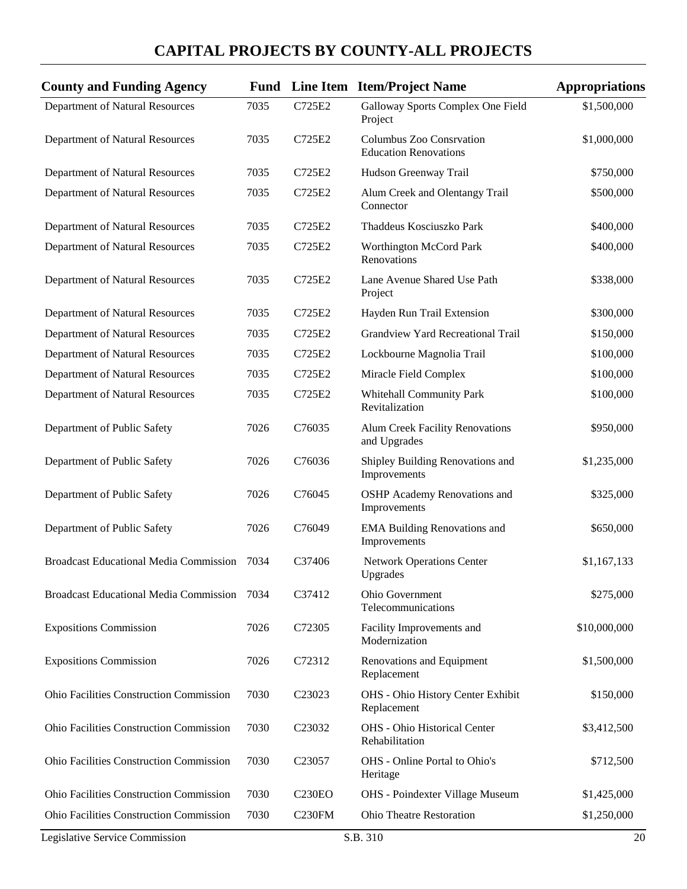| <b>County and Funding Agency</b>               |      |                    | <b>Fund</b> Line Item Item/Project Name                  | <b>Appropriations</b> |
|------------------------------------------------|------|--------------------|----------------------------------------------------------|-----------------------|
| Department of Natural Resources                | 7035 | C725E2             | Galloway Sports Complex One Field<br>Project             | \$1,500,000           |
| Department of Natural Resources                | 7035 | C725E2             | Columbus Zoo Consrvation<br><b>Education Renovations</b> | \$1,000,000           |
| Department of Natural Resources                | 7035 | C725E2             | Hudson Greenway Trail                                    | \$750,000             |
| Department of Natural Resources                | 7035 | C725E2             | Alum Creek and Olentangy Trail<br>Connector              | \$500,000             |
| Department of Natural Resources                | 7035 | C725E2             | Thaddeus Kosciuszko Park                                 | \$400,000             |
| Department of Natural Resources                | 7035 | C725E2             | <b>Worthington McCord Park</b><br>Renovations            | \$400,000             |
| Department of Natural Resources                | 7035 | C725E2             | Lane Avenue Shared Use Path<br>Project                   | \$338,000             |
| Department of Natural Resources                | 7035 | C725E2             | Hayden Run Trail Extension                               | \$300,000             |
| Department of Natural Resources                | 7035 | C725E2             | <b>Grandview Yard Recreational Trail</b>                 | \$150,000             |
| Department of Natural Resources                | 7035 | C725E2             | Lockbourne Magnolia Trail                                | \$100,000             |
| Department of Natural Resources                | 7035 | C725E2             | Miracle Field Complex                                    | \$100,000             |
| Department of Natural Resources                | 7035 | C725E2             | <b>Whitehall Community Park</b><br>Revitalization        | \$100,000             |
| Department of Public Safety                    | 7026 | C76035             | <b>Alum Creek Facility Renovations</b><br>and Upgrades   | \$950,000             |
| Department of Public Safety                    | 7026 | C76036             | Shipley Building Renovations and<br>Improvements         | \$1,235,000           |
| Department of Public Safety                    | 7026 | C76045             | <b>OSHP</b> Academy Renovations and<br>Improvements      | \$325,000             |
| Department of Public Safety                    | 7026 | C76049             | <b>EMA Building Renovations and</b><br>Improvements      | \$650,000             |
| <b>Broadcast Educational Media Commission</b>  | 7034 | C37406             | <b>Network Operations Center</b><br>Upgrades             | \$1,167,133           |
| Broadcast Educational Media Commission 7034    |      | C37412             | <b>Ohio Government</b><br>Telecommunications             | \$275,000             |
| <b>Expositions Commission</b>                  | 7026 | C72305             | Facility Improvements and<br>Modernization               | \$10,000,000          |
| <b>Expositions Commission</b>                  | 7026 | C72312             | Renovations and Equipment<br>Replacement                 | \$1,500,000           |
| <b>Ohio Facilities Construction Commission</b> | 7030 | C <sub>23023</sub> | OHS - Ohio History Center Exhibit<br>Replacement         | \$150,000             |
| <b>Ohio Facilities Construction Commission</b> | 7030 | C <sub>23032</sub> | OHS - Ohio Historical Center<br>Rehabilitation           | \$3,412,500           |
| Ohio Facilities Construction Commission        | 7030 | C <sub>23057</sub> | OHS - Online Portal to Ohio's<br>Heritage                | \$712,500             |
| <b>Ohio Facilities Construction Commission</b> | 7030 | <b>C230EO</b>      | OHS - Poindexter Village Museum                          | \$1,425,000           |
| Ohio Facilities Construction Commission        | 7030 | C <sub>230FM</sub> | Ohio Theatre Restoration                                 | \$1,250,000           |
| Legislative Service Commission                 |      |                    | S.B. 310                                                 | 20                    |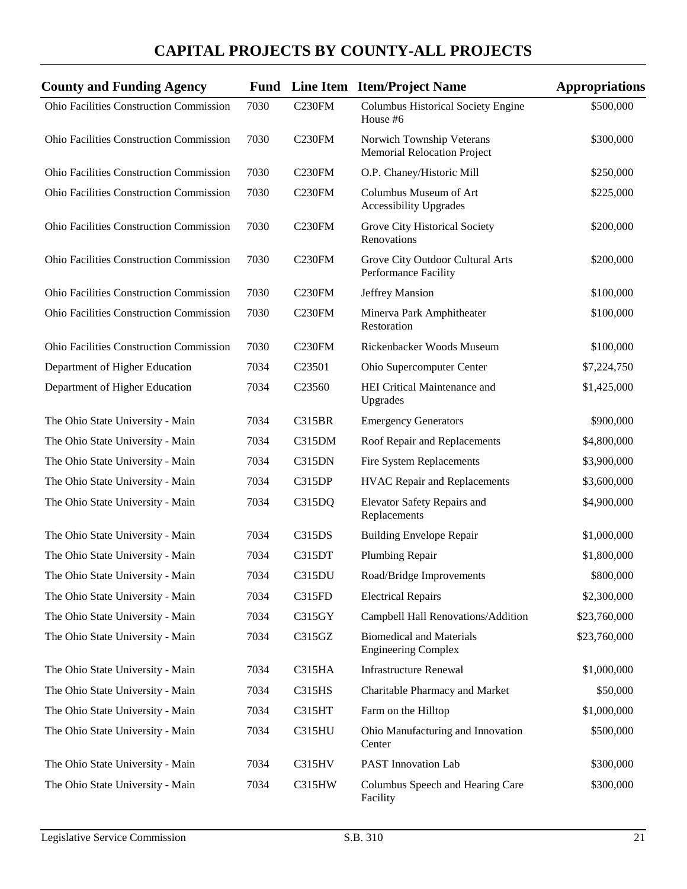| <b>County and Funding Agency</b>               |      |                    | Fund Line Item Item/Project Name                                | <b>Appropriations</b> |
|------------------------------------------------|------|--------------------|-----------------------------------------------------------------|-----------------------|
| Ohio Facilities Construction Commission        | 7030 | <b>C230FM</b>      | <b>Columbus Historical Society Engine</b><br>House #6           | \$500,000             |
| Ohio Facilities Construction Commission        | 7030 | C <sub>230FM</sub> | Norwich Township Veterans<br><b>Memorial Relocation Project</b> | \$300,000             |
| <b>Ohio Facilities Construction Commission</b> | 7030 | C230FM             | O.P. Chaney/Historic Mill                                       | \$250,000             |
| Ohio Facilities Construction Commission        | 7030 | C <sub>230FM</sub> | Columbus Museum of Art<br><b>Accessibility Upgrades</b>         | \$225,000             |
| <b>Ohio Facilities Construction Commission</b> | 7030 | <b>C230FM</b>      | Grove City Historical Society<br>Renovations                    | \$200,000             |
| Ohio Facilities Construction Commission        | 7030 | C <sub>230FM</sub> | Grove City Outdoor Cultural Arts<br>Performance Facility        | \$200,000             |
| Ohio Facilities Construction Commission        | 7030 | C <sub>230FM</sub> | Jeffrey Mansion                                                 | \$100,000             |
| <b>Ohio Facilities Construction Commission</b> | 7030 | C230FM             | Minerva Park Amphitheater<br>Restoration                        | \$100,000             |
| Ohio Facilities Construction Commission        | 7030 | C <sub>230FM</sub> | Rickenbacker Woods Museum                                       | \$100,000             |
| Department of Higher Education                 | 7034 | C <sub>23501</sub> | Ohio Supercomputer Center                                       | \$7,224,750           |
| Department of Higher Education                 | 7034 | C23560             | HEI Critical Maintenance and<br>Upgrades                        | \$1,425,000           |
| The Ohio State University - Main               | 7034 | C315BR             | <b>Emergency Generators</b>                                     | \$900,000             |
| The Ohio State University - Main               | 7034 | C315DM             | Roof Repair and Replacements                                    | \$4,800,000           |
| The Ohio State University - Main               | 7034 | C315DN             | Fire System Replacements                                        | \$3,900,000           |
| The Ohio State University - Main               | 7034 | C315DP             | <b>HVAC Repair and Replacements</b>                             | \$3,600,000           |
| The Ohio State University - Main               | 7034 | C315DQ             | Elevator Safety Repairs and<br>Replacements                     | \$4,900,000           |
| The Ohio State University - Main               | 7034 | C315DS             | <b>Building Envelope Repair</b>                                 | \$1,000,000           |
| The Ohio State University - Main               | 7034 | C315DT             | Plumbing Repair                                                 | \$1,800,000           |
| The Ohio State University - Main               | 7034 | C315DU             | Road/Bridge Improvements                                        | \$800,000             |
| The Ohio State University - Main               | 7034 | C315FD             | <b>Electrical Repairs</b>                                       | \$2,300,000           |
| The Ohio State University - Main               | 7034 | C315GY             | Campbell Hall Renovations/Addition                              | \$23,760,000          |
| The Ohio State University - Main               | 7034 | C315GZ             | <b>Biomedical and Materials</b><br><b>Engineering Complex</b>   | \$23,760,000          |
| The Ohio State University - Main               | 7034 | C315HA             | <b>Infrastructure Renewal</b>                                   | \$1,000,000           |
| The Ohio State University - Main               | 7034 | <b>C315HS</b>      | Charitable Pharmacy and Market                                  | \$50,000              |
| The Ohio State University - Main               | 7034 | C315HT             | Farm on the Hilltop                                             | \$1,000,000           |
| The Ohio State University - Main               | 7034 | <b>C315HU</b>      | Ohio Manufacturing and Innovation<br>Center                     | \$500,000             |
| The Ohio State University - Main               | 7034 | C315HV             | PAST Innovation Lab                                             | \$300,000             |
| The Ohio State University - Main               | 7034 | C315HW             | Columbus Speech and Hearing Care<br>Facility                    | \$300,000             |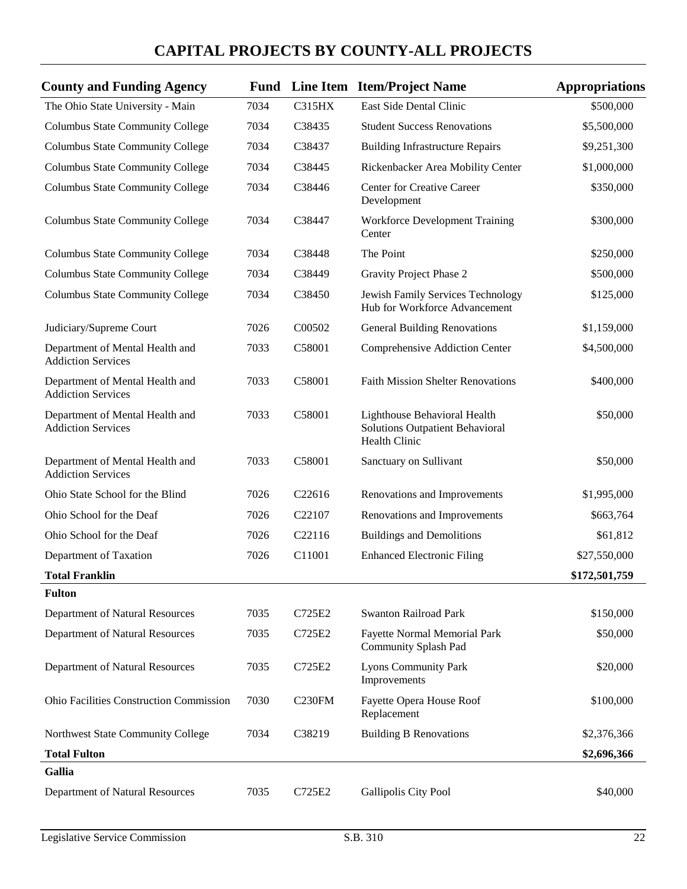| <b>County and Funding Agency</b>                             |      |                    | <b>Fund</b> Line Item Item/Project Name                                          | <b>Appropriations</b> |
|--------------------------------------------------------------|------|--------------------|----------------------------------------------------------------------------------|-----------------------|
| The Ohio State University - Main                             | 7034 | <b>C315HX</b>      | East Side Dental Clinic                                                          | \$500,000             |
| <b>Columbus State Community College</b>                      | 7034 | C38435             | <b>Student Success Renovations</b>                                               | \$5,500,000           |
| <b>Columbus State Community College</b>                      | 7034 | C38437             | <b>Building Infrastructure Repairs</b>                                           | \$9,251,300           |
| <b>Columbus State Community College</b>                      | 7034 | C38445             | Rickenbacker Area Mobility Center                                                | \$1,000,000           |
| <b>Columbus State Community College</b>                      | 7034 | C38446             | Center for Creative Career<br>Development                                        | \$350,000             |
| Columbus State Community College                             | 7034 | C38447             | <b>Workforce Development Training</b><br>Center                                  | \$300,000             |
| Columbus State Community College                             | 7034 | C38448             | The Point                                                                        | \$250,000             |
| <b>Columbus State Community College</b>                      | 7034 | C38449             | Gravity Project Phase 2                                                          | \$500,000             |
| Columbus State Community College                             | 7034 | C38450             | Jewish Family Services Technology<br>Hub for Workforce Advancement               | \$125,000             |
| Judiciary/Supreme Court                                      | 7026 | C00502             | <b>General Building Renovations</b>                                              | \$1,159,000           |
| Department of Mental Health and<br><b>Addiction Services</b> | 7033 | C58001             | Comprehensive Addiction Center                                                   | \$4,500,000           |
| Department of Mental Health and<br><b>Addiction Services</b> | 7033 | C58001             | <b>Faith Mission Shelter Renovations</b>                                         | \$400,000             |
| Department of Mental Health and<br><b>Addiction Services</b> | 7033 | C58001             | Lighthouse Behavioral Health<br>Solutions Outpatient Behavioral<br>Health Clinic | \$50,000              |
| Department of Mental Health and<br><b>Addiction Services</b> | 7033 | C58001             | Sanctuary on Sullivant                                                           | \$50,000              |
| Ohio State School for the Blind                              | 7026 | C22616             | Renovations and Improvements                                                     | \$1,995,000           |
| Ohio School for the Deaf                                     | 7026 | C <sub>22107</sub> | Renovations and Improvements                                                     | \$663,764             |
| Ohio School for the Deaf                                     | 7026 | C <sub>22116</sub> | <b>Buildings and Demolitions</b>                                                 | \$61,812              |
| Department of Taxation                                       | 7026 | C11001             | <b>Enhanced Electronic Filing</b>                                                | \$27,550,000          |
| <b>Total Franklin</b>                                        |      |                    |                                                                                  | \$172,501,759         |
| <b>Fulton</b>                                                |      |                    |                                                                                  |                       |
| Department of Natural Resources                              | 7035 | C725E2             | <b>Swanton Railroad Park</b>                                                     | \$150,000             |
| Department of Natural Resources                              | 7035 | C725E2             | Fayette Normal Memorial Park<br><b>Community Splash Pad</b>                      | \$50,000              |
| Department of Natural Resources                              | 7035 | C725E2             | <b>Lyons Community Park</b><br>Improvements                                      | \$20,000              |
| Ohio Facilities Construction Commission                      | 7030 | C <sub>230FM</sub> | Fayette Opera House Roof<br>Replacement                                          | \$100,000             |
| Northwest State Community College                            | 7034 | C38219             | <b>Building B Renovations</b>                                                    | \$2,376,366           |
| <b>Total Fulton</b>                                          |      |                    |                                                                                  | \$2,696,366           |
| <b>Gallia</b>                                                |      |                    |                                                                                  |                       |
| Department of Natural Resources                              | 7035 | C725E2             | Gallipolis City Pool                                                             | \$40,000              |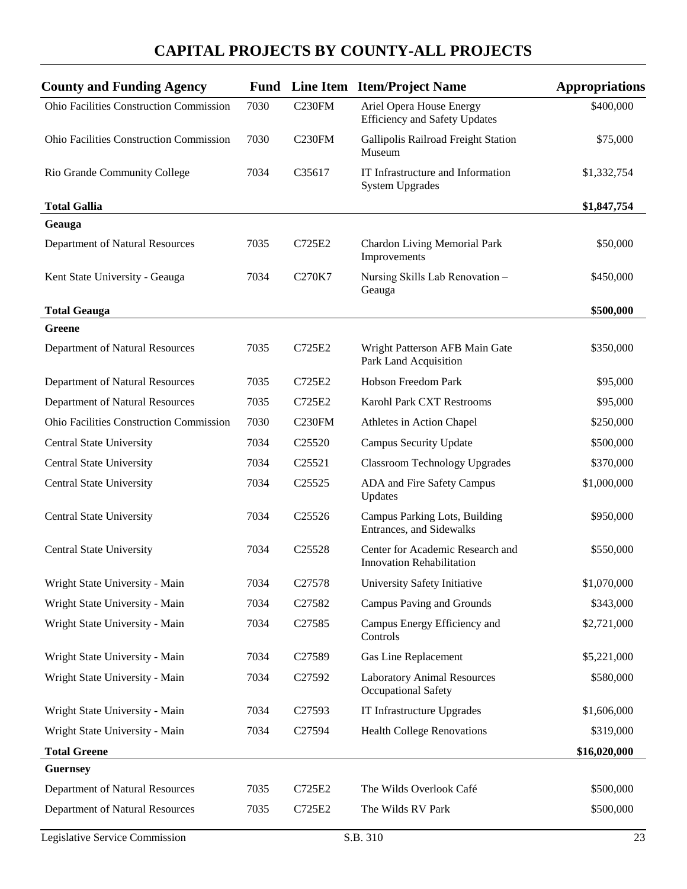| <b>County and Funding Agency</b>               | <b>Fund</b> |                    | Line Item Item/Project Name                                          | <b>Appropriations</b> |
|------------------------------------------------|-------------|--------------------|----------------------------------------------------------------------|-----------------------|
| Ohio Facilities Construction Commission        | 7030        | <b>C230FM</b>      | Ariel Opera House Energy<br><b>Efficiency and Safety Updates</b>     | \$400,000             |
| <b>Ohio Facilities Construction Commission</b> | 7030        | C230FM             | Gallipolis Railroad Freight Station<br>Museum                        | \$75,000              |
| Rio Grande Community College                   | 7034        | C35617             | IT Infrastructure and Information<br><b>System Upgrades</b>          | \$1,332,754           |
| <b>Total Gallia</b>                            |             |                    |                                                                      | \$1,847,754           |
| Geauga                                         |             |                    |                                                                      |                       |
| Department of Natural Resources                | 7035        | C725E2             | <b>Chardon Living Memorial Park</b><br>Improvements                  | \$50,000              |
| Kent State University - Geauga                 | 7034        | C270K7             | Nursing Skills Lab Renovation-<br>Geauga                             | \$450,000             |
| <b>Total Geauga</b>                            |             |                    |                                                                      | \$500,000             |
| <b>Greene</b>                                  |             |                    |                                                                      |                       |
| Department of Natural Resources                | 7035        | C725E2             | Wright Patterson AFB Main Gate<br>Park Land Acquisition              | \$350,000             |
| Department of Natural Resources                | 7035        | C725E2             | Hobson Freedom Park                                                  | \$95,000              |
| Department of Natural Resources                | 7035        | C725E2             | Karohl Park CXT Restrooms                                            | \$95,000              |
| <b>Ohio Facilities Construction Commission</b> | 7030        | <b>C230FM</b>      | Athletes in Action Chapel                                            | \$250,000             |
| Central State University                       | 7034        | C <sub>25520</sub> | <b>Campus Security Update</b>                                        | \$500,000             |
| Central State University                       | 7034        | C <sub>25521</sub> | <b>Classroom Technology Upgrades</b>                                 | \$370,000             |
| <b>Central State University</b>                | 7034        | C <sub>25525</sub> | ADA and Fire Safety Campus<br>Updates                                | \$1,000,000           |
| <b>Central State University</b>                | 7034        | C25526             | Campus Parking Lots, Building<br>Entrances, and Sidewalks            | \$950,000             |
| <b>Central State University</b>                | 7034        | C <sub>25528</sub> | Center for Academic Research and<br><b>Innovation Rehabilitation</b> | \$550,000             |
| Wright State University - Main                 | 7034        | C27578             | University Safety Initiative                                         | \$1,070,000           |
| Wright State University - Main                 | 7034        | C27582             | Campus Paving and Grounds                                            | \$343,000             |
| Wright State University - Main                 | 7034        | C27585             | Campus Energy Efficiency and<br>Controls                             | \$2,721,000           |
| Wright State University - Main                 | 7034        | C27589             | Gas Line Replacement                                                 | \$5,221,000           |
| Wright State University - Main                 | 7034        | C27592             | <b>Laboratory Animal Resources</b><br>Occupational Safety            | \$580,000             |
| Wright State University - Main                 | 7034        | C27593             | IT Infrastructure Upgrades                                           | \$1,606,000           |
| Wright State University - Main                 | 7034        | C27594             | <b>Health College Renovations</b>                                    | \$319,000             |
| <b>Total Greene</b>                            |             |                    |                                                                      | \$16,020,000          |
| <b>Guernsey</b>                                |             |                    |                                                                      |                       |
| Department of Natural Resources                | 7035        | C725E2             | The Wilds Overlook Café                                              | \$500,000             |
| Department of Natural Resources                | 7035        | C725E2             | The Wilds RV Park                                                    | \$500,000             |
| Legislative Service Commission                 |             |                    | S.B. 310                                                             | 23                    |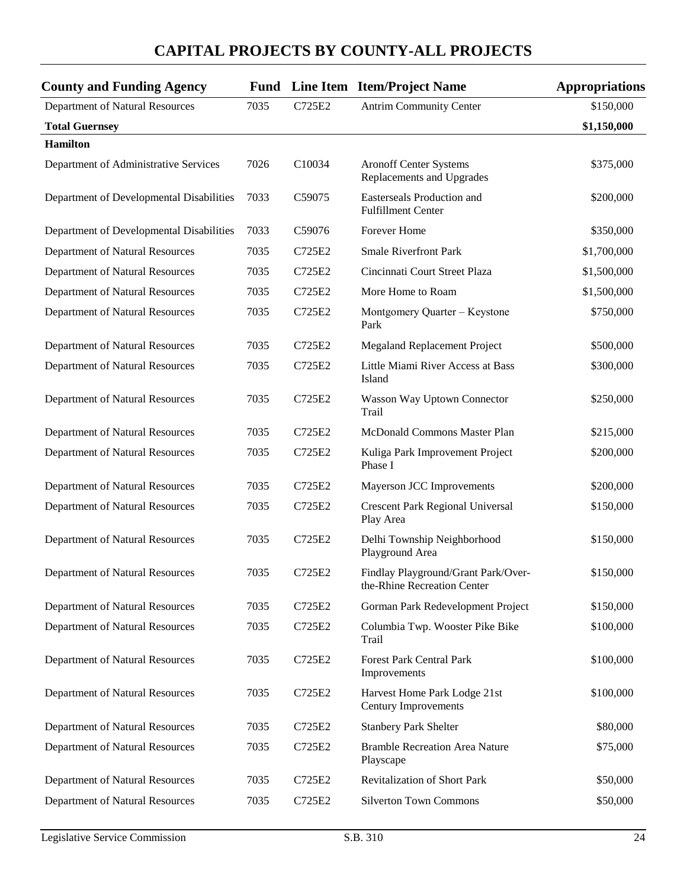| <b>County and Funding Agency</b>         |      |        | <b>Fund</b> Line Item Item/Project Name                            | <b>Appropriations</b> |
|------------------------------------------|------|--------|--------------------------------------------------------------------|-----------------------|
| Department of Natural Resources          | 7035 | C725E2 | <b>Antrim Community Center</b>                                     | \$150,000             |
| <b>Total Guernsey</b>                    |      |        |                                                                    | \$1,150,000           |
| <b>Hamilton</b>                          |      |        |                                                                    |                       |
| Department of Administrative Services    | 7026 | C10034 | <b>Aronoff Center Systems</b><br>Replacements and Upgrades         | \$375,000             |
| Department of Developmental Disabilities | 7033 | C59075 | Easterseals Production and<br><b>Fulfillment Center</b>            | \$200,000             |
| Department of Developmental Disabilities | 7033 | C59076 | Forever Home                                                       | \$350,000             |
| Department of Natural Resources          | 7035 | C725E2 | <b>Smale Riverfront Park</b>                                       | \$1,700,000           |
| Department of Natural Resources          | 7035 | C725E2 | Cincinnati Court Street Plaza                                      | \$1,500,000           |
| Department of Natural Resources          | 7035 | C725E2 | More Home to Roam                                                  | \$1,500,000           |
| Department of Natural Resources          | 7035 | C725E2 | Montgomery Quarter - Keystone<br>Park                              | \$750,000             |
| Department of Natural Resources          | 7035 | C725E2 | Megaland Replacement Project                                       | \$500,000             |
| Department of Natural Resources          | 7035 | C725E2 | Little Miami River Access at Bass<br>Island                        | \$300,000             |
| Department of Natural Resources          | 7035 | C725E2 | Wasson Way Uptown Connector<br>Trail                               | \$250,000             |
| Department of Natural Resources          | 7035 | C725E2 | McDonald Commons Master Plan                                       | \$215,000             |
| Department of Natural Resources          | 7035 | C725E2 | Kuliga Park Improvement Project<br>Phase I                         | \$200,000             |
| Department of Natural Resources          | 7035 | C725E2 | Mayerson JCC Improvements                                          | \$200,000             |
| Department of Natural Resources          | 7035 | C725E2 | <b>Crescent Park Regional Universal</b><br>Play Area               | \$150,000             |
| Department of Natural Resources          | 7035 | C725E2 | Delhi Township Neighborhood<br>Playground Area                     | \$150,000             |
| Department of Natural Resources          | 7035 | C725E2 | Findlay Playground/Grant Park/Over-<br>the-Rhine Recreation Center | \$150,000             |
| Department of Natural Resources          | 7035 | C725E2 | Gorman Park Redevelopment Project                                  | \$150,000             |
| Department of Natural Resources          | 7035 | C725E2 | Columbia Twp. Wooster Pike Bike<br>Trail                           | \$100,000             |
| Department of Natural Resources          | 7035 | C725E2 | <b>Forest Park Central Park</b><br>Improvements                    | \$100,000             |
| Department of Natural Resources          | 7035 | C725E2 | Harvest Home Park Lodge 21st<br><b>Century Improvements</b>        | \$100,000             |
| Department of Natural Resources          | 7035 | C725E2 | <b>Stanbery Park Shelter</b>                                       | \$80,000              |
| Department of Natural Resources          | 7035 | C725E2 | <b>Bramble Recreation Area Nature</b><br>Playscape                 | \$75,000              |
| Department of Natural Resources          | 7035 | C725E2 | <b>Revitalization of Short Park</b>                                | \$50,000              |
| Department of Natural Resources          | 7035 | C725E2 | <b>Silverton Town Commons</b>                                      | \$50,000              |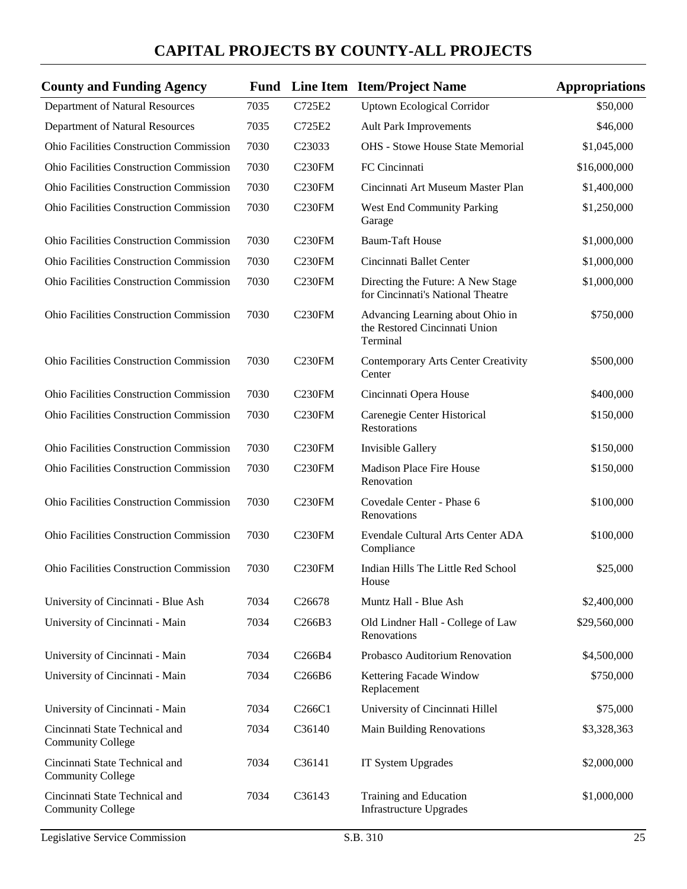| <b>County and Funding Agency</b>                           |      |                                 | <b>Fund</b> Line Item Item/Project Name                                       | <b>Appropriations</b> |
|------------------------------------------------------------|------|---------------------------------|-------------------------------------------------------------------------------|-----------------------|
| Department of Natural Resources                            | 7035 | C725E2                          | <b>Uptown Ecological Corridor</b>                                             | \$50,000              |
| Department of Natural Resources                            | 7035 | C725E2                          | <b>Ault Park Improvements</b>                                                 | \$46,000              |
| <b>Ohio Facilities Construction Commission</b>             | 7030 | C <sub>23033</sub>              | <b>OHS</b> - Stowe House State Memorial                                       | \$1,045,000           |
| Ohio Facilities Construction Commission                    | 7030 | <b>C230FM</b>                   | FC Cincinnati                                                                 | \$16,000,000          |
| Ohio Facilities Construction Commission                    | 7030 | C <sub>230FM</sub>              | Cincinnati Art Museum Master Plan                                             | \$1,400,000           |
| Ohio Facilities Construction Commission                    | 7030 | <b>C230FM</b>                   | <b>West End Community Parking</b><br>Garage                                   | \$1,250,000           |
| <b>Ohio Facilities Construction Commission</b>             | 7030 | C230FM                          | <b>Baum-Taft House</b>                                                        | \$1,000,000           |
| Ohio Facilities Construction Commission                    | 7030 | C <sub>230FM</sub>              | Cincinnati Ballet Center                                                      | \$1,000,000           |
| Ohio Facilities Construction Commission                    | 7030 | C <sub>230FM</sub>              | Directing the Future: A New Stage<br>for Cincinnati's National Theatre        | \$1,000,000           |
| <b>Ohio Facilities Construction Commission</b>             | 7030 | C230FM                          | Advancing Learning about Ohio in<br>the Restored Cincinnati Union<br>Terminal | \$750,000             |
| Ohio Facilities Construction Commission                    | 7030 | <b>C230FM</b>                   | <b>Contemporary Arts Center Creativity</b><br>Center                          | \$500,000             |
| <b>Ohio Facilities Construction Commission</b>             | 7030 | <b>C230FM</b>                   | Cincinnati Opera House                                                        | \$400,000             |
| <b>Ohio Facilities Construction Commission</b>             | 7030 | C <sub>230FM</sub>              | Carenegie Center Historical<br>Restorations                                   | \$150,000             |
| <b>Ohio Facilities Construction Commission</b>             | 7030 | <b>C230FM</b>                   | Invisible Gallery                                                             | \$150,000             |
| <b>Ohio Facilities Construction Commission</b>             | 7030 | C230FM                          | Madison Place Fire House<br>Renovation                                        | \$150,000             |
| <b>Ohio Facilities Construction Commission</b>             | 7030 | <b>C230FM</b>                   | Covedale Center - Phase 6<br>Renovations                                      | \$100,000             |
| Ohio Facilities Construction Commission                    | 7030 | <b>C230FM</b>                   | Evendale Cultural Arts Center ADA<br>Compliance                               | \$100,000             |
| Ohio Facilities Construction Commission                    | 7030 | <b>C230FM</b>                   | Indian Hills The Little Red School<br>House                                   | \$25,000              |
| University of Cincinnati - Blue Ash                        | 7034 | C <sub>26678</sub>              | Muntz Hall - Blue Ash                                                         | \$2,400,000           |
| University of Cincinnati - Main                            | 7034 | C266B3                          | Old Lindner Hall - College of Law<br>Renovations                              | \$29,560,000          |
| University of Cincinnati - Main                            | 7034 | C <sub>266</sub> B <sub>4</sub> | Probasco Auditorium Renovation                                                | \$4,500,000           |
| University of Cincinnati - Main                            | 7034 | C266B6                          | Kettering Facade Window<br>Replacement                                        | \$750,000             |
| University of Cincinnati - Main                            | 7034 | C <sub>266</sub> C <sub>1</sub> | University of Cincinnati Hillel                                               | \$75,000              |
| Cincinnati State Technical and<br><b>Community College</b> | 7034 | C36140                          | Main Building Renovations                                                     | \$3,328,363           |
| Cincinnati State Technical and<br><b>Community College</b> | 7034 | C36141                          | IT System Upgrades                                                            | \$2,000,000           |
| Cincinnati State Technical and<br><b>Community College</b> | 7034 | C36143                          | Training and Education<br><b>Infrastructure Upgrades</b>                      | \$1,000,000           |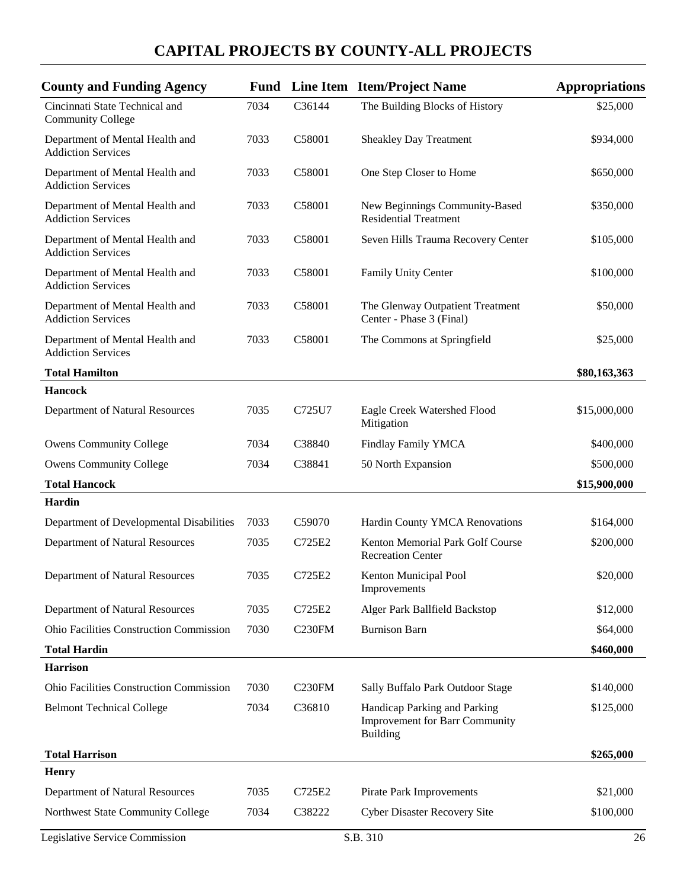| <b>County and Funding Agency</b>                             |      |                    | <b>Fund</b> Line Item Item/Project Name                                           | <b>Appropriations</b> |
|--------------------------------------------------------------|------|--------------------|-----------------------------------------------------------------------------------|-----------------------|
| Cincinnati State Technical and<br><b>Community College</b>   | 7034 | C36144             | The Building Blocks of History                                                    | \$25,000              |
| Department of Mental Health and<br><b>Addiction Services</b> | 7033 | C58001             | <b>Sheakley Day Treatment</b>                                                     | \$934,000             |
| Department of Mental Health and<br><b>Addiction Services</b> | 7033 | C58001             | One Step Closer to Home                                                           | \$650,000             |
| Department of Mental Health and<br><b>Addiction Services</b> | 7033 | C58001             | New Beginnings Community-Based<br><b>Residential Treatment</b>                    | \$350,000             |
| Department of Mental Health and<br><b>Addiction Services</b> | 7033 | C58001             | Seven Hills Trauma Recovery Center                                                | \$105,000             |
| Department of Mental Health and<br><b>Addiction Services</b> | 7033 | C58001             | Family Unity Center                                                               | \$100,000             |
| Department of Mental Health and<br><b>Addiction Services</b> | 7033 | C58001             | The Glenway Outpatient Treatment<br>Center - Phase 3 (Final)                      | \$50,000              |
| Department of Mental Health and<br><b>Addiction Services</b> | 7033 | C58001             | The Commons at Springfield                                                        | \$25,000              |
| <b>Total Hamilton</b>                                        |      |                    |                                                                                   | \$80,163,363          |
| <b>Hancock</b>                                               |      |                    |                                                                                   |                       |
| Department of Natural Resources                              | 7035 | C725U7             | Eagle Creek Watershed Flood<br>Mitigation                                         | \$15,000,000          |
| <b>Owens Community College</b>                               | 7034 | C38840             | <b>Findlay Family YMCA</b>                                                        | \$400,000             |
| <b>Owens Community College</b>                               | 7034 | C38841             | 50 North Expansion                                                                | \$500,000             |
| <b>Total Hancock</b>                                         |      |                    |                                                                                   | \$15,900,000          |
| Hardin                                                       |      |                    |                                                                                   |                       |
| Department of Developmental Disabilities                     | 7033 | C59070             | Hardin County YMCA Renovations                                                    | \$164,000             |
| Department of Natural Resources                              | 7035 | C725E2             | Kenton Memorial Park Golf Course<br><b>Recreation Center</b>                      | \$200,000             |
| Department of Natural Resources                              | 7035 | C725E2             | Kenton Municipal Pool<br>Improvements                                             | \$20,000              |
| Department of Natural Resources                              | 7035 | C725E2             | Alger Park Ballfield Backstop                                                     | \$12,000              |
| <b>Ohio Facilities Construction Commission</b>               | 7030 | C <sub>230FM</sub> | <b>Burnison Barn</b>                                                              | \$64,000              |
| <b>Total Hardin</b>                                          |      |                    |                                                                                   | \$460,000             |
| <b>Harrison</b>                                              |      |                    |                                                                                   |                       |
| <b>Ohio Facilities Construction Commission</b>               | 7030 | C <sub>230FM</sub> | Sally Buffalo Park Outdoor Stage                                                  | \$140,000             |
| <b>Belmont Technical College</b>                             | 7034 | C36810             | Handicap Parking and Parking<br><b>Improvement for Barr Community</b><br>Building | \$125,000             |
| <b>Total Harrison</b>                                        |      |                    |                                                                                   | \$265,000             |
| <b>Henry</b>                                                 |      |                    |                                                                                   |                       |
| Department of Natural Resources                              | 7035 | C725E2             | Pirate Park Improvements                                                          | \$21,000              |
| Northwest State Community College                            | 7034 | C38222             | Cyber Disaster Recovery Site                                                      | \$100,000             |
| Legislative Service Commission                               |      |                    | S.B. 310                                                                          | 26                    |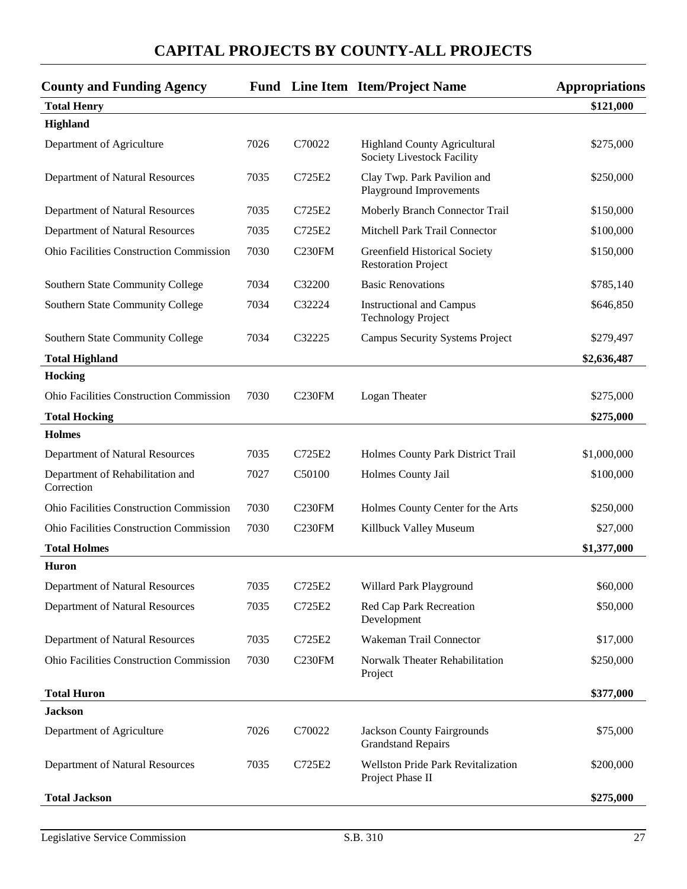| <b>County and Funding Agency</b>               |      |                    | Fund Line Item Item/Project Name                                  | <b>Appropriations</b> |
|------------------------------------------------|------|--------------------|-------------------------------------------------------------------|-----------------------|
| <b>Total Henry</b>                             |      |                    |                                                                   | \$121,000             |
| Highland                                       |      |                    |                                                                   |                       |
| Department of Agriculture                      | 7026 | C70022             | <b>Highland County Agricultural</b><br>Society Livestock Facility | \$275,000             |
| Department of Natural Resources                | 7035 | C725E2             | Clay Twp. Park Pavilion and<br>Playground Improvements            | \$250,000             |
| Department of Natural Resources                | 7035 | C725E2             | Moberly Branch Connector Trail                                    | \$150,000             |
| Department of Natural Resources                | 7035 | C725E2             | Mitchell Park Trail Connector                                     | \$100,000             |
| Ohio Facilities Construction Commission        | 7030 | C <sub>230FM</sub> | Greenfield Historical Society<br><b>Restoration Project</b>       | \$150,000             |
| Southern State Community College               | 7034 | C32200             | <b>Basic Renovations</b>                                          | \$785,140             |
| Southern State Community College               | 7034 | C32224             | <b>Instructional and Campus</b><br><b>Technology Project</b>      | \$646,850             |
| Southern State Community College               | 7034 | C32225             | <b>Campus Security Systems Project</b>                            | \$279,497             |
| <b>Total Highland</b>                          |      |                    |                                                                   | \$2,636,487           |
| Hocking                                        |      |                    |                                                                   |                       |
| <b>Ohio Facilities Construction Commission</b> | 7030 | C <sub>230FM</sub> | Logan Theater                                                     | \$275,000             |
| <b>Total Hocking</b>                           |      |                    |                                                                   | \$275,000             |
| <b>Holmes</b>                                  |      |                    |                                                                   |                       |
| Department of Natural Resources                | 7035 | C725E2             | Holmes County Park District Trail                                 | \$1,000,000           |
| Department of Rehabilitation and<br>Correction | 7027 | C50100             | Holmes County Jail                                                | \$100,000             |
| <b>Ohio Facilities Construction Commission</b> | 7030 | C <sub>230FM</sub> | Holmes County Center for the Arts                                 | \$250,000             |
| <b>Ohio Facilities Construction Commission</b> | 7030 | C <sub>230FM</sub> | Killbuck Valley Museum                                            | \$27,000              |
| <b>Total Holmes</b>                            |      |                    |                                                                   | \$1,377,000           |
| <b>Huron</b>                                   |      |                    |                                                                   |                       |
| Department of Natural Resources                | 7035 | C725E2             | Willard Park Playground                                           | \$60,000              |
| Department of Natural Resources                | 7035 | C725E2             | Red Cap Park Recreation<br>Development                            | \$50,000              |
| Department of Natural Resources                | 7035 | C725E2             | Wakeman Trail Connector                                           | \$17,000              |
| Ohio Facilities Construction Commission        | 7030 | C <sub>230FM</sub> | Norwalk Theater Rehabilitation<br>Project                         | \$250,000             |
| <b>Total Huron</b>                             |      |                    |                                                                   | \$377,000             |
| <b>Jackson</b>                                 |      |                    |                                                                   |                       |
| Department of Agriculture                      | 7026 | C70022             | <b>Jackson County Fairgrounds</b><br><b>Grandstand Repairs</b>    | \$75,000              |
| Department of Natural Resources                | 7035 | C725E2             | Wellston Pride Park Revitalization<br>Project Phase II            | \$200,000             |
| <b>Total Jackson</b>                           |      |                    |                                                                   | \$275,000             |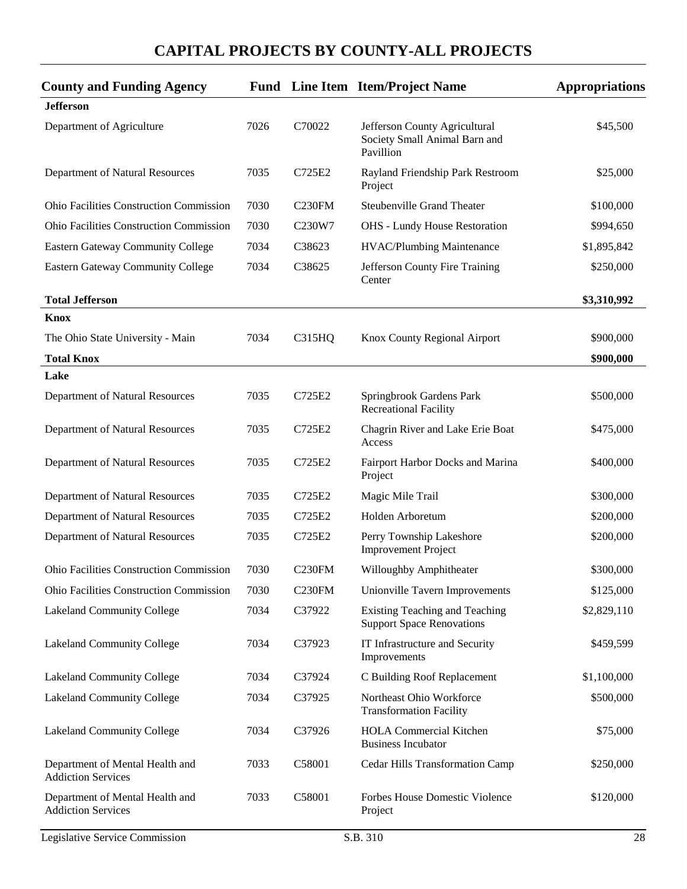| <b>County and Funding Agency</b>                             |      |                                 | <b>Fund</b> Line Item Item/Project Name                                     | <b>Appropriations</b> |
|--------------------------------------------------------------|------|---------------------------------|-----------------------------------------------------------------------------|-----------------------|
| <b>Jefferson</b>                                             |      |                                 |                                                                             |                       |
| Department of Agriculture                                    | 7026 | C70022                          | Jefferson County Agricultural<br>Society Small Animal Barn and<br>Pavillion | \$45,500              |
| Department of Natural Resources                              | 7035 | C725E2                          | Rayland Friendship Park Restroom<br>Project                                 | \$25,000              |
| <b>Ohio Facilities Construction Commission</b>               | 7030 | C <sub>230FM</sub>              | <b>Steubenville Grand Theater</b>                                           | \$100,000             |
| <b>Ohio Facilities Construction Commission</b>               | 7030 | C <sub>230</sub> W <sub>7</sub> | <b>OHS</b> - Lundy House Restoration                                        | \$994,650             |
| Eastern Gateway Community College                            | 7034 | C38623                          | HVAC/Plumbing Maintenance                                                   | \$1,895,842           |
| <b>Eastern Gateway Community College</b>                     | 7034 | C38625                          | Jefferson County Fire Training<br>Center                                    | \$250,000             |
| <b>Total Jefferson</b>                                       |      |                                 |                                                                             | \$3,310,992           |
| <b>Knox</b>                                                  |      |                                 |                                                                             |                       |
| The Ohio State University - Main                             | 7034 | C315HQ                          | Knox County Regional Airport                                                | \$900,000             |
| <b>Total Knox</b>                                            |      |                                 |                                                                             | \$900,000             |
| Lake                                                         |      |                                 |                                                                             |                       |
| Department of Natural Resources                              | 7035 | C725E2                          | Springbrook Gardens Park<br><b>Recreational Facility</b>                    | \$500,000             |
| Department of Natural Resources                              | 7035 | C725E2                          | Chagrin River and Lake Erie Boat<br>Access                                  | \$475,000             |
| Department of Natural Resources                              | 7035 | C725E2                          | Fairport Harbor Docks and Marina<br>Project                                 | \$400,000             |
| Department of Natural Resources                              | 7035 | C725E2                          | Magic Mile Trail                                                            | \$300,000             |
| Department of Natural Resources                              | 7035 | C725E2                          | Holden Arboretum                                                            | \$200,000             |
| Department of Natural Resources                              | 7035 | C725E2                          | Perry Township Lakeshore<br><b>Improvement Project</b>                      | \$200,000             |
| <b>Ohio Facilities Construction Commission</b>               | 7030 | C <sub>230FM</sub>              | Willoughby Amphitheater                                                     | \$300,000             |
| Ohio Facilities Construction Commission                      | 7030 | <b>C230FM</b>                   | Unionville Tavern Improvements                                              | \$125,000             |
| Lakeland Community College                                   | 7034 | C37922                          | Existing Teaching and Teaching<br><b>Support Space Renovations</b>          | \$2,829,110           |
| Lakeland Community College                                   | 7034 | C37923                          | IT Infrastructure and Security<br>Improvements                              | \$459,599             |
| <b>Lakeland Community College</b>                            | 7034 | C37924                          | C Building Roof Replacement                                                 | \$1,100,000           |
| Lakeland Community College                                   | 7034 | C37925                          | Northeast Ohio Workforce<br><b>Transformation Facility</b>                  | \$500,000             |
| <b>Lakeland Community College</b>                            | 7034 | C37926                          | <b>HOLA Commercial Kitchen</b><br><b>Business Incubator</b>                 | \$75,000              |
| Department of Mental Health and<br><b>Addiction Services</b> | 7033 | C58001                          | Cedar Hills Transformation Camp                                             | \$250,000             |
| Department of Mental Health and<br><b>Addiction Services</b> | 7033 | C58001                          | Forbes House Domestic Violence<br>Project                                   | \$120,000             |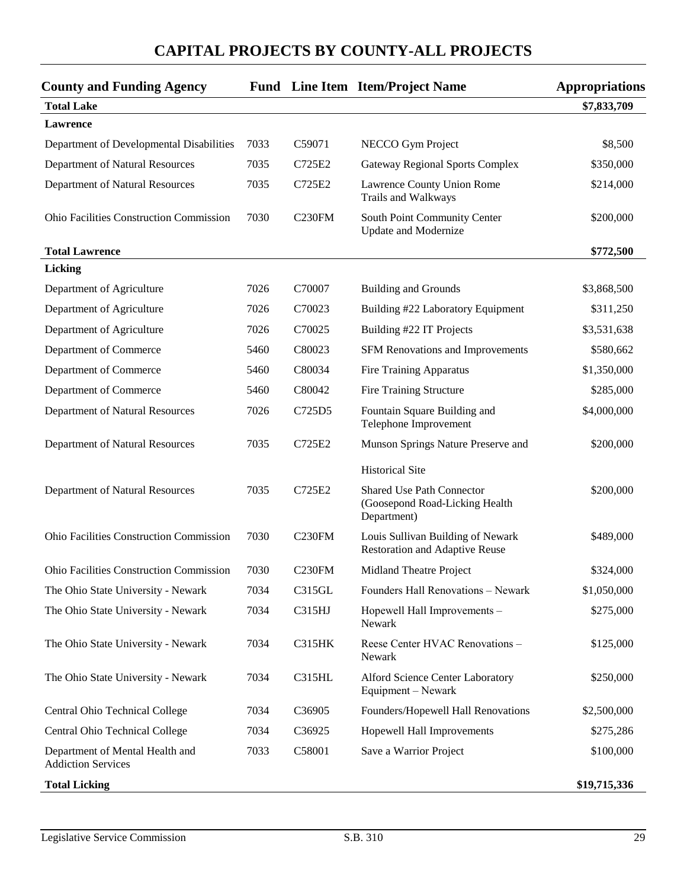| <b>County and Funding Agency</b>                             |      |                    | <b>Fund</b> Line Item Item/Project Name                                           | <b>Appropriations</b> |
|--------------------------------------------------------------|------|--------------------|-----------------------------------------------------------------------------------|-----------------------|
| <b>Total Lake</b>                                            |      |                    |                                                                                   | \$7,833,709           |
| Lawrence                                                     |      |                    |                                                                                   |                       |
| Department of Developmental Disabilities                     | 7033 | C59071             | NECCO Gym Project                                                                 | \$8,500               |
| Department of Natural Resources                              | 7035 | C725E2             | <b>Gateway Regional Sports Complex</b>                                            | \$350,000             |
| Department of Natural Resources                              | 7035 | C725E2             | Lawrence County Union Rome<br>Trails and Walkways                                 | \$214,000             |
| <b>Ohio Facilities Construction Commission</b>               | 7030 | <b>C230FM</b>      | South Point Community Center<br><b>Update and Modernize</b>                       | \$200,000             |
| <b>Total Lawrence</b>                                        |      |                    |                                                                                   | \$772,500             |
| Licking                                                      |      |                    |                                                                                   |                       |
| Department of Agriculture                                    | 7026 | C70007             | <b>Building and Grounds</b>                                                       | \$3,868,500           |
| Department of Agriculture                                    | 7026 | C70023             | Building #22 Laboratory Equipment                                                 | \$311,250             |
| Department of Agriculture                                    | 7026 | C70025             | Building #22 IT Projects                                                          | \$3,531,638           |
| Department of Commerce                                       | 5460 | C80023             | SFM Renovations and Improvements                                                  | \$580,662             |
| Department of Commerce                                       | 5460 | C80034             | <b>Fire Training Apparatus</b>                                                    | \$1,350,000           |
| Department of Commerce                                       | 5460 | C80042             | <b>Fire Training Structure</b>                                                    | \$285,000             |
| Department of Natural Resources                              | 7026 | C725D5             | Fountain Square Building and<br>Telephone Improvement                             | \$4,000,000           |
| Department of Natural Resources                              | 7035 | C725E2             | Munson Springs Nature Preserve and                                                | \$200,000             |
|                                                              |      |                    | <b>Historical Site</b>                                                            |                       |
| Department of Natural Resources                              | 7035 | C725E2             | <b>Shared Use Path Connector</b><br>(Goosepond Road-Licking Health<br>Department) | \$200,000             |
| <b>Ohio Facilities Construction Commission</b>               | 7030 | C <sub>230FM</sub> | Louis Sullivan Building of Newark<br><b>Restoration and Adaptive Reuse</b>        | \$489,000             |
| <b>Ohio Facilities Construction Commission</b>               | 7030 | C <sub>230FM</sub> | Midland Theatre Project                                                           | \$324,000             |
| The Ohio State University - Newark                           | 7034 | C315GL             | Founders Hall Renovations - Newark                                                | \$1,050,000           |
| The Ohio State University - Newark                           | 7034 | C315HJ             | Hopewell Hall Improvements -<br>Newark                                            | \$275,000             |
| The Ohio State University - Newark                           | 7034 | C315HK             | Reese Center HVAC Renovations -<br>Newark                                         | \$125,000             |
| The Ohio State University - Newark                           | 7034 | <b>C315HL</b>      | Alford Science Center Laboratory<br>Equipment – Newark                            | \$250,000             |
| Central Ohio Technical College                               | 7034 | C36905             | Founders/Hopewell Hall Renovations                                                | \$2,500,000           |
| Central Ohio Technical College                               | 7034 | C36925             | Hopewell Hall Improvements                                                        | \$275,286             |
| Department of Mental Health and<br><b>Addiction Services</b> | 7033 | C58001             | Save a Warrior Project                                                            | \$100,000             |
| <b>Total Licking</b>                                         |      |                    |                                                                                   | \$19,715,336          |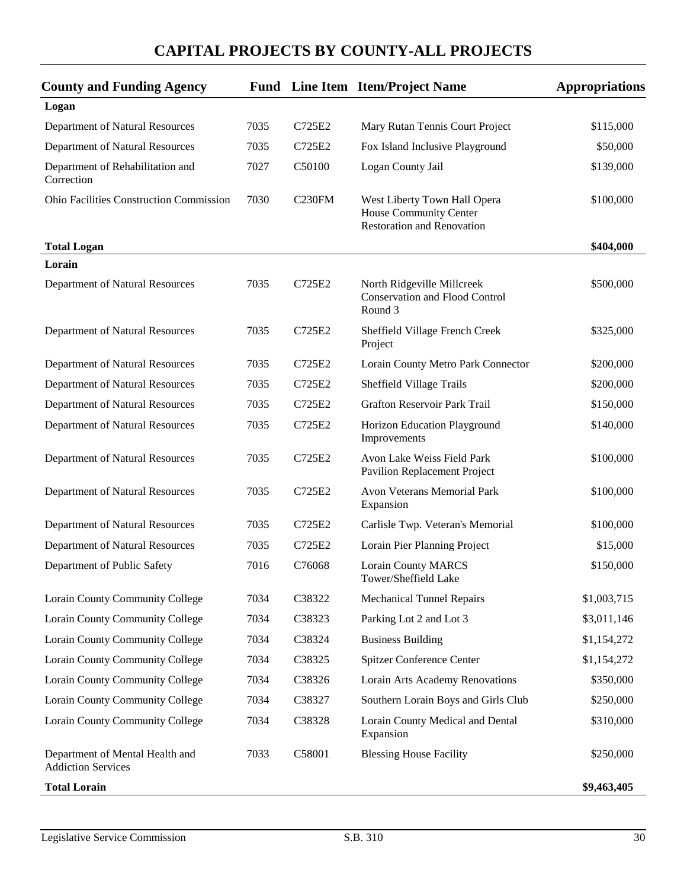| <b>County and Funding Agency</b>                             |      |        | <b>Fund</b> Line Item Item/Project Name                                                     | <b>Appropriations</b> |
|--------------------------------------------------------------|------|--------|---------------------------------------------------------------------------------------------|-----------------------|
| Logan                                                        |      |        |                                                                                             |                       |
| Department of Natural Resources                              | 7035 | C725E2 | Mary Rutan Tennis Court Project                                                             | \$115,000             |
| Department of Natural Resources                              | 7035 | C725E2 | Fox Island Inclusive Playground                                                             | \$50,000              |
| Department of Rehabilitation and<br>Correction               | 7027 | C50100 | Logan County Jail                                                                           | \$139,000             |
| <b>Ohio Facilities Construction Commission</b>               | 7030 | C230FM | West Liberty Town Hall Opera<br>House Community Center<br><b>Restoration and Renovation</b> | \$100,000             |
| <b>Total Logan</b>                                           |      |        |                                                                                             | \$404,000             |
| Lorain                                                       |      |        |                                                                                             |                       |
| Department of Natural Resources                              | 7035 | C725E2 | North Ridgeville Millcreek<br><b>Conservation and Flood Control</b><br>Round 3              | \$500,000             |
| Department of Natural Resources                              | 7035 | C725E2 | Sheffield Village French Creek<br>Project                                                   | \$325,000             |
| Department of Natural Resources                              | 7035 | C725E2 | Lorain County Metro Park Connector                                                          | \$200,000             |
| Department of Natural Resources                              | 7035 | C725E2 | Sheffield Village Trails                                                                    | \$200,000             |
| Department of Natural Resources                              | 7035 | C725E2 | Grafton Reservoir Park Trail                                                                | \$150,000             |
| Department of Natural Resources                              | 7035 | C725E2 | Horizon Education Playground<br>Improvements                                                | \$140,000             |
| Department of Natural Resources                              | 7035 | C725E2 | Avon Lake Weiss Field Park<br>Pavilion Replacement Project                                  | \$100,000             |
| Department of Natural Resources                              | 7035 | C725E2 | Avon Veterans Memorial Park<br>Expansion                                                    | \$100,000             |
| Department of Natural Resources                              | 7035 | C725E2 | Carlisle Twp. Veteran's Memorial                                                            | \$100,000             |
| Department of Natural Resources                              | 7035 | C725E2 | Lorain Pier Planning Project                                                                | \$15,000              |
| Department of Public Safety                                  | 7016 | C76068 | <b>Lorain County MARCS</b><br>Tower/Sheffield Lake                                          | \$150,000             |
| Lorain County Community College                              | 7034 | C38322 | <b>Mechanical Tunnel Repairs</b>                                                            | \$1,003,715           |
| Lorain County Community College                              | 7034 | C38323 | Parking Lot 2 and Lot 3                                                                     | \$3,011,146           |
| Lorain County Community College                              | 7034 | C38324 | <b>Business Building</b>                                                                    | \$1,154,272           |
| Lorain County Community College                              | 7034 | C38325 | <b>Spitzer Conference Center</b>                                                            | \$1,154,272           |
| <b>Lorain County Community College</b>                       | 7034 | C38326 | Lorain Arts Academy Renovations                                                             | \$350,000             |
| Lorain County Community College                              | 7034 | C38327 | Southern Lorain Boys and Girls Club                                                         | \$250,000             |
| <b>Lorain County Community College</b>                       | 7034 | C38328 | Lorain County Medical and Dental<br>Expansion                                               | \$310,000             |
| Department of Mental Health and<br><b>Addiction Services</b> | 7033 | C58001 | <b>Blessing House Facility</b>                                                              | \$250,000             |
| <b>Total Lorain</b>                                          |      |        |                                                                                             | \$9,463,405           |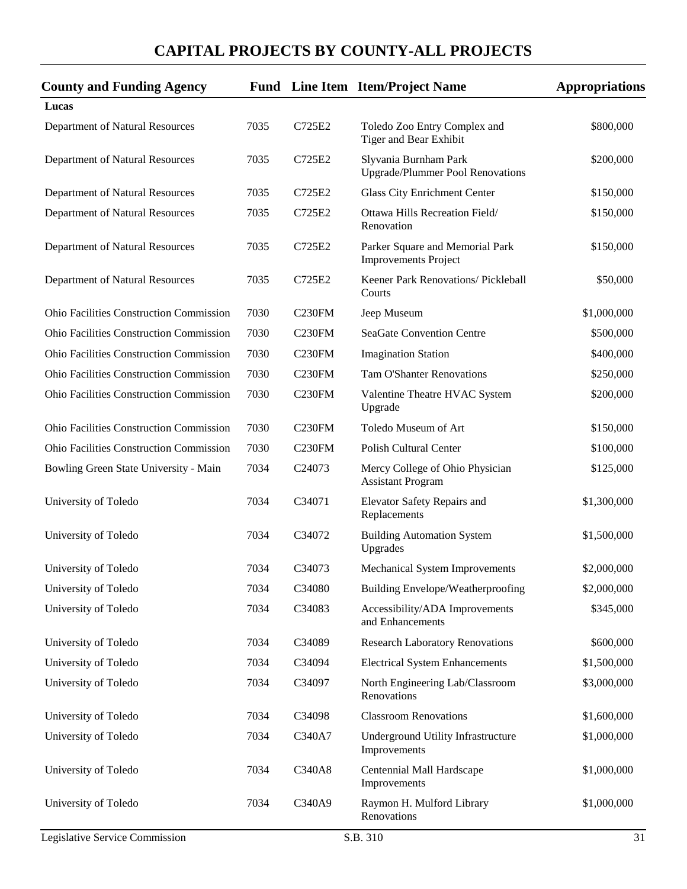| <b>County and Funding Agency</b>               |      |                    | <b>Fund</b> Line Item Item/Project Name                          | <b>Appropriations</b> |
|------------------------------------------------|------|--------------------|------------------------------------------------------------------|-----------------------|
| Lucas                                          |      |                    |                                                                  |                       |
| Department of Natural Resources                | 7035 | C725E2             | Toledo Zoo Entry Complex and<br>Tiger and Bear Exhibit           | \$800,000             |
| Department of Natural Resources                | 7035 | C725E2             | Slyvania Burnham Park<br><b>Upgrade/Plummer Pool Renovations</b> | \$200,000             |
| Department of Natural Resources                | 7035 | C725E2             | Glass City Enrichment Center                                     | \$150,000             |
| Department of Natural Resources                | 7035 | C725E2             | Ottawa Hills Recreation Field/<br>Renovation                     | \$150,000             |
| Department of Natural Resources                | 7035 | C725E2             | Parker Square and Memorial Park<br><b>Improvements Project</b>   | \$150,000             |
| Department of Natural Resources                | 7035 | C725E2             | Keener Park Renovations/ Pickleball<br>Courts                    | \$50,000              |
| <b>Ohio Facilities Construction Commission</b> | 7030 | <b>C230FM</b>      | Jeep Museum                                                      | \$1,000,000           |
| <b>Ohio Facilities Construction Commission</b> | 7030 | C <sub>230FM</sub> | <b>SeaGate Convention Centre</b>                                 | \$500,000             |
| <b>Ohio Facilities Construction Commission</b> | 7030 | C <sub>230FM</sub> | <b>Imagination Station</b>                                       | \$400,000             |
| Ohio Facilities Construction Commission        | 7030 | C <sub>230FM</sub> | <b>Tam O'Shanter Renovations</b>                                 | \$250,000             |
| <b>Ohio Facilities Construction Commission</b> | 7030 | C <sub>230FM</sub> | Valentine Theatre HVAC System<br>Upgrade                         | \$200,000             |
| <b>Ohio Facilities Construction Commission</b> | 7030 | C230FM             | Toledo Museum of Art                                             | \$150,000             |
| Ohio Facilities Construction Commission        | 7030 | C <sub>230FM</sub> | <b>Polish Cultural Center</b>                                    | \$100,000             |
| Bowling Green State University - Main          | 7034 | C24073             | Mercy College of Ohio Physician<br><b>Assistant Program</b>      | \$125,000             |
| University of Toledo                           | 7034 | C34071             | Elevator Safety Repairs and<br>Replacements                      | \$1,300,000           |
| University of Toledo                           | 7034 | C34072             | <b>Building Automation System</b><br>Upgrades                    | \$1,500,000           |
| University of Toledo                           | 7034 | C34073             | Mechanical System Improvements                                   | \$2,000,000           |
| University of Toledo                           | 7034 | C34080             | Building Envelope/Weatherproofing                                | \$2,000,000           |
| University of Toledo                           | 7034 | C34083             | Accessibility/ADA Improvements<br>and Enhancements               | \$345,000             |
| University of Toledo                           | 7034 | C34089             | <b>Research Laboratory Renovations</b>                           | \$600,000             |
| University of Toledo                           | 7034 | C34094             | <b>Electrical System Enhancements</b>                            | \$1,500,000           |
| University of Toledo                           | 7034 | C34097             | North Engineering Lab/Classroom<br>Renovations                   | \$3,000,000           |
| University of Toledo                           | 7034 | C34098             | <b>Classroom Renovations</b>                                     | \$1,600,000           |
| University of Toledo                           | 7034 | C340A7             | Underground Utility Infrastructure<br>Improvements               | \$1,000,000           |
| University of Toledo                           | 7034 | C340A8             | Centennial Mall Hardscape<br>Improvements                        | \$1,000,000           |
| University of Toledo                           | 7034 | C340A9             | Raymon H. Mulford Library<br>Renovations                         | \$1,000,000           |
| Legislative Service Commission                 |      |                    | S.B. 310                                                         | 31                    |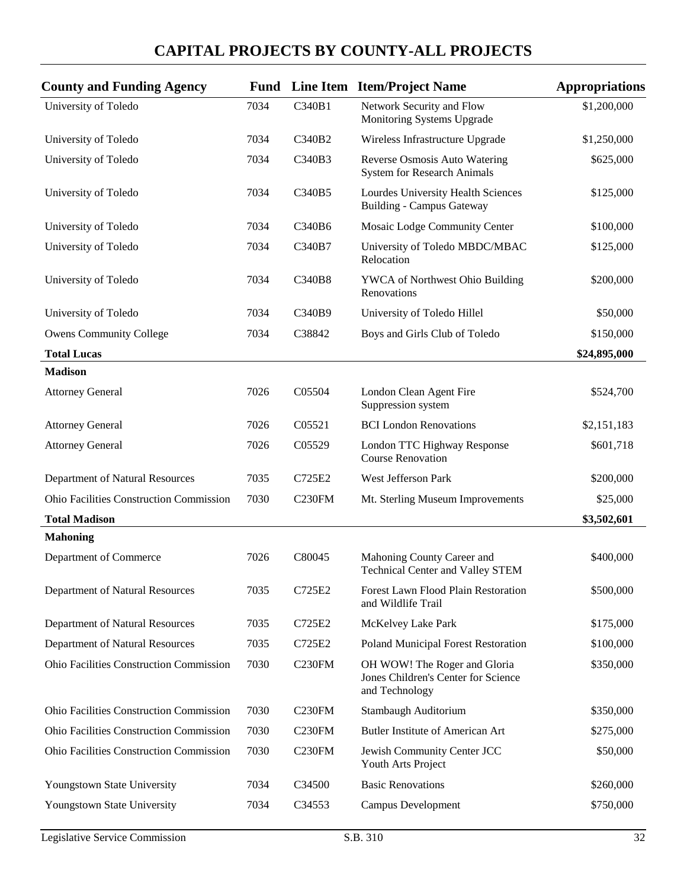| <b>County and Funding Agency</b>               |      |                    | <b>Fund</b> Line Item Item/Project Name                                               | <b>Appropriations</b> |
|------------------------------------------------|------|--------------------|---------------------------------------------------------------------------------------|-----------------------|
| University of Toledo                           | 7034 | C340B1             | Network Security and Flow<br>Monitoring Systems Upgrade                               | \$1,200,000           |
| University of Toledo                           | 7034 | C340B2             | Wireless Infrastructure Upgrade                                                       | \$1,250,000           |
| University of Toledo                           | 7034 | C340B3             | Reverse Osmosis Auto Watering<br><b>System for Research Animals</b>                   | \$625,000             |
| University of Toledo                           | 7034 | C340B5             | Lourdes University Health Sciences<br><b>Building - Campus Gateway</b>                | \$125,000             |
| University of Toledo                           | 7034 | C340B6             | Mosaic Lodge Community Center                                                         | \$100,000             |
| University of Toledo                           | 7034 | C340B7             | University of Toledo MBDC/MBAC<br>Relocation                                          | \$125,000             |
| University of Toledo                           | 7034 | C340B8             | YWCA of Northwest Ohio Building<br>Renovations                                        | \$200,000             |
| University of Toledo                           | 7034 | C340B9             | University of Toledo Hillel                                                           | \$50,000              |
| <b>Owens Community College</b>                 | 7034 | C38842             | Boys and Girls Club of Toledo                                                         | \$150,000             |
| <b>Total Lucas</b>                             |      |                    |                                                                                       | \$24,895,000          |
| <b>Madison</b>                                 |      |                    |                                                                                       |                       |
| <b>Attorney General</b>                        | 7026 | C05504             | London Clean Agent Fire<br>Suppression system                                         | \$524,700             |
| <b>Attorney General</b>                        | 7026 | C05521             | <b>BCI</b> London Renovations                                                         | \$2,151,183           |
| <b>Attorney General</b>                        | 7026 | C05529             | London TTC Highway Response<br><b>Course Renovation</b>                               | \$601,718             |
| Department of Natural Resources                | 7035 | C725E2             | West Jefferson Park                                                                   | \$200,000             |
| <b>Ohio Facilities Construction Commission</b> | 7030 | C <sub>230FM</sub> | Mt. Sterling Museum Improvements                                                      | \$25,000              |
| <b>Total Madison</b>                           |      |                    |                                                                                       | \$3,502,601           |
| <b>Mahoning</b>                                |      |                    |                                                                                       |                       |
| Department of Commerce                         | 7026 | C80045             | Mahoning County Career and<br><b>Technical Center and Valley STEM</b>                 | \$400,000             |
| Department of Natural Resources                | 7035 | C725E2             | <b>Forest Lawn Flood Plain Restoration</b><br>and Wildlife Trail                      | \$500,000             |
| Department of Natural Resources                | 7035 | C725E2             | McKelvey Lake Park                                                                    | \$175,000             |
| Department of Natural Resources                | 7035 | C725E2             | Poland Municipal Forest Restoration                                                   | \$100,000             |
| Ohio Facilities Construction Commission        | 7030 | <b>C230FM</b>      | OH WOW! The Roger and Gloria<br>Jones Children's Center for Science<br>and Technology | \$350,000             |
| Ohio Facilities Construction Commission        | 7030 | C <sub>230FM</sub> | Stambaugh Auditorium                                                                  | \$350,000             |
| Ohio Facilities Construction Commission        | 7030 | C <sub>230FM</sub> | <b>Butler Institute of American Art</b>                                               | \$275,000             |
| Ohio Facilities Construction Commission        | 7030 | C <sub>230FM</sub> | Jewish Community Center JCC<br>Youth Arts Project                                     | \$50,000              |
| Youngstown State University                    | 7034 | C34500             | <b>Basic Renovations</b>                                                              | \$260,000             |
| Youngstown State University                    | 7034 | C34553             | <b>Campus Development</b>                                                             | \$750,000             |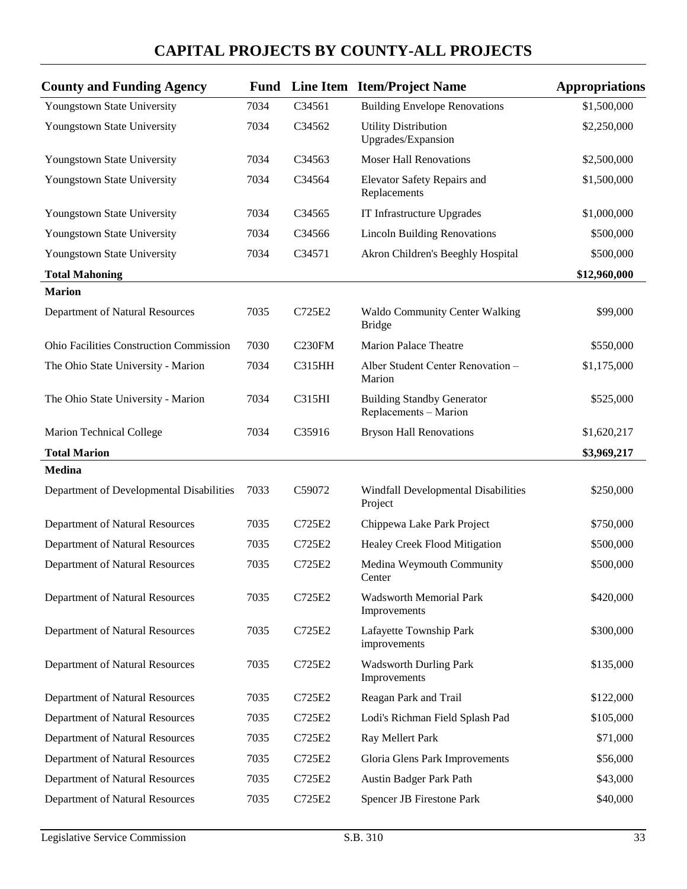| <b>County and Funding Agency</b>               | Fund |                    | Line Item Item/Project Name                                | <b>Appropriations</b> |
|------------------------------------------------|------|--------------------|------------------------------------------------------------|-----------------------|
| Youngstown State University                    | 7034 | C34561             | <b>Building Envelope Renovations</b>                       | \$1,500,000           |
| Youngstown State University                    | 7034 | C34562             | <b>Utility Distribution</b><br>Upgrades/Expansion          | \$2,250,000           |
| Youngstown State University                    | 7034 | C34563             | <b>Moser Hall Renovations</b>                              | \$2,500,000           |
| Youngstown State University                    | 7034 | C34564             | Elevator Safety Repairs and<br>Replacements                | \$1,500,000           |
| Youngstown State University                    | 7034 | C34565             | IT Infrastructure Upgrades                                 | \$1,000,000           |
| Youngstown State University                    | 7034 | C34566             | <b>Lincoln Building Renovations</b>                        | \$500,000             |
| Youngstown State University                    | 7034 | C34571             | Akron Children's Beeghly Hospital                          | \$500,000             |
| <b>Total Mahoning</b>                          |      |                    |                                                            | \$12,960,000          |
| <b>Marion</b>                                  |      |                    |                                                            |                       |
| Department of Natural Resources                | 7035 | C725E2             | <b>Waldo Community Center Walking</b><br><b>Bridge</b>     | \$99,000              |
| <b>Ohio Facilities Construction Commission</b> | 7030 | C <sub>230FM</sub> | <b>Marion Palace Theatre</b>                               | \$550,000             |
| The Ohio State University - Marion             | 7034 | <b>C315HH</b>      | Alber Student Center Renovation -<br>Marion                | \$1,175,000           |
| The Ohio State University - Marion             | 7034 | C315HI             | <b>Building Standby Generator</b><br>Replacements - Marion | \$525,000             |
| <b>Marion Technical College</b>                | 7034 | C35916             | <b>Bryson Hall Renovations</b>                             | \$1,620,217           |
| <b>Total Marion</b>                            |      |                    |                                                            | \$3,969,217           |
| <b>Medina</b>                                  |      |                    |                                                            |                       |
| Department of Developmental Disabilities       | 7033 | C59072             | Windfall Developmental Disabilities<br>Project             | \$250,000             |
| Department of Natural Resources                | 7035 | C725E2             | Chippewa Lake Park Project                                 | \$750,000             |
| Department of Natural Resources                | 7035 | C725E2             | Healey Creek Flood Mitigation                              | \$500,000             |
| Department of Natural Resources                | 7035 | C725E2             | Medina Weymouth Community<br>Center                        | \$500,000             |
| Department of Natural Resources                | 7035 | C725E2             | <b>Wadsworth Memorial Park</b><br>Improvements             | \$420,000             |
| Department of Natural Resources                | 7035 | C725E2             | Lafayette Township Park<br>improvements                    | \$300,000             |
| Department of Natural Resources                | 7035 | C725E2             | <b>Wadsworth Durling Park</b><br>Improvements              | \$135,000             |
| Department of Natural Resources                | 7035 | C725E2             | Reagan Park and Trail                                      | \$122,000             |
| Department of Natural Resources                | 7035 | C725E2             | Lodi's Richman Field Splash Pad                            | \$105,000             |
| Department of Natural Resources                | 7035 | C725E2             | Ray Mellert Park                                           | \$71,000              |
| Department of Natural Resources                | 7035 | C725E2             | Gloria Glens Park Improvements                             | \$56,000              |
| Department of Natural Resources                | 7035 | C725E2             | Austin Badger Park Path                                    | \$43,000              |
| Department of Natural Resources                | 7035 | C725E2             | Spencer JB Firestone Park                                  | \$40,000              |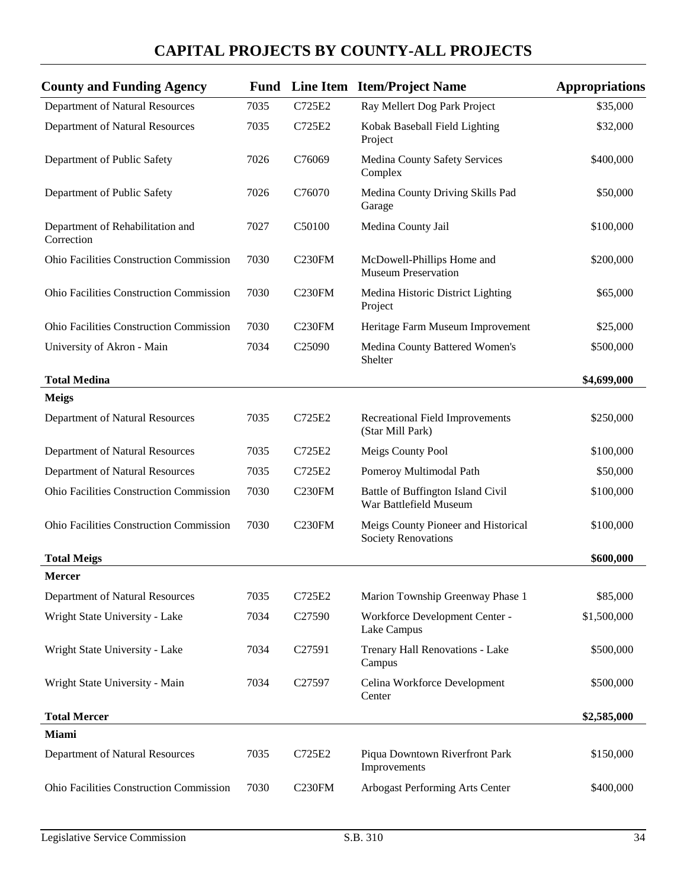| <b>County and Funding Agency</b>               |      |                    | <b>Fund</b> Line Item Item/Project Name                           | <b>Appropriations</b> |
|------------------------------------------------|------|--------------------|-------------------------------------------------------------------|-----------------------|
| Department of Natural Resources                | 7035 | C725E2             | Ray Mellert Dog Park Project                                      | \$35,000              |
| Department of Natural Resources                | 7035 | C725E2             | Kobak Baseball Field Lighting<br>Project                          | \$32,000              |
| Department of Public Safety                    | 7026 | C76069             | Medina County Safety Services<br>Complex                          | \$400,000             |
| Department of Public Safety                    | 7026 | C76070             | Medina County Driving Skills Pad<br>Garage                        | \$50,000              |
| Department of Rehabilitation and<br>Correction | 7027 | C50100             | Medina County Jail                                                | \$100,000             |
| <b>Ohio Facilities Construction Commission</b> | 7030 | C <sub>230FM</sub> | McDowell-Phillips Home and<br><b>Museum Preservation</b>          | \$200,000             |
| Ohio Facilities Construction Commission        | 7030 | C <sub>230FM</sub> | Medina Historic District Lighting<br>Project                      | \$65,000              |
| <b>Ohio Facilities Construction Commission</b> | 7030 | <b>C230FM</b>      | Heritage Farm Museum Improvement                                  | \$25,000              |
| University of Akron - Main                     | 7034 | C <sub>25090</sub> | Medina County Battered Women's<br>Shelter                         | \$500,000             |
| <b>Total Medina</b>                            |      |                    |                                                                   | \$4,699,000           |
| <b>Meigs</b>                                   |      |                    |                                                                   |                       |
| Department of Natural Resources                | 7035 | C725E2             | Recreational Field Improvements<br>(Star Mill Park)               | \$250,000             |
| Department of Natural Resources                | 7035 | C725E2             | Meigs County Pool                                                 | \$100,000             |
| Department of Natural Resources                | 7035 | C725E2             | Pomeroy Multimodal Path                                           | \$50,000              |
| <b>Ohio Facilities Construction Commission</b> | 7030 | C <sub>230FM</sub> | Battle of Buffington Island Civil<br>War Battlefield Museum       | \$100,000             |
| <b>Ohio Facilities Construction Commission</b> | 7030 | <b>C230FM</b>      | Meigs County Pioneer and Historical<br><b>Society Renovations</b> | \$100,000             |
| <b>Total Meigs</b>                             |      |                    |                                                                   | \$600,000             |
| <b>Mercer</b>                                  |      |                    |                                                                   |                       |
| Department of Natural Resources                | 7035 | C725E2             | Marion Township Greenway Phase 1                                  | \$85,000              |
| Wright State University - Lake                 | 7034 | C27590             | Workforce Development Center -<br>Lake Campus                     | \$1,500,000           |
| Wright State University - Lake                 | 7034 | C27591             | Trenary Hall Renovations - Lake<br>Campus                         | \$500,000             |
| Wright State University - Main                 | 7034 | C27597             | Celina Workforce Development<br>Center                            | \$500,000             |
| <b>Total Mercer</b>                            |      |                    |                                                                   | \$2,585,000           |
| <b>Miami</b>                                   |      |                    |                                                                   |                       |
| Department of Natural Resources                | 7035 | C725E2             | Piqua Downtown Riverfront Park<br>Improvements                    | \$150,000             |
| Ohio Facilities Construction Commission        | 7030 | C <sub>230FM</sub> | Arbogast Performing Arts Center                                   | \$400,000             |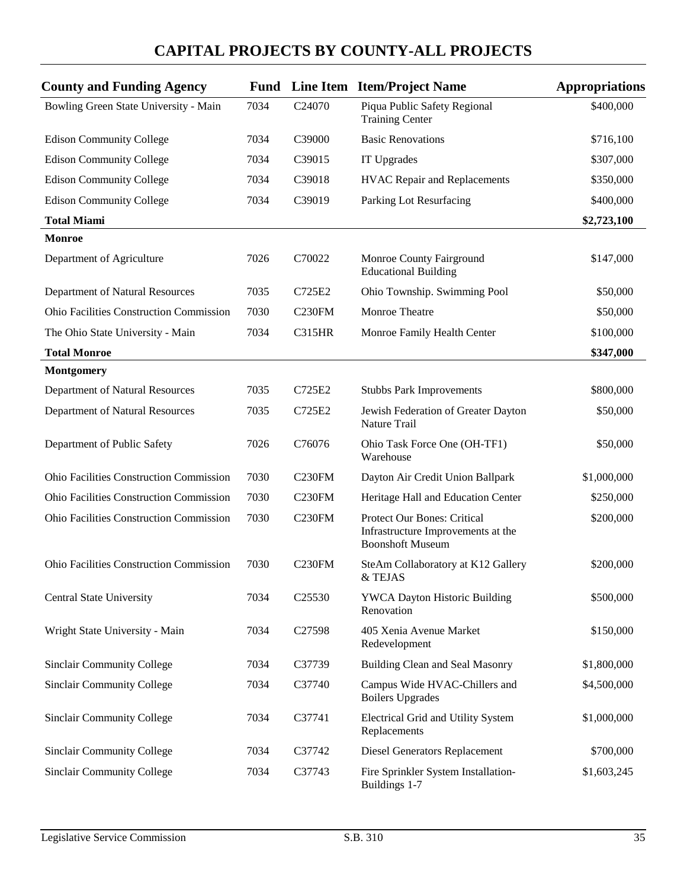| <b>County and Funding Agency</b>               | Fund |                     | Line Item Item/Project Name                                                                         | <b>Appropriations</b> |
|------------------------------------------------|------|---------------------|-----------------------------------------------------------------------------------------------------|-----------------------|
| Bowling Green State University - Main          | 7034 | C <sub>24070</sub>  | Piqua Public Safety Regional<br><b>Training Center</b>                                              | \$400,000             |
| <b>Edison Community College</b>                | 7034 | C39000              | <b>Basic Renovations</b>                                                                            | \$716,100             |
| <b>Edison Community College</b>                | 7034 | C39015              | IT Upgrades                                                                                         | \$307,000             |
| <b>Edison Community College</b>                | 7034 | C39018              | <b>HVAC Repair and Replacements</b>                                                                 | \$350,000             |
| <b>Edison Community College</b>                | 7034 | C39019              | Parking Lot Resurfacing                                                                             | \$400,000             |
| <b>Total Miami</b>                             |      |                     |                                                                                                     | \$2,723,100           |
| <b>Monroe</b>                                  |      |                     |                                                                                                     |                       |
| Department of Agriculture                      | 7026 | C70022              | Monroe County Fairground<br><b>Educational Building</b>                                             | \$147,000             |
| Department of Natural Resources                | 7035 | C725E2              | Ohio Township. Swimming Pool                                                                        | \$50,000              |
| <b>Ohio Facilities Construction Commission</b> | 7030 | C <sub>230</sub> FM | Monroe Theatre                                                                                      | \$50,000              |
| The Ohio State University - Main               | 7034 | <b>C315HR</b>       | Monroe Family Health Center                                                                         | \$100,000             |
| <b>Total Monroe</b>                            |      |                     |                                                                                                     | \$347,000             |
| <b>Montgomery</b>                              |      |                     |                                                                                                     |                       |
| Department of Natural Resources                | 7035 | C725E2              | <b>Stubbs Park Improvements</b>                                                                     | \$800,000             |
| Department of Natural Resources                | 7035 | C725E2              | Jewish Federation of Greater Dayton<br>Nature Trail                                                 | \$50,000              |
| Department of Public Safety                    | 7026 | C76076              | Ohio Task Force One (OH-TF1)<br>Warehouse                                                           | \$50,000              |
| <b>Ohio Facilities Construction Commission</b> | 7030 | C <sub>230</sub> FM | Dayton Air Credit Union Ballpark                                                                    | \$1,000,000           |
| Ohio Facilities Construction Commission        | 7030 | C <sub>230</sub> FM | Heritage Hall and Education Center                                                                  | \$250,000             |
| Ohio Facilities Construction Commission        | 7030 | C <sub>230FM</sub>  | <b>Protect Our Bones: Critical</b><br>Infrastructure Improvements at the<br><b>Boonshoft Museum</b> | \$200,000             |
| Ohio Facilities Construction Commission        | 7030 | C <sub>230FM</sub>  | SteAm Collaboratory at K12 Gallery<br>& TEJAS                                                       | \$200,000             |
| Central State University                       | 7034 | C <sub>25530</sub>  | <b>YWCA Dayton Historic Building</b><br>Renovation                                                  | \$500,000             |
| Wright State University - Main                 | 7034 | C27598              | 405 Xenia Avenue Market<br>Redevelopment                                                            | \$150,000             |
| <b>Sinclair Community College</b>              | 7034 | C37739              | Building Clean and Seal Masonry                                                                     | \$1,800,000           |
| <b>Sinclair Community College</b>              | 7034 | C37740              | Campus Wide HVAC-Chillers and<br><b>Boilers Upgrades</b>                                            | \$4,500,000           |
| <b>Sinclair Community College</b>              | 7034 | C37741              | Electrical Grid and Utility System<br>Replacements                                                  | \$1,000,000           |
| <b>Sinclair Community College</b>              | 7034 | C37742              | <b>Diesel Generators Replacement</b>                                                                | \$700,000             |
| <b>Sinclair Community College</b>              | 7034 | C37743              | Fire Sprinkler System Installation-<br>Buildings 1-7                                                | \$1,603,245           |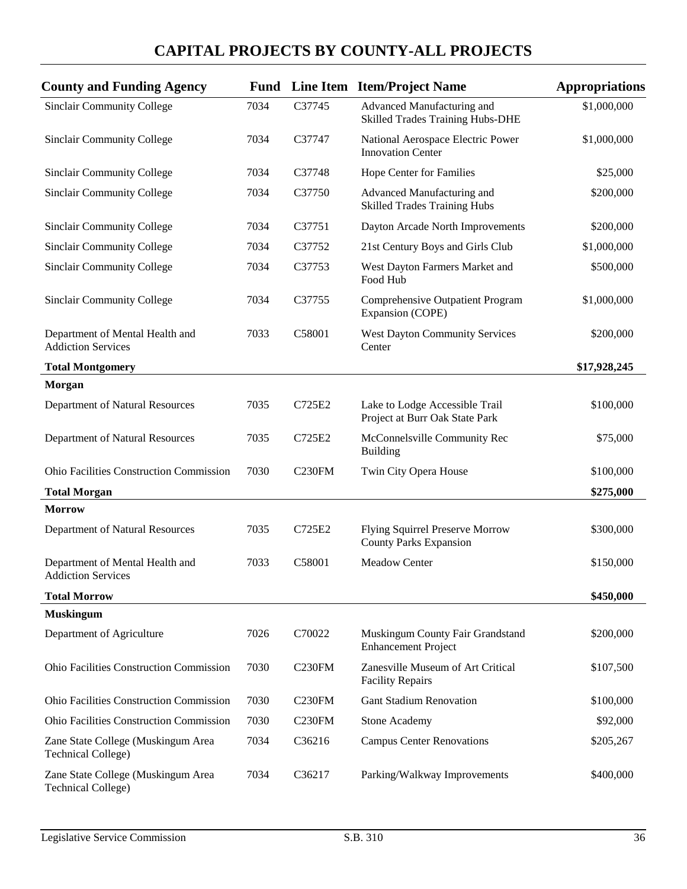| <b>County and Funding Agency</b>                                |      |                     | <b>Fund</b> Line Item Item/Project Name                               | <b>Appropriations</b> |
|-----------------------------------------------------------------|------|---------------------|-----------------------------------------------------------------------|-----------------------|
| <b>Sinclair Community College</b>                               | 7034 | C37745              | Advanced Manufacturing and<br><b>Skilled Trades Training Hubs-DHE</b> | \$1,000,000           |
| Sinclair Community College                                      | 7034 | C37747              | National Aerospace Electric Power<br><b>Innovation Center</b>         | \$1,000,000           |
| <b>Sinclair Community College</b>                               | 7034 | C37748              | Hope Center for Families                                              | \$25,000              |
| <b>Sinclair Community College</b>                               | 7034 | C37750              | Advanced Manufacturing and<br><b>Skilled Trades Training Hubs</b>     | \$200,000             |
| <b>Sinclair Community College</b>                               | 7034 | C37751              | Dayton Arcade North Improvements                                      | \$200,000             |
| <b>Sinclair Community College</b>                               | 7034 | C37752              | 21st Century Boys and Girls Club                                      | \$1,000,000           |
| Sinclair Community College                                      | 7034 | C37753              | West Dayton Farmers Market and<br>Food Hub                            | \$500,000             |
| <b>Sinclair Community College</b>                               | 7034 | C37755              | Comprehensive Outpatient Program<br>Expansion (COPE)                  | \$1,000,000           |
| Department of Mental Health and<br><b>Addiction Services</b>    | 7033 | C58001              | <b>West Dayton Community Services</b><br>Center                       | \$200,000             |
| <b>Total Montgomery</b>                                         |      |                     |                                                                       | \$17,928,245          |
| <b>Morgan</b>                                                   |      |                     |                                                                       |                       |
| Department of Natural Resources                                 | 7035 | C725E2              | Lake to Lodge Accessible Trail<br>Project at Burr Oak State Park      | \$100,000             |
| Department of Natural Resources                                 | 7035 | C725E2              | McConnelsville Community Rec<br><b>Building</b>                       | \$75,000              |
| <b>Ohio Facilities Construction Commission</b>                  | 7030 | C <sub>230FM</sub>  | Twin City Opera House                                                 | \$100,000             |
| <b>Total Morgan</b>                                             |      |                     |                                                                       | \$275,000             |
| <b>Morrow</b>                                                   |      |                     |                                                                       |                       |
| Department of Natural Resources                                 | 7035 | C725E2              | Flying Squirrel Preserve Morrow<br><b>County Parks Expansion</b>      | \$300,000             |
| Department of Mental Health and<br><b>Addiction Services</b>    | 7033 | C58001              | Meadow Center                                                         | \$150,000             |
| <b>Total Morrow</b>                                             |      |                     |                                                                       | \$450,000             |
| <b>Muskingum</b>                                                |      |                     |                                                                       |                       |
| Department of Agriculture                                       | 7026 | C70022              | Muskingum County Fair Grandstand<br><b>Enhancement Project</b>        | \$200,000             |
| Ohio Facilities Construction Commission                         | 7030 | <b>C230FM</b>       | Zanesville Museum of Art Critical<br><b>Facility Repairs</b>          | \$107,500             |
| Ohio Facilities Construction Commission                         | 7030 | <b>C230FM</b>       | <b>Gant Stadium Renovation</b>                                        | \$100,000             |
| <b>Ohio Facilities Construction Commission</b>                  | 7030 | C <sub>230</sub> FM | <b>Stone Academy</b>                                                  | \$92,000              |
| Zane State College (Muskingum Area<br><b>Technical College)</b> | 7034 | C36216              | <b>Campus Center Renovations</b>                                      | \$205,267             |
| Zane State College (Muskingum Area<br><b>Technical College)</b> | 7034 | C36217              | Parking/Walkway Improvements                                          | \$400,000             |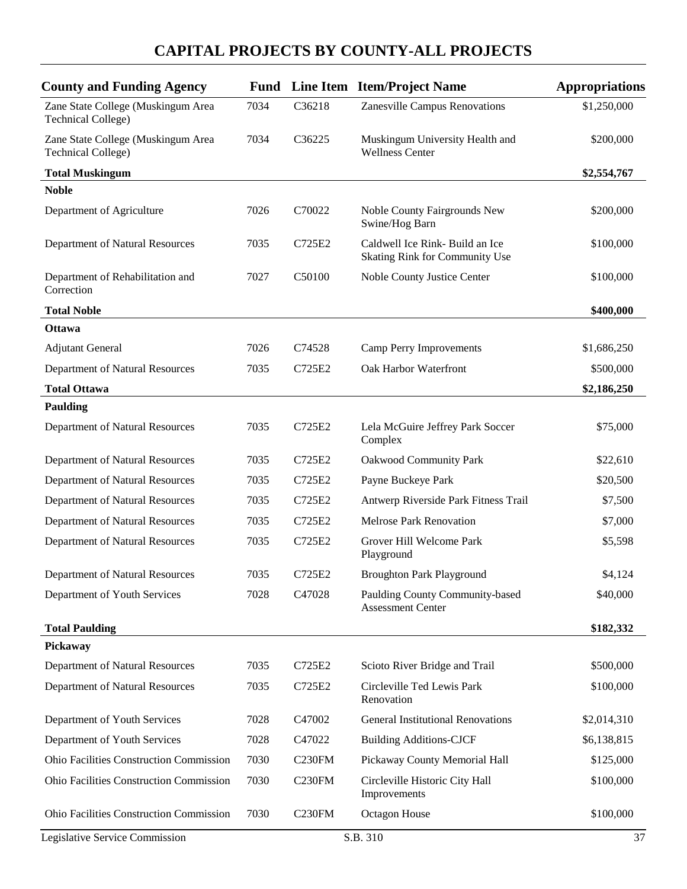| <b>County and Funding Agency</b>                                |      |                    | Fund Line Item Item/Project Name                                  | <b>Appropriations</b> |
|-----------------------------------------------------------------|------|--------------------|-------------------------------------------------------------------|-----------------------|
| Zane State College (Muskingum Area<br><b>Technical College)</b> | 7034 | C36218             | Zanesville Campus Renovations                                     | \$1,250,000           |
| Zane State College (Muskingum Area<br><b>Technical College)</b> | 7034 | C36225             | Muskingum University Health and<br><b>Wellness Center</b>         | \$200,000             |
| <b>Total Muskingum</b>                                          |      |                    |                                                                   | \$2,554,767           |
| <b>Noble</b>                                                    |      |                    |                                                                   |                       |
| Department of Agriculture                                       | 7026 | C70022             | Noble County Fairgrounds New<br>Swine/Hog Barn                    | \$200,000             |
| Department of Natural Resources                                 | 7035 | C725E2             | Caldwell Ice Rink- Build an Ice<br>Skating Rink for Community Use | \$100,000             |
| Department of Rehabilitation and<br>Correction                  | 7027 | C50100             | Noble County Justice Center                                       | \$100,000             |
| <b>Total Noble</b>                                              |      |                    |                                                                   | \$400,000             |
| <b>Ottawa</b>                                                   |      |                    |                                                                   |                       |
| <b>Adjutant General</b>                                         | 7026 | C74528             | Camp Perry Improvements                                           | \$1,686,250           |
| Department of Natural Resources                                 | 7035 | C725E2             | Oak Harbor Waterfront                                             | \$500,000             |
| <b>Total Ottawa</b>                                             |      |                    |                                                                   | \$2,186,250           |
| <b>Paulding</b>                                                 |      |                    |                                                                   |                       |
| Department of Natural Resources                                 | 7035 | C725E2             | Lela McGuire Jeffrey Park Soccer<br>Complex                       | \$75,000              |
| Department of Natural Resources                                 | 7035 | C725E2             | <b>Oakwood Community Park</b>                                     | \$22,610              |
| Department of Natural Resources                                 | 7035 | C725E2             | Payne Buckeye Park                                                | \$20,500              |
| Department of Natural Resources                                 | 7035 | C725E2             | Antwerp Riverside Park Fitness Trail                              | \$7,500               |
| Department of Natural Resources                                 | 7035 | C725E2             | <b>Melrose Park Renovation</b>                                    | \$7,000               |
| Department of Natural Resources                                 | 7035 | C725E2             | Grover Hill Welcome Park<br>Playground                            | \$5,598               |
| Department of Natural Resources                                 | 7035 | C725E2             | <b>Broughton Park Playground</b>                                  | \$4,124               |
| Department of Youth Services                                    | 7028 | C47028             | Paulding County Community-based<br><b>Assessment Center</b>       | \$40,000              |
| <b>Total Paulding</b>                                           |      |                    |                                                                   | \$182,332             |
| Pickaway                                                        |      |                    |                                                                   |                       |
| Department of Natural Resources                                 | 7035 | C725E2             | Scioto River Bridge and Trail                                     | \$500,000             |
| Department of Natural Resources                                 | 7035 | C725E2             | Circleville Ted Lewis Park<br>Renovation                          | \$100,000             |
| Department of Youth Services                                    | 7028 | C47002             | <b>General Institutional Renovations</b>                          | \$2,014,310           |
| Department of Youth Services                                    | 7028 | C47022             | <b>Building Additions-CJCF</b>                                    | \$6,138,815           |
| Ohio Facilities Construction Commission                         | 7030 | C <sub>230FM</sub> | Pickaway County Memorial Hall                                     | \$125,000             |
| Ohio Facilities Construction Commission                         | 7030 | C <sub>230FM</sub> | Circleville Historic City Hall<br>Improvements                    | \$100,000             |
| Ohio Facilities Construction Commission                         | 7030 | C <sub>230FM</sub> | Octagon House                                                     | \$100,000             |
| Legislative Service Commission                                  |      |                    | S.B. 310                                                          | 37                    |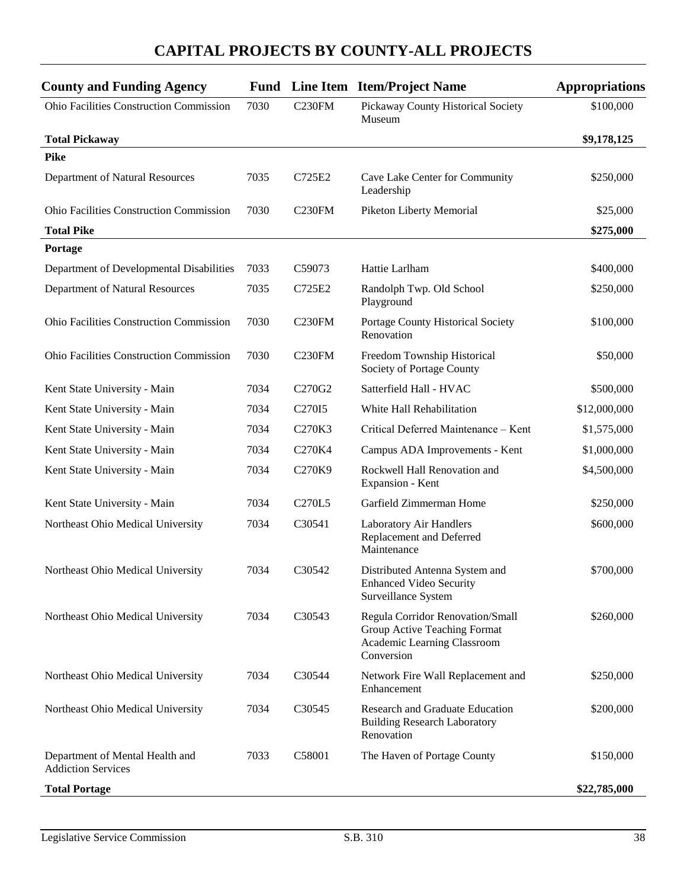| <b>County and Funding Agency</b>                             |      |                                 | <b>Fund</b> Line Item Item/Project Name                                                                       | <b>Appropriations</b> |
|--------------------------------------------------------------|------|---------------------------------|---------------------------------------------------------------------------------------------------------------|-----------------------|
| Ohio Facilities Construction Commission                      | 7030 | C <sub>230FM</sub>              | Pickaway County Historical Society<br>Museum                                                                  | \$100,000             |
| <b>Total Pickaway</b>                                        |      |                                 |                                                                                                               | \$9,178,125           |
| <b>Pike</b>                                                  |      |                                 |                                                                                                               |                       |
| Department of Natural Resources                              | 7035 | C725E2                          | Cave Lake Center for Community<br>Leadership                                                                  | \$250,000             |
| <b>Ohio Facilities Construction Commission</b>               | 7030 | C <sub>230FM</sub>              | <b>Piketon Liberty Memorial</b>                                                                               | \$25,000              |
| <b>Total Pike</b>                                            |      |                                 |                                                                                                               | \$275,000             |
| Portage                                                      |      |                                 |                                                                                                               |                       |
| Department of Developmental Disabilities                     | 7033 | C59073                          | Hattie Larlham                                                                                                | \$400,000             |
| Department of Natural Resources                              | 7035 | C725E2                          | Randolph Twp. Old School<br>Playground                                                                        | \$250,000             |
| <b>Ohio Facilities Construction Commission</b>               | 7030 | C <sub>230FM</sub>              | Portage County Historical Society<br>Renovation                                                               | \$100,000             |
| <b>Ohio Facilities Construction Commission</b>               | 7030 | C <sub>230FM</sub>              | Freedom Township Historical<br>Society of Portage County                                                      | \$50,000              |
| Kent State University - Main                                 | 7034 | C270G2                          | Satterfield Hall - HVAC                                                                                       | \$500,000             |
| Kent State University - Main                                 | 7034 | C <sub>270</sub> I <sub>5</sub> | White Hall Rehabilitation                                                                                     | \$12,000,000          |
| Kent State University - Main                                 | 7034 | C270K3                          | Critical Deferred Maintenance - Kent                                                                          | \$1,575,000           |
| Kent State University - Main                                 | 7034 | C270K4                          | Campus ADA Improvements - Kent                                                                                | \$1,000,000           |
| Kent State University - Main                                 | 7034 | C270K9                          | Rockwell Hall Renovation and<br>Expansion - Kent                                                              | \$4,500,000           |
| Kent State University - Main                                 | 7034 | C270L5                          | Garfield Zimmerman Home                                                                                       | \$250,000             |
| Northeast Ohio Medical University                            | 7034 | C30541                          | Laboratory Air Handlers<br>Replacement and Deferred<br>Maintenance                                            | \$600,000             |
| Northeast Ohio Medical University                            | 7034 | C <sub>3</sub> 0542             | Distributed Antenna System and<br><b>Enhanced Video Security</b><br>Surveillance System                       | \$700,000             |
| Northeast Ohio Medical University                            | 7034 | C30543                          | Regula Corridor Renovation/Small<br>Group Active Teaching Format<br>Academic Learning Classroom<br>Conversion | \$260,000             |
| Northeast Ohio Medical University                            | 7034 | C30544                          | Network Fire Wall Replacement and<br>Enhancement                                                              | \$250,000             |
| Northeast Ohio Medical University                            | 7034 | C30545                          | Research and Graduate Education<br><b>Building Research Laboratory</b><br>Renovation                          | \$200,000             |
| Department of Mental Health and<br><b>Addiction Services</b> | 7033 | C58001                          | The Haven of Portage County                                                                                   | \$150,000             |
| <b>Total Portage</b>                                         |      |                                 |                                                                                                               | \$22,785,000          |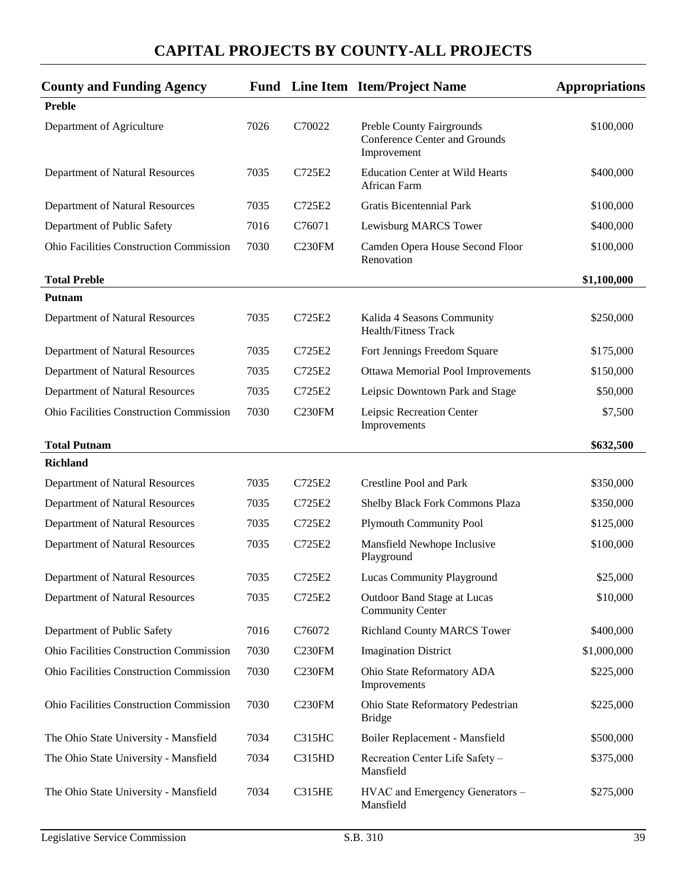| <b>County and Funding Agency</b>               |      |                    | <b>Fund</b> Line Item Item/Project Name                                          | <b>Appropriations</b> |
|------------------------------------------------|------|--------------------|----------------------------------------------------------------------------------|-----------------------|
| <b>Preble</b>                                  |      |                    |                                                                                  |                       |
| Department of Agriculture                      | 7026 | C70022             | Preble County Fairgrounds<br><b>Conference Center and Grounds</b><br>Improvement | \$100,000             |
| Department of Natural Resources                | 7035 | C725E2             | <b>Education Center at Wild Hearts</b><br>African Farm                           | \$400,000             |
| Department of Natural Resources                | 7035 | C725E2             | <b>Gratis Bicentennial Park</b>                                                  | \$100,000             |
| Department of Public Safety                    | 7016 | C76071             | Lewisburg MARCS Tower                                                            | \$400,000             |
| <b>Ohio Facilities Construction Commission</b> | 7030 | C <sub>230FM</sub> | Camden Opera House Second Floor<br>Renovation                                    | \$100,000             |
| <b>Total Preble</b>                            |      |                    |                                                                                  | \$1,100,000           |
| Putnam                                         |      |                    |                                                                                  |                       |
| Department of Natural Resources                | 7035 | C725E2             | Kalida 4 Seasons Community<br><b>Health/Fitness Track</b>                        | \$250,000             |
| Department of Natural Resources                | 7035 | C725E2             | Fort Jennings Freedom Square                                                     | \$175,000             |
| Department of Natural Resources                | 7035 | C725E2             | Ottawa Memorial Pool Improvements                                                | \$150,000             |
| Department of Natural Resources                | 7035 | C725E2             | Leipsic Downtown Park and Stage                                                  | \$50,000              |
| <b>Ohio Facilities Construction Commission</b> | 7030 | C <sub>230FM</sub> | Leipsic Recreation Center<br>Improvements                                        | \$7,500               |
| <b>Total Putnam</b>                            |      |                    |                                                                                  | \$632,500             |
| <b>Richland</b>                                |      |                    |                                                                                  |                       |
| Department of Natural Resources                | 7035 | C725E2             | <b>Crestline Pool and Park</b>                                                   | \$350,000             |
| Department of Natural Resources                | 7035 | C725E2             | Shelby Black Fork Commons Plaza                                                  | \$350,000             |
| Department of Natural Resources                | 7035 | C725E2             | <b>Plymouth Community Pool</b>                                                   | \$125,000             |
| Department of Natural Resources                | 7035 | C725E2             | Mansfield Newhope Inclusive<br>Playground                                        | \$100,000             |
| Department of Natural Resources                | 7035 | C725E2             | Lucas Community Playground                                                       | \$25,000              |
| Department of Natural Resources                | 7035 | C725E2             | Outdoor Band Stage at Lucas<br><b>Community Center</b>                           | \$10,000              |
| Department of Public Safety                    | 7016 | C76072             | <b>Richland County MARCS Tower</b>                                               | \$400,000             |
| <b>Ohio Facilities Construction Commission</b> | 7030 | C230FM             | <b>Imagination District</b>                                                      | \$1,000,000           |
| Ohio Facilities Construction Commission        | 7030 | C <sub>230FM</sub> | Ohio State Reformatory ADA<br>Improvements                                       | \$225,000             |
| Ohio Facilities Construction Commission        | 7030 | C <sub>230FM</sub> | Ohio State Reformatory Pedestrian<br><b>Bridge</b>                               | \$225,000             |
| The Ohio State University - Mansfield          | 7034 | C315HC             | Boiler Replacement - Mansfield                                                   | \$500,000             |
| The Ohio State University - Mansfield          | 7034 | C315HD             | Recreation Center Life Safety -<br>Mansfield                                     | \$375,000             |
| The Ohio State University - Mansfield          | 7034 | <b>C315HE</b>      | HVAC and Emergency Generators -<br>Mansfield                                     | \$275,000             |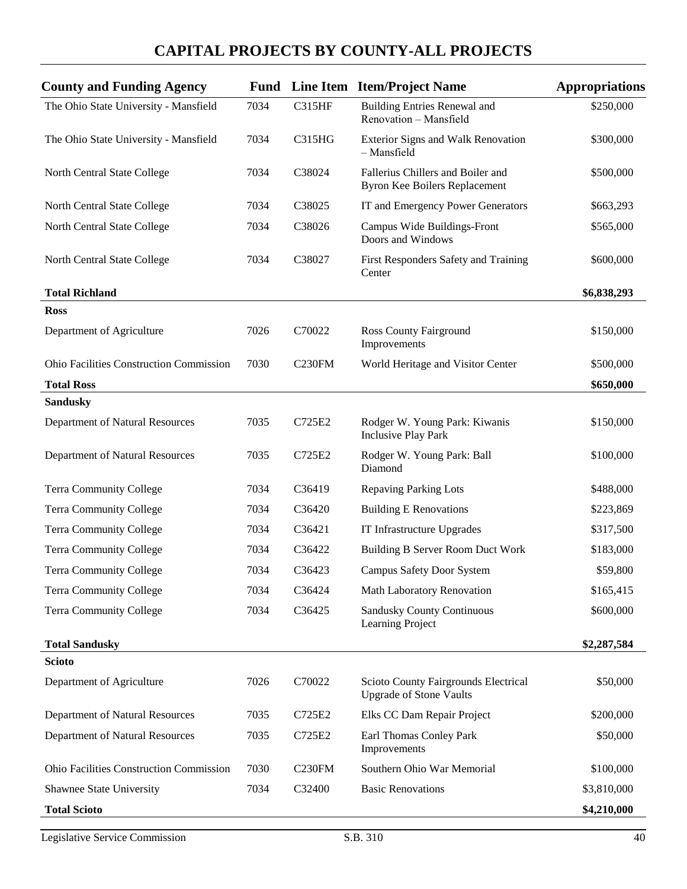| The Ohio State University - Mansfield<br>7034          | <b>C315HF</b>      | <b>Building Entries Renewal and</b><br>Renovation - Mansfield             | \$250,000   |
|--------------------------------------------------------|--------------------|---------------------------------------------------------------------------|-------------|
| The Ohio State University - Mansfield<br>7034          | <b>C315HG</b>      | Exterior Signs and Walk Renovation<br>- Mansfield                         | \$300,000   |
| 7034<br>North Central State College                    | C38024             | Fallerius Chillers and Boiler and<br><b>Byron Kee Boilers Replacement</b> | \$500,000   |
| North Central State College<br>7034                    | C38025             | IT and Emergency Power Generators                                         | \$663,293   |
| North Central State College<br>7034                    | C38026             | Campus Wide Buildings-Front<br>Doors and Windows                          | \$565,000   |
| 7034<br>North Central State College                    | C38027             | First Responders Safety and Training<br>Center                            | \$600,000   |
| <b>Total Richland</b>                                  |                    |                                                                           | \$6,838,293 |
| <b>Ross</b>                                            |                    |                                                                           |             |
| Department of Agriculture<br>7026                      | C70022             | <b>Ross County Fairground</b><br>Improvements                             | \$150,000   |
| <b>Ohio Facilities Construction Commission</b><br>7030 | C <sub>230FM</sub> | World Heritage and Visitor Center                                         | \$500,000   |
| <b>Total Ross</b>                                      |                    |                                                                           | \$650,000   |
| <b>Sandusky</b>                                        |                    |                                                                           |             |
| 7035<br>Department of Natural Resources                | C725E2             | Rodger W. Young Park: Kiwanis<br><b>Inclusive Play Park</b>               | \$150,000   |
| Department of Natural Resources<br>7035                | C725E2             | Rodger W. Young Park: Ball<br>Diamond                                     | \$100,000   |
| <b>Terra Community College</b><br>7034                 | C36419             | <b>Repaving Parking Lots</b>                                              | \$488,000   |
| <b>Terra Community College</b><br>7034                 | C36420             | <b>Building E Renovations</b>                                             | \$223,869   |
| <b>Terra Community College</b><br>7034                 | C36421             | IT Infrastructure Upgrades                                                | \$317,500   |
| <b>Terra Community College</b><br>7034                 | C36422             | <b>Building B Server Room Duct Work</b>                                   | \$183,000   |
| <b>Terra Community College</b><br>7034                 | C36423             | <b>Campus Safety Door System</b>                                          | \$59,800    |
| <b>Terra Community College</b><br>7034                 | C36424             | Math Laboratory Renovation                                                | \$165,415   |
| <b>Terra Community College</b><br>7034                 | C36425             | <b>Sandusky County Continuous</b><br>Learning Project                     | \$600,000   |
| <b>Total Sandusky</b>                                  |                    |                                                                           | \$2,287,584 |
| <b>Scioto</b>                                          |                    |                                                                           |             |
| 7026<br>Department of Agriculture                      | C70022             | Scioto County Fairgrounds Electrical<br><b>Upgrade of Stone Vaults</b>    | \$50,000    |
| Department of Natural Resources<br>7035                | C725E2             | Elks CC Dam Repair Project                                                | \$200,000   |
| Department of Natural Resources<br>7035                | C725E2             | Earl Thomas Conley Park<br>Improvements                                   | \$50,000    |
| Ohio Facilities Construction Commission<br>7030        | C <sub>230FM</sub> | Southern Ohio War Memorial                                                | \$100,000   |
| Shawnee State University<br>7034                       | C32400             | <b>Basic Renovations</b>                                                  | \$3,810,000 |
| <b>Total Scioto</b>                                    |                    |                                                                           | \$4,210,000 |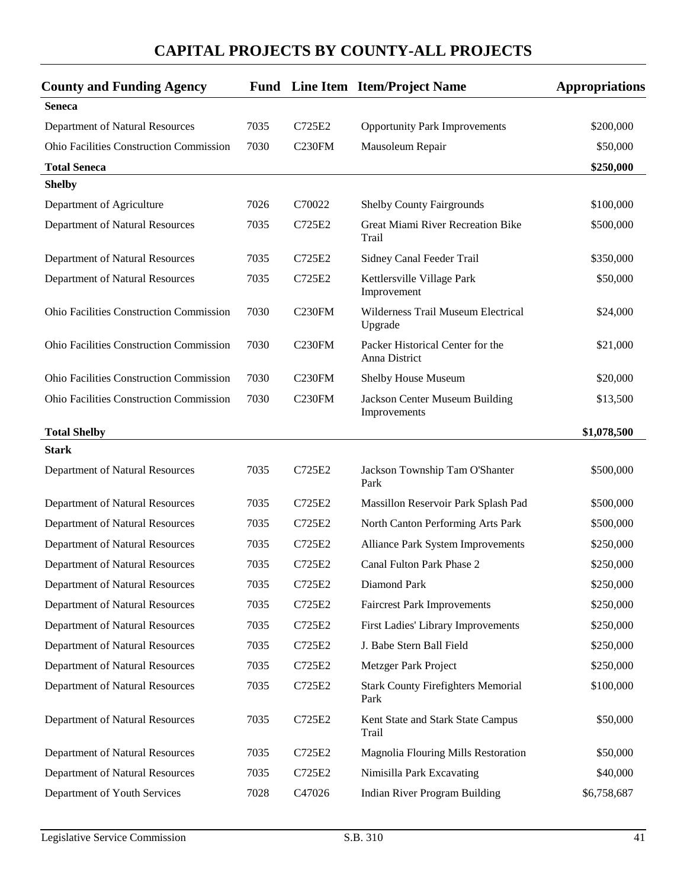| <b>County and Funding Agency</b>               |      |                     | <b>Fund</b> Line Item Item/Project Name              | <b>Appropriations</b> |
|------------------------------------------------|------|---------------------|------------------------------------------------------|-----------------------|
| <b>Seneca</b>                                  |      |                     |                                                      |                       |
| Department of Natural Resources                | 7035 | C725E2              | <b>Opportunity Park Improvements</b>                 | \$200,000             |
| <b>Ohio Facilities Construction Commission</b> | 7030 | C <sub>230</sub> FM | Mausoleum Repair                                     | \$50,000              |
| <b>Total Seneca</b>                            |      |                     |                                                      | \$250,000             |
| <b>Shelby</b>                                  |      |                     |                                                      |                       |
| Department of Agriculture                      | 7026 | C70022              | <b>Shelby County Fairgrounds</b>                     | \$100,000             |
| Department of Natural Resources                | 7035 | C725E2              | <b>Great Miami River Recreation Bike</b><br>Trail    | \$500,000             |
| Department of Natural Resources                | 7035 | C725E2              | Sidney Canal Feeder Trail                            | \$350,000             |
| Department of Natural Resources                | 7035 | C725E2              | Kettlersville Village Park<br>Improvement            | \$50,000              |
| <b>Ohio Facilities Construction Commission</b> | 7030 | C230FM              | <b>Wilderness Trail Museum Electrical</b><br>Upgrade | \$24,000              |
| <b>Ohio Facilities Construction Commission</b> | 7030 | C230FM              | Packer Historical Center for the<br>Anna District    | \$21,000              |
| <b>Ohio Facilities Construction Commission</b> | 7030 | C <sub>230</sub> FM | Shelby House Museum                                  | \$20,000              |
| <b>Ohio Facilities Construction Commission</b> | 7030 | C <sub>230FM</sub>  | Jackson Center Museum Building<br>Improvements       | \$13,500              |
| <b>Total Shelby</b>                            |      |                     |                                                      | \$1,078,500           |
| <b>Stark</b>                                   |      |                     |                                                      |                       |
| Department of Natural Resources                | 7035 | C725E2              | Jackson Township Tam O'Shanter<br>Park               | \$500,000             |
| Department of Natural Resources                | 7035 | C725E2              | Massillon Reservoir Park Splash Pad                  | \$500,000             |
| Department of Natural Resources                | 7035 | C725E2              | North Canton Performing Arts Park                    | \$500,000             |
| Department of Natural Resources                | 7035 | C725E2              | Alliance Park System Improvements                    | \$250,000             |
| Department of Natural Resources                | 7035 | C725E2              | Canal Fulton Park Phase 2                            | \$250,000             |
| Department of Natural Resources                | 7035 | C725E2              | Diamond Park                                         | \$250,000             |
| Department of Natural Resources                | 7035 | C725E2              | <b>Faircrest Park Improvements</b>                   | \$250,000             |
| Department of Natural Resources                | 7035 | C725E2              | First Ladies' Library Improvements                   | \$250,000             |
| Department of Natural Resources                | 7035 | C725E2              | J. Babe Stern Ball Field                             | \$250,000             |
| Department of Natural Resources                | 7035 | C725E2              | Metzger Park Project                                 | \$250,000             |
| Department of Natural Resources                | 7035 | C725E2              | <b>Stark County Firefighters Memorial</b><br>Park    | \$100,000             |
| Department of Natural Resources                | 7035 | C725E2              | Kent State and Stark State Campus<br>Trail           | \$50,000              |
| Department of Natural Resources                | 7035 | C725E2              | Magnolia Flouring Mills Restoration                  | \$50,000              |
| Department of Natural Resources                | 7035 | C725E2              | Nimisilla Park Excavating                            | \$40,000              |
| Department of Youth Services                   | 7028 | C47026              | <b>Indian River Program Building</b>                 | \$6,758,687           |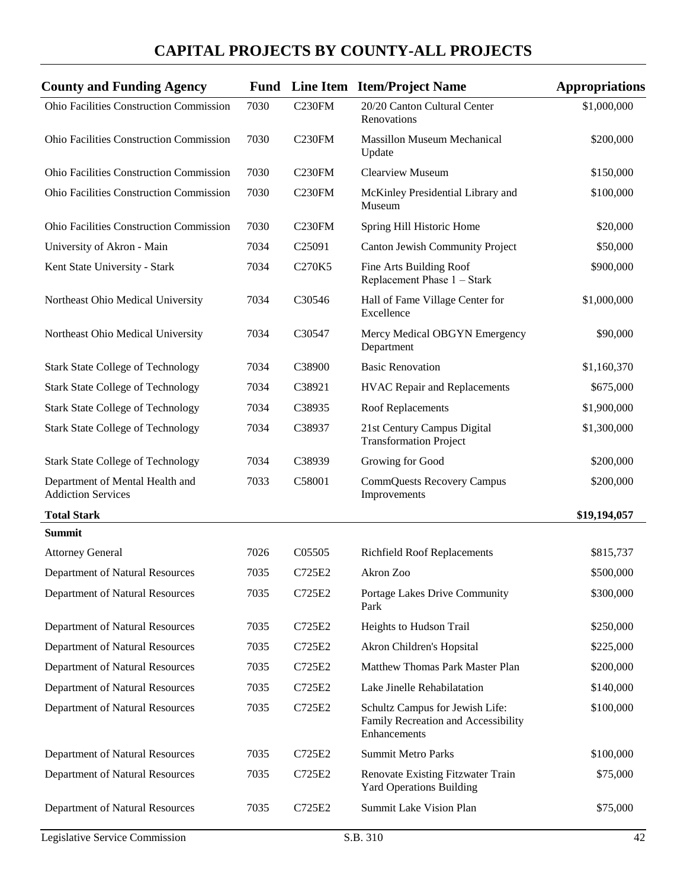| <b>County and Funding Agency</b>                             |      |                    | <b>Fund</b> Line Item Item/Project Name                                                | <b>Appropriations</b> |
|--------------------------------------------------------------|------|--------------------|----------------------------------------------------------------------------------------|-----------------------|
| Ohio Facilities Construction Commission                      | 7030 | C <sub>230FM</sub> | 20/20 Canton Cultural Center<br>Renovations                                            | \$1,000,000           |
| <b>Ohio Facilities Construction Commission</b>               | 7030 | C <sub>230FM</sub> | <b>Massillon Museum Mechanical</b><br>Update                                           | \$200,000             |
| <b>Ohio Facilities Construction Commission</b>               | 7030 | C <sub>230FM</sub> | <b>Clearview Museum</b>                                                                | \$150,000             |
| <b>Ohio Facilities Construction Commission</b>               | 7030 | C <sub>230FM</sub> | McKinley Presidential Library and<br>Museum                                            | \$100,000             |
| <b>Ohio Facilities Construction Commission</b>               | 7030 | C <sub>230FM</sub> | Spring Hill Historic Home                                                              | \$20,000              |
| University of Akron - Main                                   | 7034 | C <sub>25091</sub> | Canton Jewish Community Project                                                        | \$50,000              |
| Kent State University - Stark                                | 7034 | C270K5             | Fine Arts Building Roof<br>Replacement Phase 1 - Stark                                 | \$900,000             |
| Northeast Ohio Medical University                            | 7034 | C30546             | Hall of Fame Village Center for<br>Excellence                                          | \$1,000,000           |
| Northeast Ohio Medical University                            | 7034 | C30547             | Mercy Medical OBGYN Emergency<br>Department                                            | \$90,000              |
| <b>Stark State College of Technology</b>                     | 7034 | C38900             | <b>Basic Renovation</b>                                                                | \$1,160,370           |
| <b>Stark State College of Technology</b>                     | 7034 | C38921             | <b>HVAC Repair and Replacements</b>                                                    | \$675,000             |
| <b>Stark State College of Technology</b>                     | 7034 | C38935             | Roof Replacements                                                                      | \$1,900,000           |
| <b>Stark State College of Technology</b>                     | 7034 | C38937             | 21st Century Campus Digital<br><b>Transformation Project</b>                           | \$1,300,000           |
| <b>Stark State College of Technology</b>                     | 7034 | C38939             | Growing for Good                                                                       | \$200,000             |
| Department of Mental Health and<br><b>Addiction Services</b> | 7033 | C58001             | <b>CommQuests Recovery Campus</b><br>Improvements                                      | \$200,000             |
| <b>Total Stark</b>                                           |      |                    |                                                                                        | \$19,194,057          |
| <b>Summit</b>                                                |      |                    |                                                                                        |                       |
| <b>Attorney General</b>                                      | 7026 | C05505             | <b>Richfield Roof Replacements</b>                                                     | \$815,737             |
| Department of Natural Resources                              | 7035 | C725E2             | Akron Zoo                                                                              | \$500,000             |
| Department of Natural Resources                              | 7035 | C725E2             | Portage Lakes Drive Community<br>Park                                                  | \$300,000             |
| Department of Natural Resources                              | 7035 | C725E2             | Heights to Hudson Trail                                                                | \$250,000             |
| Department of Natural Resources                              | 7035 | C725E2             | Akron Children's Hopsital                                                              | \$225,000             |
| Department of Natural Resources                              | 7035 | C725E2             | Matthew Thomas Park Master Plan                                                        | \$200,000             |
| Department of Natural Resources                              | 7035 | C725E2             | Lake Jinelle Rehabilatation                                                            | \$140,000             |
| Department of Natural Resources                              | 7035 | C725E2             | Schultz Campus for Jewish Life:<br>Family Recreation and Accessibility<br>Enhancements | \$100,000             |
| Department of Natural Resources                              | 7035 | C725E2             | <b>Summit Metro Parks</b>                                                              | \$100,000             |
| Department of Natural Resources                              | 7035 | C725E2             | Renovate Existing Fitzwater Train<br><b>Yard Operations Building</b>                   | \$75,000              |
| Department of Natural Resources                              | 7035 | C725E2             | Summit Lake Vision Plan                                                                | \$75,000              |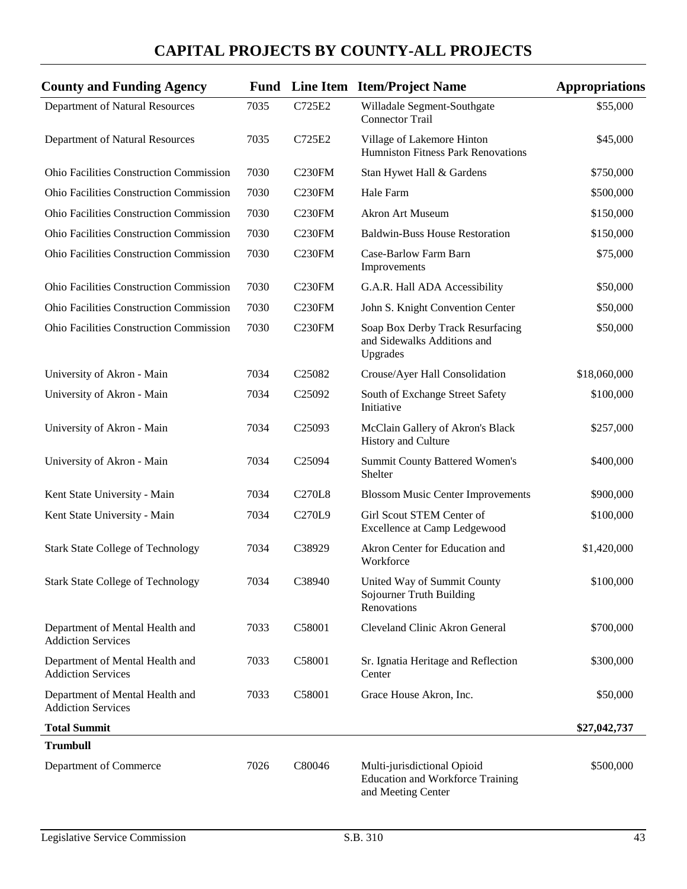| <b>County and Funding Agency</b>                             |      |                    | <b>Fund</b> Line Item Item/Project Name                                                      | <b>Appropriations</b> |
|--------------------------------------------------------------|------|--------------------|----------------------------------------------------------------------------------------------|-----------------------|
| Department of Natural Resources                              | 7035 | C725E2             | Willadale Segment-Southgate<br><b>Connector Trail</b>                                        | \$55,000              |
| Department of Natural Resources                              | 7035 | C725E2             | Village of Lakemore Hinton<br>Humniston Fitness Park Renovations                             | \$45,000              |
| Ohio Facilities Construction Commission                      | 7030 | C <sub>230FM</sub> | Stan Hywet Hall & Gardens                                                                    | \$750,000             |
| <b>Ohio Facilities Construction Commission</b>               | 7030 | C <sub>230FM</sub> | Hale Farm                                                                                    | \$500,000             |
| <b>Ohio Facilities Construction Commission</b>               | 7030 | C <sub>230FM</sub> | <b>Akron Art Museum</b>                                                                      | \$150,000             |
| <b>Ohio Facilities Construction Commission</b>               | 7030 | C <sub>230FM</sub> | <b>Baldwin-Buss House Restoration</b>                                                        | \$150,000             |
| Ohio Facilities Construction Commission                      | 7030 | C <sub>230FM</sub> | Case-Barlow Farm Barn<br>Improvements                                                        | \$75,000              |
| <b>Ohio Facilities Construction Commission</b>               | 7030 | C <sub>230FM</sub> | G.A.R. Hall ADA Accessibility                                                                | \$50,000              |
| <b>Ohio Facilities Construction Commission</b>               | 7030 | C <sub>230FM</sub> | John S. Knight Convention Center                                                             | \$50,000              |
| <b>Ohio Facilities Construction Commission</b>               | 7030 | <b>C230FM</b>      | Soap Box Derby Track Resurfacing<br>and Sidewalks Additions and<br>Upgrades                  | \$50,000              |
| University of Akron - Main                                   | 7034 | C <sub>25082</sub> | Crouse/Ayer Hall Consolidation                                                               | \$18,060,000          |
| University of Akron - Main                                   | 7034 | C <sub>25092</sub> | South of Exchange Street Safety<br>Initiative                                                | \$100,000             |
| University of Akron - Main                                   | 7034 | C <sub>25093</sub> | McClain Gallery of Akron's Black<br>History and Culture                                      | \$257,000             |
| University of Akron - Main                                   | 7034 | C25094             | <b>Summit County Battered Women's</b><br>Shelter                                             | \$400,000             |
| Kent State University - Main                                 | 7034 | <b>C270L8</b>      | <b>Blossom Music Center Improvements</b>                                                     | \$900,000             |
| Kent State University - Main                                 | 7034 | C270L9             | Girl Scout STEM Center of<br>Excellence at Camp Ledgewood                                    | \$100,000             |
| <b>Stark State College of Technology</b>                     | 7034 | C38929             | Akron Center for Education and<br>Workforce                                                  | \$1,420,000           |
| <b>Stark State College of Technology</b>                     | 7034 | C38940             | United Way of Summit County<br>Sojourner Truth Building<br>Renovations                       | \$100,000             |
| Department of Mental Health and<br><b>Addiction Services</b> | 7033 | C58001             | Cleveland Clinic Akron General                                                               | \$700,000             |
| Department of Mental Health and<br><b>Addiction Services</b> | 7033 | C58001             | Sr. Ignatia Heritage and Reflection<br>Center                                                | \$300,000             |
| Department of Mental Health and<br><b>Addiction Services</b> | 7033 | C58001             | Grace House Akron, Inc.                                                                      | \$50,000              |
| <b>Total Summit</b>                                          |      |                    |                                                                                              | \$27,042,737          |
| <b>Trumbull</b>                                              |      |                    |                                                                                              |                       |
| Department of Commerce                                       | 7026 | C80046             | Multi-jurisdictional Opioid<br><b>Education and Workforce Training</b><br>and Meeting Center | \$500,000             |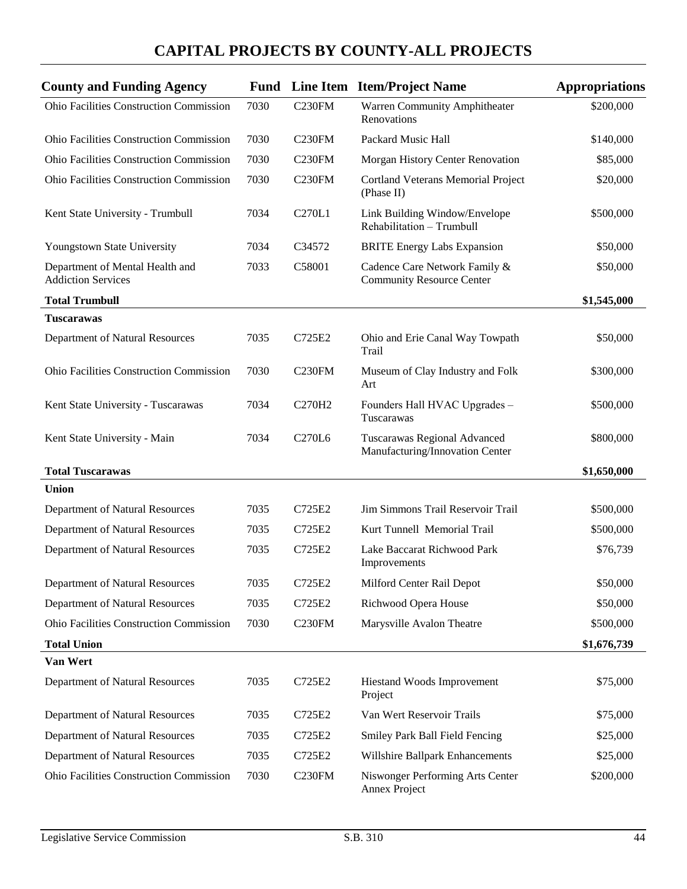| <b>County and Funding Agency</b>                             |      |                                 | <b>Fund</b> Line Item Item/Project Name                           | <b>Appropriations</b> |
|--------------------------------------------------------------|------|---------------------------------|-------------------------------------------------------------------|-----------------------|
| Ohio Facilities Construction Commission                      | 7030 | <b>C230FM</b>                   | Warren Community Amphitheater<br>Renovations                      | \$200,000             |
| Ohio Facilities Construction Commission                      | 7030 | C <sub>230FM</sub>              | Packard Music Hall                                                | \$140,000             |
| <b>Ohio Facilities Construction Commission</b>               | 7030 | C <sub>230FM</sub>              | Morgan History Center Renovation                                  | \$85,000              |
| <b>Ohio Facilities Construction Commission</b>               | 7030 | C <sub>230FM</sub>              | Cortland Veterans Memorial Project<br>(Phase II)                  | \$20,000              |
| Kent State University - Trumbull                             | 7034 | C270L1                          | Link Building Window/Envelope<br>Rehabilitation - Trumbull        | \$500,000             |
| Youngstown State University                                  | 7034 | C34572                          | <b>BRITE Energy Labs Expansion</b>                                | \$50,000              |
| Department of Mental Health and<br><b>Addiction Services</b> | 7033 | C58001                          | Cadence Care Network Family &<br><b>Community Resource Center</b> | \$50,000              |
| <b>Total Trumbull</b>                                        |      |                                 |                                                                   | \$1,545,000           |
| <b>Tuscarawas</b>                                            |      |                                 |                                                                   |                       |
| Department of Natural Resources                              | 7035 | C725E2                          | Ohio and Erie Canal Way Towpath<br>Trail                          | \$50,000              |
| <b>Ohio Facilities Construction Commission</b>               | 7030 | C <sub>230FM</sub>              | Museum of Clay Industry and Folk<br>Art                           | \$300,000             |
| Kent State University - Tuscarawas                           | 7034 | C270H2                          | Founders Hall HVAC Upgrades -<br>Tuscarawas                       | \$500,000             |
| Kent State University - Main                                 | 7034 | C <sub>270</sub> L <sub>6</sub> | Tuscarawas Regional Advanced<br>Manufacturing/Innovation Center   | \$800,000             |
| <b>Total Tuscarawas</b>                                      |      |                                 |                                                                   | \$1,650,000           |
| <b>Union</b>                                                 |      |                                 |                                                                   |                       |
| Department of Natural Resources                              | 7035 | C725E2                          | Jim Simmons Trail Reservoir Trail                                 | \$500,000             |
| Department of Natural Resources                              | 7035 | C725E2                          | Kurt Tunnell Memorial Trail                                       | \$500,000             |
| Department of Natural Resources                              | 7035 | C725E2                          | Lake Baccarat Richwood Park<br>Improvements                       | \$76,739              |
| Department of Natural Resources                              | 7035 | C725E2                          | Milford Center Rail Depot                                         | \$50,000              |
| Department of Natural Resources                              | 7035 | C725E2                          | Richwood Opera House                                              | \$50,000              |
| Ohio Facilities Construction Commission                      | 7030 | C <sub>230FM</sub>              | Marysville Avalon Theatre                                         | \$500,000             |
| <b>Total Union</b>                                           |      |                                 |                                                                   | \$1,676,739           |
| Van Wert                                                     |      |                                 |                                                                   |                       |
| Department of Natural Resources                              | 7035 | C725E2                          | Hiestand Woods Improvement<br>Project                             | \$75,000              |
| Department of Natural Resources                              | 7035 | C725E2                          | Van Wert Reservoir Trails                                         | \$75,000              |
| Department of Natural Resources                              | 7035 | C725E2                          | Smiley Park Ball Field Fencing                                    | \$25,000              |
| Department of Natural Resources                              | 7035 | C725E2                          | Willshire Ballpark Enhancements                                   | \$25,000              |
| Ohio Facilities Construction Commission                      | 7030 | C <sub>230FM</sub>              | Niswonger Performing Arts Center<br>Annex Project                 | \$200,000             |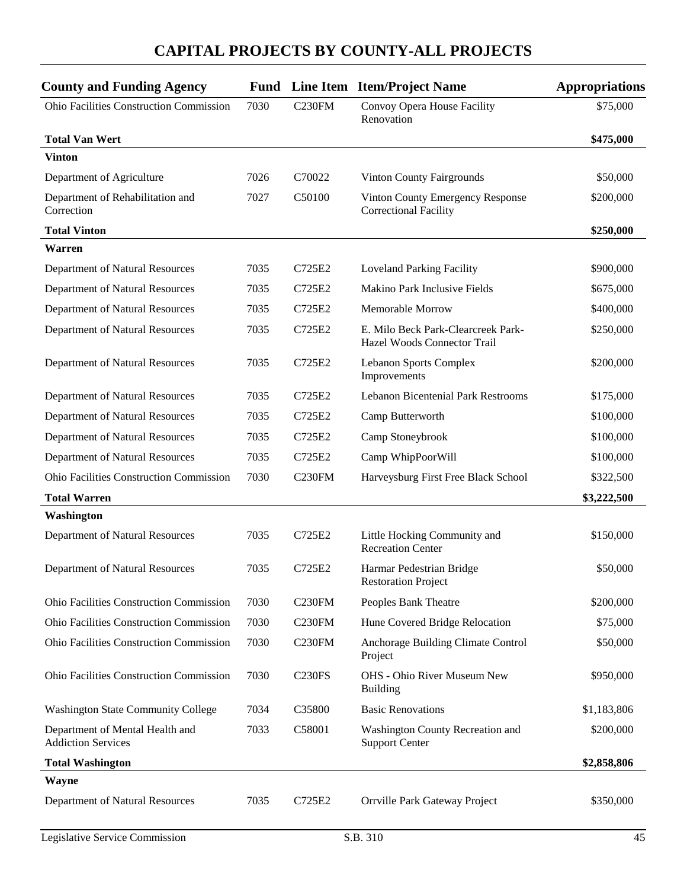| <b>County and Funding Agency</b>                             |      |                     | <b>Fund</b> Line Item Item/Project Name                           | <b>Appropriations</b> |
|--------------------------------------------------------------|------|---------------------|-------------------------------------------------------------------|-----------------------|
| Ohio Facilities Construction Commission                      | 7030 | <b>C230FM</b>       | Convoy Opera House Facility<br>Renovation                         | \$75,000              |
| <b>Total Van Wert</b>                                        |      |                     |                                                                   | \$475,000             |
| <b>Vinton</b>                                                |      |                     |                                                                   |                       |
| Department of Agriculture                                    | 7026 | C70022              | <b>Vinton County Fairgrounds</b>                                  | \$50,000              |
| Department of Rehabilitation and<br>Correction               | 7027 | C50100              | Vinton County Emergency Response<br><b>Correctional Facility</b>  | \$200,000             |
| <b>Total Vinton</b>                                          |      |                     |                                                                   | \$250,000             |
| Warren                                                       |      |                     |                                                                   |                       |
| Department of Natural Resources                              | 7035 | C725E2              | <b>Loveland Parking Facility</b>                                  | \$900,000             |
| Department of Natural Resources                              | 7035 | C725E2              | Makino Park Inclusive Fields                                      | \$675,000             |
| Department of Natural Resources                              | 7035 | C725E2              | Memorable Morrow                                                  | \$400,000             |
| Department of Natural Resources                              | 7035 | C725E2              | E. Milo Beck Park-Clearcreek Park-<br>Hazel Woods Connector Trail | \$250,000             |
| Department of Natural Resources                              | 7035 | C725E2              | <b>Lebanon Sports Complex</b><br>Improvements                     | \$200,000             |
| Department of Natural Resources                              | 7035 | C725E2              | <b>Lebanon Bicentenial Park Restrooms</b>                         | \$175,000             |
| Department of Natural Resources                              | 7035 | C725E2              | Camp Butterworth                                                  | \$100,000             |
| Department of Natural Resources                              | 7035 | C725E2              | Camp Stoneybrook                                                  | \$100,000             |
| Department of Natural Resources                              | 7035 | C725E2              | Camp WhipPoorWill                                                 | \$100,000             |
| <b>Ohio Facilities Construction Commission</b>               | 7030 | C <sub>230FM</sub>  | Harveysburg First Free Black School                               | \$322,500             |
| <b>Total Warren</b>                                          |      |                     |                                                                   | \$3,222,500           |
| Washington                                                   |      |                     |                                                                   |                       |
| Department of Natural Resources                              | 7035 | C725E2              | Little Hocking Community and<br><b>Recreation Center</b>          | \$150,000             |
| Department of Natural Resources                              | 7035 | C725E2              | Harmar Pedestrian Bridge<br><b>Restoration Project</b>            | \$50,000              |
| Ohio Facilities Construction Commission                      | 7030 | C <sub>230</sub> FM | Peoples Bank Theatre                                              | \$200,000             |
| Ohio Facilities Construction Commission                      | 7030 | C <sub>230FM</sub>  | Hune Covered Bridge Relocation                                    | \$75,000              |
| <b>Ohio Facilities Construction Commission</b>               | 7030 | C <sub>230FM</sub>  | Anchorage Building Climate Control<br>Project                     | \$50,000              |
| <b>Ohio Facilities Construction Commission</b>               | 7030 | <b>C230FS</b>       | <b>OHS</b> - Ohio River Museum New<br><b>Building</b>             | \$950,000             |
| <b>Washington State Community College</b>                    | 7034 | C35800              | <b>Basic Renovations</b>                                          | \$1,183,806           |
| Department of Mental Health and<br><b>Addiction Services</b> | 7033 | C58001              | Washington County Recreation and<br><b>Support Center</b>         | \$200,000             |
| <b>Total Washington</b>                                      |      |                     |                                                                   | \$2,858,806           |
| Wayne                                                        |      |                     |                                                                   |                       |
| Department of Natural Resources                              | 7035 | C725E2              | Orrville Park Gateway Project                                     | \$350,000             |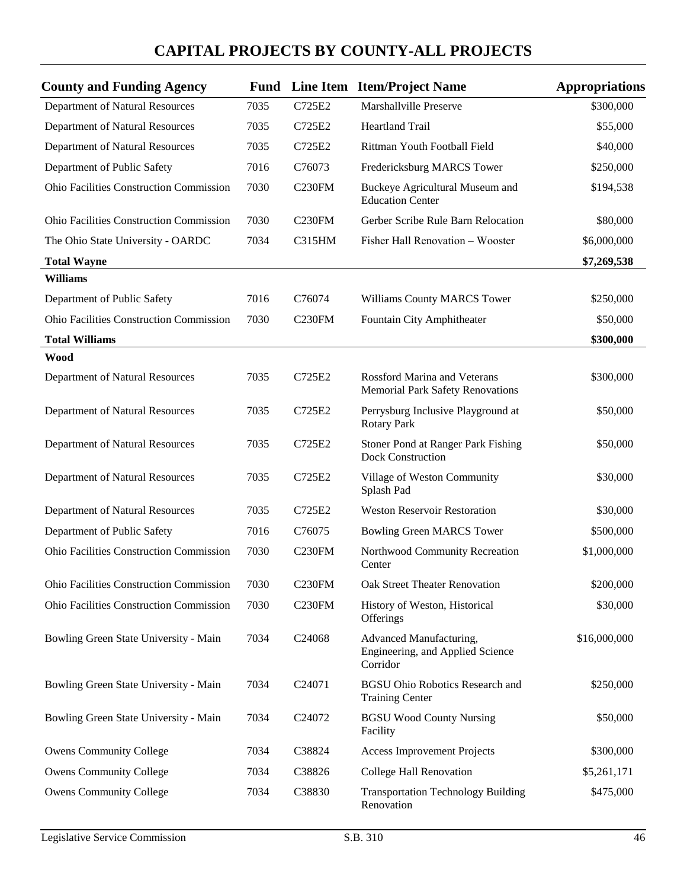| <b>County and Funding Agency</b>               |      |                     | <b>Fund</b> Line Item Item/Project Name                                        | <b>Appropriations</b> |
|------------------------------------------------|------|---------------------|--------------------------------------------------------------------------------|-----------------------|
| Department of Natural Resources                | 7035 | C725E2              | Marshallville Preserve                                                         | \$300,000             |
| Department of Natural Resources                | 7035 | C725E2              | Heartland Trail                                                                | \$55,000              |
| Department of Natural Resources                | 7035 | C725E2              | Rittman Youth Football Field                                                   | \$40,000              |
| Department of Public Safety                    | 7016 | C76073              | Fredericksburg MARCS Tower                                                     | \$250,000             |
| <b>Ohio Facilities Construction Commission</b> | 7030 | C <sub>230FM</sub>  | Buckeye Agricultural Museum and<br><b>Education Center</b>                     | \$194,538             |
| <b>Ohio Facilities Construction Commission</b> | 7030 | C <sub>230</sub> FM | Gerber Scribe Rule Barn Relocation                                             | \$80,000              |
| The Ohio State University - OARDC              | 7034 | C315HM              | Fisher Hall Renovation - Wooster                                               | \$6,000,000           |
| <b>Total Wayne</b>                             |      |                     |                                                                                | \$7,269,538           |
| <b>Williams</b>                                |      |                     |                                                                                |                       |
| Department of Public Safety                    | 7016 | C76074              | Williams County MARCS Tower                                                    | \$250,000             |
| Ohio Facilities Construction Commission        | 7030 | C <sub>230FM</sub>  | Fountain City Amphitheater                                                     | \$50,000              |
| <b>Total Williams</b>                          |      |                     |                                                                                | \$300,000             |
| <b>Wood</b>                                    |      |                     |                                                                                |                       |
| Department of Natural Resources                | 7035 | C725E2              | <b>Rossford Marina and Veterans</b><br><b>Memorial Park Safety Renovations</b> | \$300,000             |
| Department of Natural Resources                | 7035 | C725E2              | Perrysburg Inclusive Playground at<br><b>Rotary Park</b>                       | \$50,000              |
| Department of Natural Resources                | 7035 | C725E2              | Stoner Pond at Ranger Park Fishing<br><b>Dock Construction</b>                 | \$50,000              |
| Department of Natural Resources                | 7035 | C725E2              | Village of Weston Community<br>Splash Pad                                      | \$30,000              |
| Department of Natural Resources                | 7035 | C725E2              | <b>Weston Reservoir Restoration</b>                                            | \$30,000              |
| Department of Public Safety                    | 7016 | C76075              | <b>Bowling Green MARCS Tower</b>                                               | \$500,000             |
| <b>Ohio Facilities Construction Commission</b> | 7030 | C <sub>230FM</sub>  | Northwood Community Recreation<br>Center                                       | \$1,000,000           |
| <b>Ohio Facilities Construction Commission</b> | 7030 | C <sub>230FM</sub>  | <b>Oak Street Theater Renovation</b>                                           | \$200,000             |
| Ohio Facilities Construction Commission        | 7030 | C <sub>230FM</sub>  | History of Weston, Historical<br>Offerings                                     | \$30,000              |
| Bowling Green State University - Main          | 7034 | C24068              | Advanced Manufacturing,<br>Engineering, and Applied Science<br>Corridor        | \$16,000,000          |
| Bowling Green State University - Main          | 7034 | C24071              | <b>BGSU Ohio Robotics Research and</b><br><b>Training Center</b>               | \$250,000             |
| Bowling Green State University - Main          | 7034 | C <sub>24072</sub>  | <b>BGSU Wood County Nursing</b><br>Facility                                    | \$50,000              |
| <b>Owens Community College</b>                 | 7034 | C38824              | <b>Access Improvement Projects</b>                                             | \$300,000             |
| <b>Owens Community College</b>                 | 7034 | C38826              | College Hall Renovation                                                        | \$5,261,171           |
| <b>Owens Community College</b>                 | 7034 | C38830              | <b>Transportation Technology Building</b><br>Renovation                        | \$475,000             |